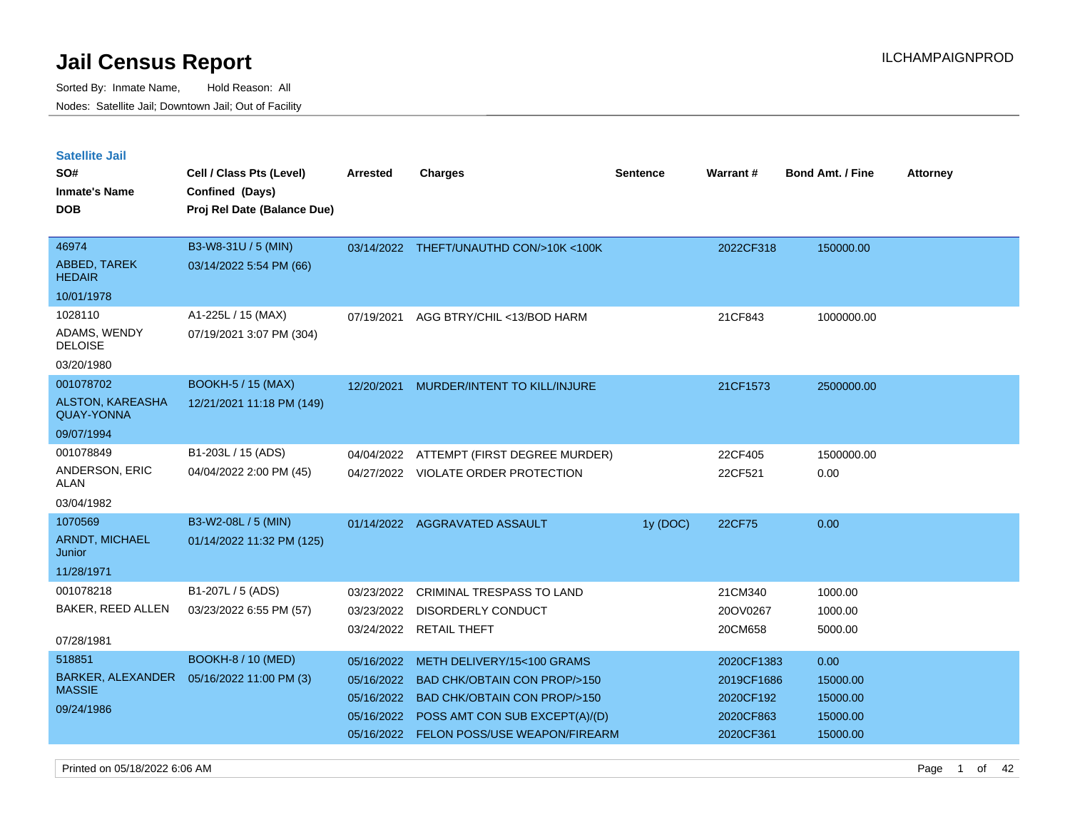Sorted By: Inmate Name, Hold Reason: All Nodes: Satellite Jail; Downtown Jail; Out of Facility

| <b>Satellite Jail</b><br>SO#<br><b>Inmate's Name</b><br><b>DOB</b> | Cell / Class Pts (Level)<br>Confined (Days)<br>Proj Rel Date (Balance Due) | <b>Arrested</b>                        | <b>Charges</b>                                                                                                     | <b>Sentence</b> | Warrant#                             | <b>Bond Amt. / Fine</b>          | <b>Attorney</b> |
|--------------------------------------------------------------------|----------------------------------------------------------------------------|----------------------------------------|--------------------------------------------------------------------------------------------------------------------|-----------------|--------------------------------------|----------------------------------|-----------------|
| 46974<br>ABBED, TAREK<br><b>HEDAIR</b>                             | B3-W8-31U / 5 (MIN)<br>03/14/2022 5:54 PM (66)                             |                                        | 03/14/2022 THEFT/UNAUTHD CON/>10K <100K                                                                            |                 | 2022CF318                            | 150000.00                        |                 |
| 10/01/1978                                                         |                                                                            |                                        |                                                                                                                    |                 |                                      |                                  |                 |
| 1028110<br>ADAMS, WENDY<br><b>DELOISE</b>                          | A1-225L / 15 (MAX)<br>07/19/2021 3:07 PM (304)                             | 07/19/2021                             | AGG BTRY/CHIL <13/BOD HARM                                                                                         |                 | 21CF843                              | 1000000.00                       |                 |
| 03/20/1980                                                         |                                                                            |                                        |                                                                                                                    |                 |                                      |                                  |                 |
| 001078702<br>ALSTON, KAREASHA<br><b>QUAY-YONNA</b>                 | <b>BOOKH-5 / 15 (MAX)</b><br>12/21/2021 11:18 PM (149)                     | 12/20/2021                             | MURDER/INTENT TO KILL/INJURE                                                                                       |                 | 21CF1573                             | 2500000.00                       |                 |
| 09/07/1994                                                         |                                                                            |                                        |                                                                                                                    |                 |                                      |                                  |                 |
| 001078849<br>ANDERSON, ERIC<br><b>ALAN</b><br>03/04/1982           | B1-203L / 15 (ADS)<br>04/04/2022 2:00 PM (45)                              | 04/04/2022                             | ATTEMPT (FIRST DEGREE MURDER)<br>04/27/2022 VIOLATE ORDER PROTECTION                                               |                 | 22CF405<br>22CF521                   | 1500000.00<br>0.00               |                 |
| 1070569<br><b>ARNDT, MICHAEL</b><br>Junior<br>11/28/1971           | B3-W2-08L / 5 (MIN)<br>01/14/2022 11:32 PM (125)                           |                                        | 01/14/2022 AGGRAVATED ASSAULT                                                                                      | 1y (DOC)        | 22CF75                               | 0.00                             |                 |
| 001078218<br><b>BAKER, REED ALLEN</b><br>07/28/1981                | B1-207L / 5 (ADS)<br>03/23/2022 6:55 PM (57)                               | 03/23/2022<br>03/23/2022<br>03/24/2022 | <b>CRIMINAL TRESPASS TO LAND</b><br><b>DISORDERLY CONDUCT</b><br><b>RETAIL THEFT</b>                               |                 | 21CM340<br>20OV0267<br>20CM658       | 1000.00<br>1000.00<br>5000.00    |                 |
| 518851                                                             | <b>BOOKH-8 / 10 (MED)</b>                                                  | 05/16/2022                             | METH DELIVERY/15<100 GRAMS                                                                                         |                 | 2020CF1383                           | 0.00                             |                 |
| BARKER, ALEXANDER<br><b>MASSIE</b><br>09/24/1986                   | 05/16/2022 11:00 PM (3)                                                    | 05/16/2022<br>05/16/2022<br>05/16/2022 | <b>BAD CHK/OBTAIN CON PROP/&gt;150</b><br><b>BAD CHK/OBTAIN CON PROP/&gt;150</b><br>POSS AMT CON SUB EXCEPT(A)/(D) |                 | 2019CF1686<br>2020CF192<br>2020CF863 | 15000.00<br>15000.00<br>15000.00 |                 |

05/16/2022 FELON POSS/USE WEAPON/FIREARM 2020CF361 15000.00

Printed on 05/18/2022 6:06 AM **Page 1 of 42**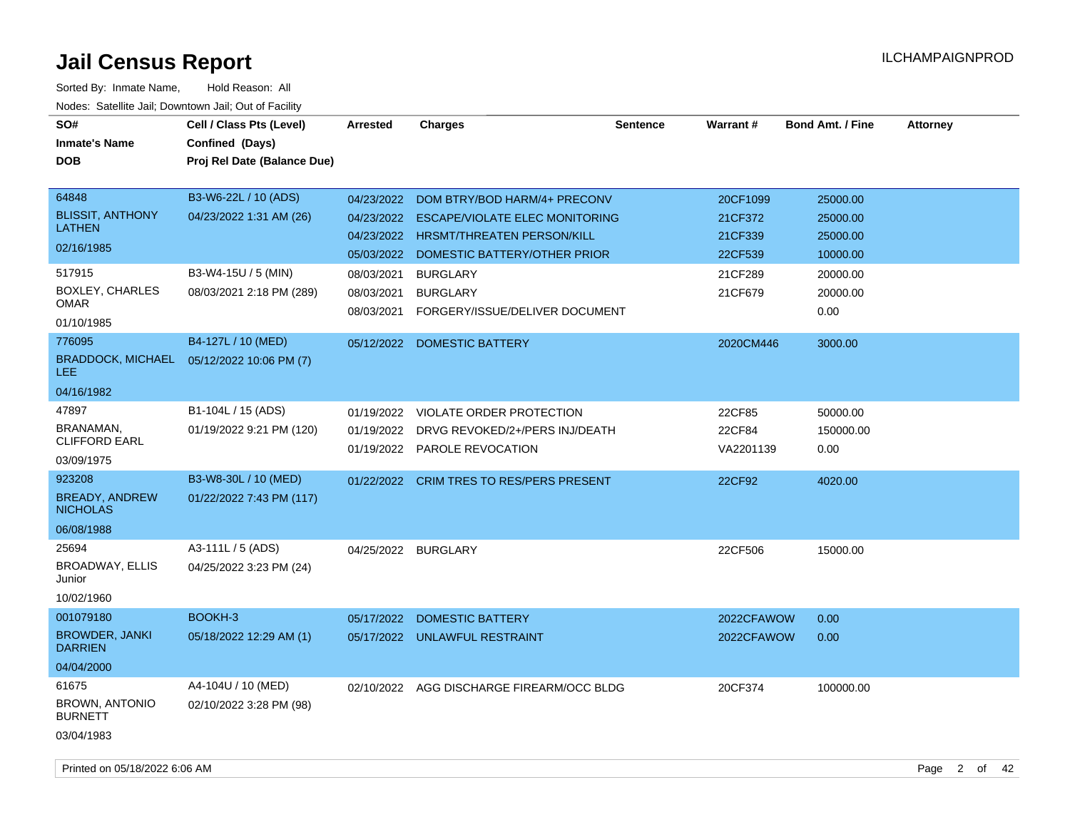| SO#<br><b>Inmate's Name</b><br><b>DOB</b>                          | Cell / Class Pts (Level)<br>Confined (Days)<br>Proj Rel Date (Balance Due) | <b>Arrested</b>                                      | <b>Charges</b>                                                                                                                      | <b>Sentence</b> | <b>Warrant#</b>                           | <b>Bond Amt. / Fine</b>                      | <b>Attorney</b> |
|--------------------------------------------------------------------|----------------------------------------------------------------------------|------------------------------------------------------|-------------------------------------------------------------------------------------------------------------------------------------|-----------------|-------------------------------------------|----------------------------------------------|-----------------|
| 64848<br><b>BLISSIT, ANTHONY</b><br><b>LATHEN</b><br>02/16/1985    | B3-W6-22L / 10 (ADS)<br>04/23/2022 1:31 AM (26)                            | 04/23/2022<br>04/23/2022<br>04/23/2022<br>05/03/2022 | DOM BTRY/BOD HARM/4+ PRECONV<br><b>ESCAPE/VIOLATE ELEC MONITORING</b><br>HRSMT/THREATEN PERSON/KILL<br>DOMESTIC BATTERY/OTHER PRIOR |                 | 20CF1099<br>21CF372<br>21CF339<br>22CF539 | 25000.00<br>25000.00<br>25000.00<br>10000.00 |                 |
| 517915<br>BOXLEY, CHARLES<br>OMAR<br>01/10/1985                    | B3-W4-15U / 5 (MIN)<br>08/03/2021 2:18 PM (289)                            | 08/03/2021<br>08/03/2021<br>08/03/2021               | <b>BURGLARY</b><br><b>BURGLARY</b><br>FORGERY/ISSUE/DELIVER DOCUMENT                                                                |                 | 21CF289<br>21CF679                        | 20000.00<br>20000.00<br>0.00                 |                 |
| 776095<br><b>BRADDOCK, MICHAEL</b><br>LEE.<br>04/16/1982           | B4-127L / 10 (MED)<br>05/12/2022 10:06 PM (7)                              | 05/12/2022                                           | <b>DOMESTIC BATTERY</b>                                                                                                             |                 | 2020CM446                                 | 3000.00                                      |                 |
| 47897<br>BRANAMAN,<br><b>CLIFFORD EARL</b><br>03/09/1975           | B1-104L / 15 (ADS)<br>01/19/2022 9:21 PM (120)                             | 01/19/2022<br>01/19/2022                             | <b>VIOLATE ORDER PROTECTION</b><br>DRVG REVOKED/2+/PERS INJ/DEATH<br>01/19/2022 PAROLE REVOCATION                                   |                 | 22CF85<br>22CF84<br>VA2201139             | 50000.00<br>150000.00<br>0.00                |                 |
| 923208<br><b>BREADY, ANDREW</b><br><b>NICHOLAS</b><br>06/08/1988   | B3-W8-30L / 10 (MED)<br>01/22/2022 7:43 PM (117)                           |                                                      | 01/22/2022 CRIM TRES TO RES/PERS PRESENT                                                                                            |                 | 22CF92                                    | 4020.00                                      |                 |
| 25694<br>BROADWAY, ELLIS<br>Junior<br>10/02/1960                   | A3-111L / 5 (ADS)<br>04/25/2022 3:23 PM (24)                               | 04/25/2022 BURGLARY                                  |                                                                                                                                     |                 | 22CF506                                   | 15000.00                                     |                 |
| 001079180<br><b>BROWDER, JANKI</b><br><b>DARRIEN</b><br>04/04/2000 | BOOKH-3<br>05/18/2022 12:29 AM (1)                                         | 05/17/2022                                           | <b>DOMESTIC BATTERY</b><br>05/17/2022 UNLAWFUL RESTRAINT                                                                            |                 | 2022CFAWOW<br>2022CFAWOW                  | 0.00<br>0.00                                 |                 |
| 61675<br>BROWN, ANTONIO<br><b>BURNETT</b><br>03/04/1983            | A4-104U / 10 (MED)<br>02/10/2022 3:28 PM (98)                              |                                                      | 02/10/2022 AGG DISCHARGE FIREARM/OCC BLDG                                                                                           |                 | 20CF374                                   | 100000.00                                    |                 |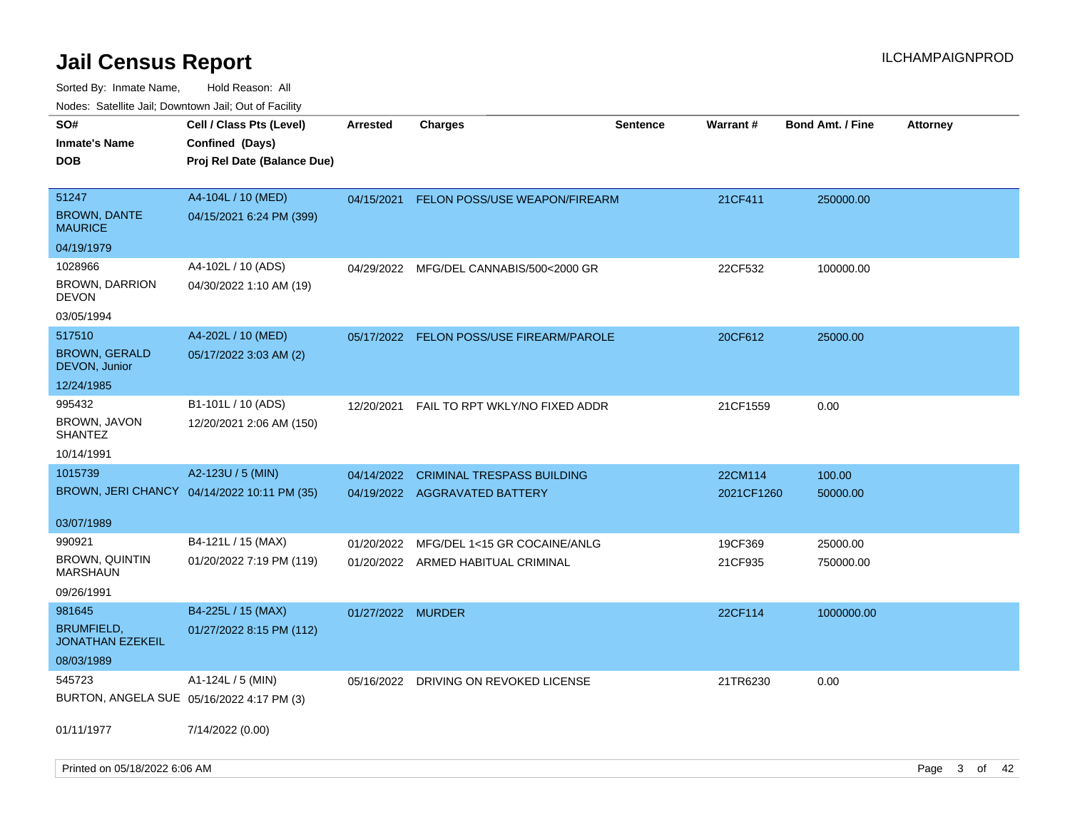| ivouss. Saleline Jali, Downtown Jali, Out of Facility |                 |                                   |                                                                                                                                     |                                                                           |                  |                 |
|-------------------------------------------------------|-----------------|-----------------------------------|-------------------------------------------------------------------------------------------------------------------------------------|---------------------------------------------------------------------------|------------------|-----------------|
| Cell / Class Pts (Level)                              | <b>Arrested</b> | <b>Charges</b>                    | <b>Sentence</b>                                                                                                                     |                                                                           | Bond Amt. / Fine | <b>Attorney</b> |
| Confined (Days)                                       |                 |                                   |                                                                                                                                     |                                                                           |                  |                 |
| Proj Rel Date (Balance Due)                           |                 |                                   |                                                                                                                                     |                                                                           |                  |                 |
|                                                       |                 |                                   |                                                                                                                                     |                                                                           |                  |                 |
| A4-104L / 10 (MED)                                    | 04/15/2021      |                                   |                                                                                                                                     | 21CF411                                                                   | 250000.00        |                 |
| 04/15/2021 6:24 PM (399)                              |                 |                                   |                                                                                                                                     |                                                                           |                  |                 |
|                                                       |                 |                                   |                                                                                                                                     |                                                                           |                  |                 |
| A4-102L / 10 (ADS)                                    |                 |                                   |                                                                                                                                     | 22CF532                                                                   | 100000.00        |                 |
| 04/30/2022 1:10 AM (19)                               |                 |                                   |                                                                                                                                     |                                                                           |                  |                 |
|                                                       |                 |                                   |                                                                                                                                     |                                                                           |                  |                 |
| A4-202L / 10 (MED)                                    |                 |                                   |                                                                                                                                     | 20CF612                                                                   | 25000.00         |                 |
| 05/17/2022 3:03 AM (2)                                |                 |                                   |                                                                                                                                     |                                                                           |                  |                 |
|                                                       |                 |                                   |                                                                                                                                     |                                                                           |                  |                 |
| B1-101L / 10 (ADS)                                    | 12/20/2021      | FAIL TO RPT WKLY/NO FIXED ADDR    |                                                                                                                                     | 21CF1559                                                                  | 0.00             |                 |
| 12/20/2021 2:06 AM (150)                              |                 |                                   |                                                                                                                                     |                                                                           |                  |                 |
|                                                       |                 |                                   |                                                                                                                                     |                                                                           |                  |                 |
| A2-123U / 5 (MIN)                                     | 04/14/2022      | <b>CRIMINAL TRESPASS BUILDING</b> |                                                                                                                                     | 22CM114                                                                   | 100.00           |                 |
| BROWN, JERI CHANCY 04/14/2022 10:11 PM (35)           |                 |                                   |                                                                                                                                     |                                                                           | 50000.00         |                 |
|                                                       |                 |                                   |                                                                                                                                     |                                                                           |                  |                 |
|                                                       |                 |                                   |                                                                                                                                     |                                                                           |                  |                 |
| B4-121L / 15 (MAX)                                    | 01/20/2022      | MFG/DEL 1<15 GR COCAINE/ANLG      |                                                                                                                                     | 19CF369                                                                   | 25000.00         |                 |
| 01/20/2022 7:19 PM (119)                              |                 |                                   |                                                                                                                                     | 21CF935                                                                   | 750000.00        |                 |
|                                                       |                 |                                   |                                                                                                                                     |                                                                           |                  |                 |
| B4-225L / 15 (MAX)                                    |                 |                                   |                                                                                                                                     | 22CF114                                                                   | 1000000.00       |                 |
| 01/27/2022 8:15 PM (112)                              |                 |                                   |                                                                                                                                     |                                                                           |                  |                 |
|                                                       |                 |                                   |                                                                                                                                     |                                                                           |                  |                 |
| A1-124L / 5 (MIN)                                     | 05/16/2022      | DRIVING ON REVOKED LICENSE        |                                                                                                                                     | 21TR6230                                                                  | 0.00             |                 |
| BURTON, ANGELA SUE 05/16/2022 4:17 PM (3)             |                 |                                   |                                                                                                                                     |                                                                           |                  |                 |
|                                                       |                 |                                   |                                                                                                                                     |                                                                           |                  |                 |
| 7/14/2022 (0.00)                                      |                 |                                   |                                                                                                                                     |                                                                           |                  |                 |
|                                                       |                 |                                   |                                                                                                                                     |                                                                           |                  |                 |
|                                                       |                 |                                   | 04/29/2022 MFG/DEL CANNABIS/500<2000 GR<br>04/19/2022 AGGRAVATED BATTERY<br>01/20/2022 ARMED HABITUAL CRIMINAL<br>01/27/2022 MURDER | FELON POSS/USE WEAPON/FIREARM<br>05/17/2022 FELON POSS/USE FIREARM/PAROLE | Warrant#         | 2021CF1260      |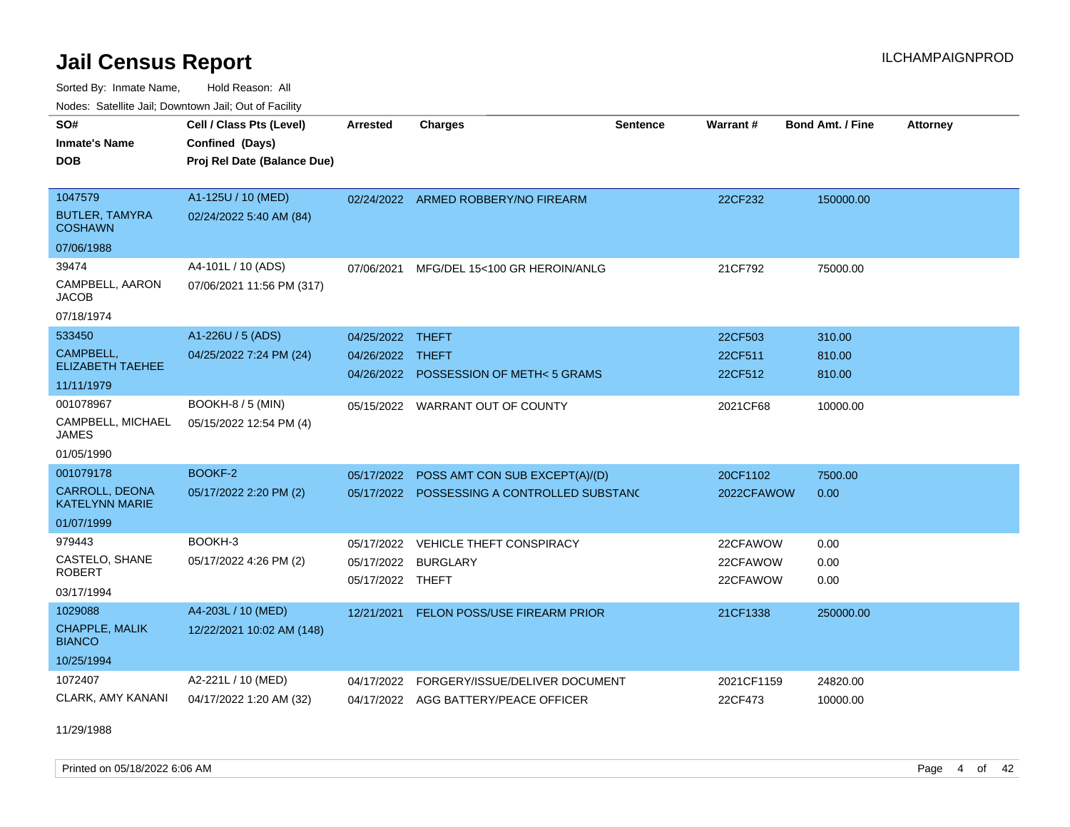Sorted By: Inmate Name, Hold Reason: All Nodes: Satellite Jail; Downtown Jail; Out of Facility

| SO#                                            | Cell / Class Pts (Level)    | <b>Arrested</b>  | <b>Charges</b>                              | <b>Sentence</b> | Warrant #  | <b>Bond Amt. / Fine</b> | <b>Attorney</b> |
|------------------------------------------------|-----------------------------|------------------|---------------------------------------------|-----------------|------------|-------------------------|-----------------|
| <b>Inmate's Name</b>                           | Confined (Days)             |                  |                                             |                 |            |                         |                 |
| <b>DOB</b>                                     | Proj Rel Date (Balance Due) |                  |                                             |                 |            |                         |                 |
|                                                |                             |                  |                                             |                 |            |                         |                 |
| 1047579                                        | A1-125U / 10 (MED)          |                  | 02/24/2022 ARMED ROBBERY/NO FIREARM         |                 | 22CF232    | 150000.00               |                 |
| <b>BUTLER, TAMYRA</b><br><b>COSHAWN</b>        | 02/24/2022 5:40 AM (84)     |                  |                                             |                 |            |                         |                 |
| 07/06/1988                                     |                             |                  |                                             |                 |            |                         |                 |
| 39474                                          | A4-101L / 10 (ADS)          | 07/06/2021       | MFG/DEL 15<100 GR HEROIN/ANLG               |                 | 21CF792    | 75000.00                |                 |
| CAMPBELL, AARON<br><b>JACOB</b>                | 07/06/2021 11:56 PM (317)   |                  |                                             |                 |            |                         |                 |
| 07/18/1974                                     |                             |                  |                                             |                 |            |                         |                 |
| 533450                                         | A1-226U / 5 (ADS)           | 04/25/2022 THEFT |                                             |                 | 22CF503    | 310.00                  |                 |
| CAMPBELL,                                      | 04/25/2022 7:24 PM (24)     | 04/26/2022 THEFT |                                             |                 | 22CF511    | 810.00                  |                 |
| <b>ELIZABETH TAEHEE</b>                        |                             |                  | 04/26/2022 POSSESSION OF METH<5 GRAMS       |                 | 22CF512    | 810.00                  |                 |
| 11/11/1979                                     |                             |                  |                                             |                 |            |                         |                 |
| 001078967                                      | BOOKH-8 / 5 (MIN)           | 05/15/2022       | <b>WARRANT OUT OF COUNTY</b>                |                 | 2021CF68   | 10000.00                |                 |
| CAMPBELL, MICHAEL<br><b>JAMES</b>              | 05/15/2022 12:54 PM (4)     |                  |                                             |                 |            |                         |                 |
| 01/05/1990                                     |                             |                  |                                             |                 |            |                         |                 |
| 001079178                                      | BOOKF-2                     | 05/17/2022       | POSS AMT CON SUB EXCEPT(A)/(D)              |                 | 20CF1102   | 7500.00                 |                 |
| <b>CARROLL, DEONA</b><br><b>KATELYNN MARIE</b> | 05/17/2022 2:20 PM (2)      |                  | 05/17/2022 POSSESSING A CONTROLLED SUBSTANC |                 | 2022CFAWOW | 0.00                    |                 |
| 01/07/1999                                     |                             |                  |                                             |                 |            |                         |                 |
| 979443                                         | BOOKH-3                     | 05/17/2022       | VEHICLE THEFT CONSPIRACY                    |                 | 22CFAWOW   | 0.00                    |                 |
| CASTELO, SHANE                                 | 05/17/2022 4:26 PM (2)      | 05/17/2022       | <b>BURGLARY</b>                             |                 | 22CFAWOW   | 0.00                    |                 |
| <b>ROBERT</b>                                  |                             | 05/17/2022 THEFT |                                             |                 | 22CFAWOW   | 0.00                    |                 |
| 03/17/1994                                     |                             |                  |                                             |                 |            |                         |                 |
| 1029088                                        | A4-203L / 10 (MED)          | 12/21/2021       | FELON POSS/USE FIREARM PRIOR                |                 | 21CF1338   | 250000.00               |                 |
| CHAPPLE, MALIK<br><b>BIANCO</b>                | 12/22/2021 10:02 AM (148)   |                  |                                             |                 |            |                         |                 |
| 10/25/1994                                     |                             |                  |                                             |                 |            |                         |                 |
| 1072407                                        | A2-221L / 10 (MED)          | 04/17/2022       | FORGERY/ISSUE/DELIVER DOCUMENT              |                 | 2021CF1159 | 24820.00                |                 |
| <b>CLARK, AMY KANANI</b>                       | 04/17/2022 1:20 AM (32)     |                  | 04/17/2022 AGG BATTERY/PEACE OFFICER        |                 | 22CF473    | 10000.00                |                 |

11/29/1988

Printed on 05/18/2022 6:06 AM Page 4 of 42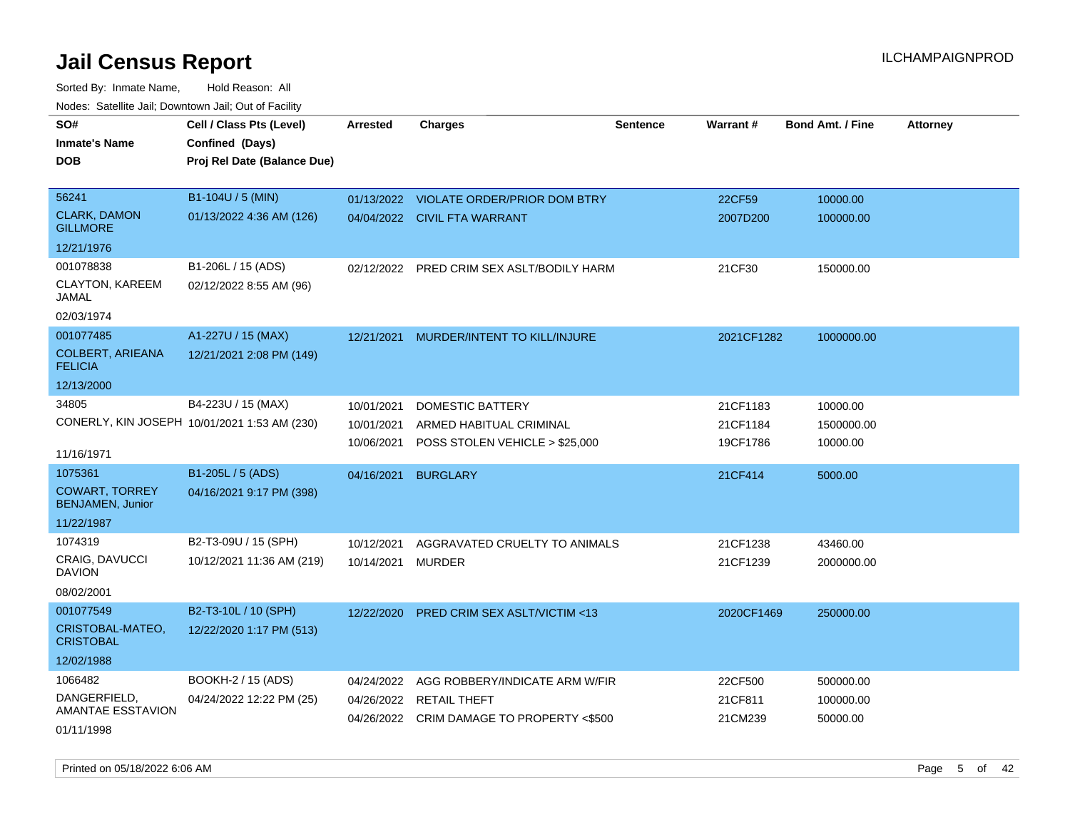Sorted By: Inmate Name, Hold Reason: All Nodes: Satellite Jail; Downtown Jail; Out of Facility

| roaco. Calcinio dan, Downtown dan, Out or Fability |                                              |                 |                                           |                 |            |                         |                 |
|----------------------------------------------------|----------------------------------------------|-----------------|-------------------------------------------|-----------------|------------|-------------------------|-----------------|
| SO#                                                | Cell / Class Pts (Level)                     | <b>Arrested</b> | <b>Charges</b>                            | <b>Sentence</b> | Warrant#   | <b>Bond Amt. / Fine</b> | <b>Attorney</b> |
| <b>Inmate's Name</b>                               | Confined (Days)                              |                 |                                           |                 |            |                         |                 |
| <b>DOB</b>                                         | Proj Rel Date (Balance Due)                  |                 |                                           |                 |            |                         |                 |
|                                                    |                                              |                 |                                           |                 |            |                         |                 |
| 56241                                              | B1-104U / 5 (MIN)                            |                 | 01/13/2022 VIOLATE ORDER/PRIOR DOM BTRY   |                 | 22CF59     | 10000.00                |                 |
| <b>CLARK, DAMON</b><br><b>GILLMORE</b>             | 01/13/2022 4:36 AM (126)                     |                 | 04/04/2022 CIVIL FTA WARRANT              |                 | 2007D200   | 100000.00               |                 |
| 12/21/1976                                         |                                              |                 |                                           |                 |            |                         |                 |
| 001078838                                          | B1-206L / 15 (ADS)                           | 02/12/2022      | PRED CRIM SEX ASLT/BODILY HARM            |                 | 21CF30     | 150000.00               |                 |
| CLAYTON, KAREEM<br>JAMAL                           | 02/12/2022 8:55 AM (96)                      |                 |                                           |                 |            |                         |                 |
| 02/03/1974                                         |                                              |                 |                                           |                 |            |                         |                 |
| 001077485                                          | A1-227U / 15 (MAX)                           | 12/21/2021      | MURDER/INTENT TO KILL/INJURE              |                 | 2021CF1282 | 1000000.00              |                 |
| <b>COLBERT, ARIEANA</b><br><b>FELICIA</b>          | 12/21/2021 2:08 PM (149)                     |                 |                                           |                 |            |                         |                 |
| 12/13/2000                                         |                                              |                 |                                           |                 |            |                         |                 |
| 34805                                              | B4-223U / 15 (MAX)                           | 10/01/2021      | DOMESTIC BATTERY                          |                 | 21CF1183   | 10000.00                |                 |
|                                                    | CONERLY, KIN JOSEPH 10/01/2021 1:53 AM (230) | 10/01/2021      | ARMED HABITUAL CRIMINAL                   |                 | 21CF1184   | 1500000.00              |                 |
|                                                    |                                              | 10/06/2021      | POSS STOLEN VEHICLE > \$25,000            |                 | 19CF1786   | 10000.00                |                 |
| 11/16/1971                                         |                                              |                 |                                           |                 |            |                         |                 |
| 1075361                                            | B1-205L / 5 (ADS)                            | 04/16/2021      | <b>BURGLARY</b>                           |                 | 21CF414    | 5000.00                 |                 |
| <b>COWART, TORREY</b><br>BENJAMEN, Junior          | 04/16/2021 9:17 PM (398)                     |                 |                                           |                 |            |                         |                 |
| 11/22/1987                                         |                                              |                 |                                           |                 |            |                         |                 |
| 1074319                                            | B2-T3-09U / 15 (SPH)                         | 10/12/2021      | AGGRAVATED CRUELTY TO ANIMALS             |                 | 21CF1238   | 43460.00                |                 |
| CRAIG, DAVUCCI<br><b>DAVION</b>                    | 10/12/2021 11:36 AM (219)                    | 10/14/2021      | MURDER                                    |                 | 21CF1239   | 2000000.00              |                 |
| 08/02/2001                                         |                                              |                 |                                           |                 |            |                         |                 |
| 001077549                                          | B2-T3-10L / 10 (SPH)                         | 12/22/2020      | <b>PRED CRIM SEX ASLT/VICTIM &lt;13</b>   |                 | 2020CF1469 | 250000.00               |                 |
| CRISTOBAL-MATEO,<br><b>CRISTOBAL</b>               | 12/22/2020 1:17 PM (513)                     |                 |                                           |                 |            |                         |                 |
| 12/02/1988                                         |                                              |                 |                                           |                 |            |                         |                 |
| 1066482                                            | BOOKH-2 / 15 (ADS)                           | 04/24/2022      | AGG ROBBERY/INDICATE ARM W/FIR            |                 | 22CF500    | 500000.00               |                 |
| DANGERFIELD.                                       | 04/24/2022 12:22 PM (25)                     | 04/26/2022      | <b>RETAIL THEFT</b>                       |                 | 21CF811    | 100000.00               |                 |
| AMANTAE ESSTAVION                                  |                                              |                 | 04/26/2022 CRIM DAMAGE TO PROPERTY <\$500 |                 | 21CM239    | 50000.00                |                 |
| 01/11/1998                                         |                                              |                 |                                           |                 |            |                         |                 |

Printed on 05/18/2022 6:06 AM Page 5 of 42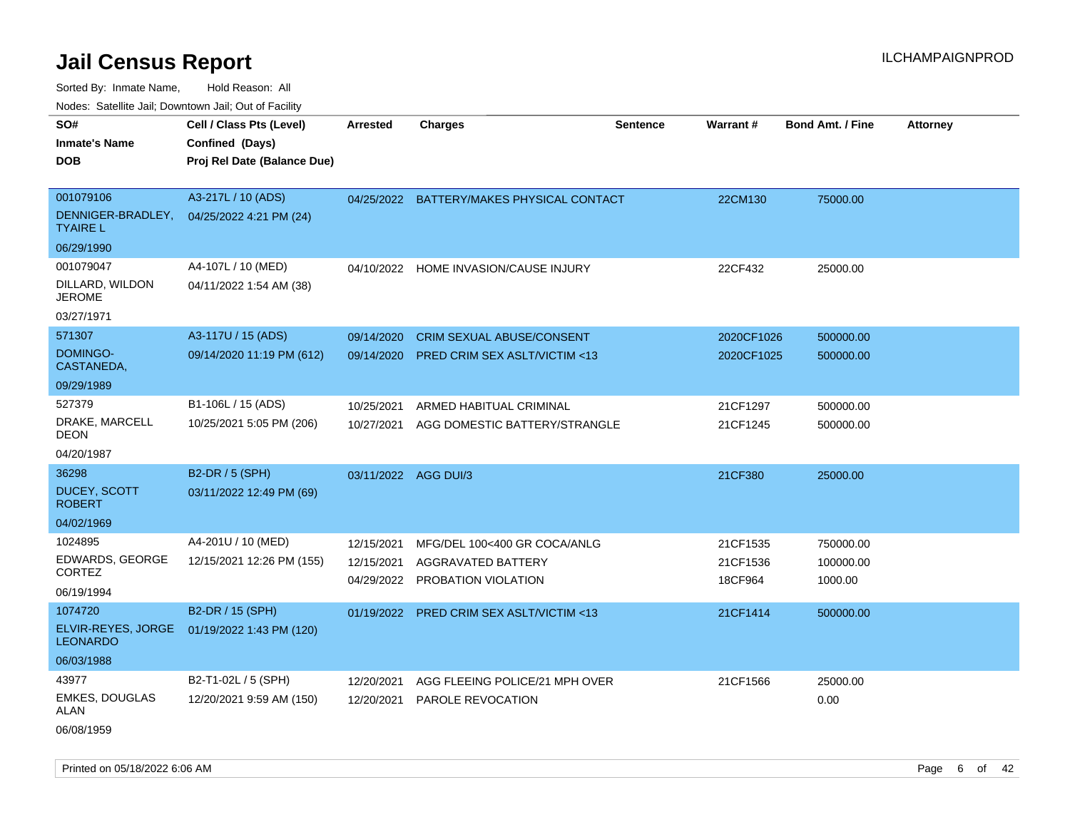Sorted By: Inmate Name, Hold Reason: All Nodes: Satellite Jail; Downtown Jail; Out of Facility

| rouco. Calcinic Jan, Downtown Jan, Out of Facility |                                                                            |            |                                           |                 |                 |                         |                 |
|----------------------------------------------------|----------------------------------------------------------------------------|------------|-------------------------------------------|-----------------|-----------------|-------------------------|-----------------|
| SO#<br>Inmate's Name<br><b>DOB</b>                 | Cell / Class Pts (Level)<br>Confined (Days)<br>Proj Rel Date (Balance Due) | Arrested   | <b>Charges</b>                            | <b>Sentence</b> | <b>Warrant#</b> | <b>Bond Amt. / Fine</b> | <b>Attorney</b> |
| 001079106                                          | A3-217L / 10 (ADS)                                                         |            | 04/25/2022 BATTERY/MAKES PHYSICAL CONTACT |                 | 22CM130         | 75000.00                |                 |
| <b>TYAIRE L</b>                                    | DENNIGER-BRADLEY, 04/25/2022 4:21 PM (24)                                  |            |                                           |                 |                 |                         |                 |
| 06/29/1990                                         |                                                                            |            |                                           |                 |                 |                         |                 |
| 001079047                                          | A4-107L / 10 (MED)                                                         |            | 04/10/2022 HOME INVASION/CAUSE INJURY     |                 | 22CF432         | 25000.00                |                 |
| DILLARD, WILDON<br>JEROME                          | 04/11/2022 1:54 AM (38)                                                    |            |                                           |                 |                 |                         |                 |
| 03/27/1971                                         |                                                                            |            |                                           |                 |                 |                         |                 |
| 571307                                             | A3-117U / 15 (ADS)                                                         | 09/14/2020 | <b>CRIM SEXUAL ABUSE/CONSENT</b>          |                 | 2020CF1026      | 500000.00               |                 |
| <b>DOMINGO-</b><br>CASTANEDA.                      | 09/14/2020 11:19 PM (612)                                                  | 09/14/2020 | <b>PRED CRIM SEX ASLT/VICTIM &lt;13</b>   |                 | 2020CF1025      | 500000.00               |                 |
| 09/29/1989                                         |                                                                            |            |                                           |                 |                 |                         |                 |
| 527379                                             | B1-106L / 15 (ADS)                                                         | 10/25/2021 | ARMED HABITUAL CRIMINAL                   |                 | 21CF1297        | 500000.00               |                 |
| DRAKE, MARCELL<br>DEON                             | 10/25/2021 5:05 PM (206)                                                   | 10/27/2021 | AGG DOMESTIC BATTERY/STRANGLE             |                 | 21CF1245        | 500000.00               |                 |
| 04/20/1987                                         |                                                                            |            |                                           |                 |                 |                         |                 |
| 36298                                              | <b>B2-DR / 5 (SPH)</b>                                                     | 03/11/2022 | AGG DUI/3                                 |                 | 21CF380         | 25000.00                |                 |
| <b>DUCEY, SCOTT</b><br><b>ROBERT</b>               | 03/11/2022 12:49 PM (69)                                                   |            |                                           |                 |                 |                         |                 |
| 04/02/1969                                         |                                                                            |            |                                           |                 |                 |                         |                 |
| 1024895                                            | A4-201U / 10 (MED)                                                         | 12/15/2021 | MFG/DEL 100<400 GR COCA/ANLG              |                 | 21CF1535        | 750000.00               |                 |
| <b>EDWARDS, GEORGE</b><br><b>CORTEZ</b>            | 12/15/2021 12:26 PM (155)                                                  | 12/15/2021 | AGGRAVATED BATTERY                        |                 | 21CF1536        | 100000.00               |                 |
| 06/19/1994                                         |                                                                            | 04/29/2022 | PROBATION VIOLATION                       |                 | 18CF964         | 1000.00                 |                 |
| 1074720                                            | B2-DR / 15 (SPH)                                                           |            |                                           |                 |                 |                         |                 |
| ELVIR-REYES, JORGE                                 | 01/19/2022 1:43 PM (120)                                                   |            | 01/19/2022 PRED CRIM SEX ASLT/VICTIM <13  |                 | 21CF1414        | 500000.00               |                 |
| LEONARDO                                           |                                                                            |            |                                           |                 |                 |                         |                 |
| 06/03/1988                                         |                                                                            |            |                                           |                 |                 |                         |                 |
| 43977                                              | B2-T1-02L / 5 (SPH)                                                        | 12/20/2021 | AGG FLEEING POLICE/21 MPH OVER            |                 | 21CF1566        | 25000.00                |                 |
| <b>EMKES, DOUGLAS</b><br>ALAN                      | 12/20/2021 9:59 AM (150)                                                   | 12/20/2021 | PAROLE REVOCATION                         |                 |                 | 0.00                    |                 |
|                                                    |                                                                            |            |                                           |                 |                 |                         |                 |

06/08/1959

Printed on 05/18/2022 6:06 AM Page 6 of 42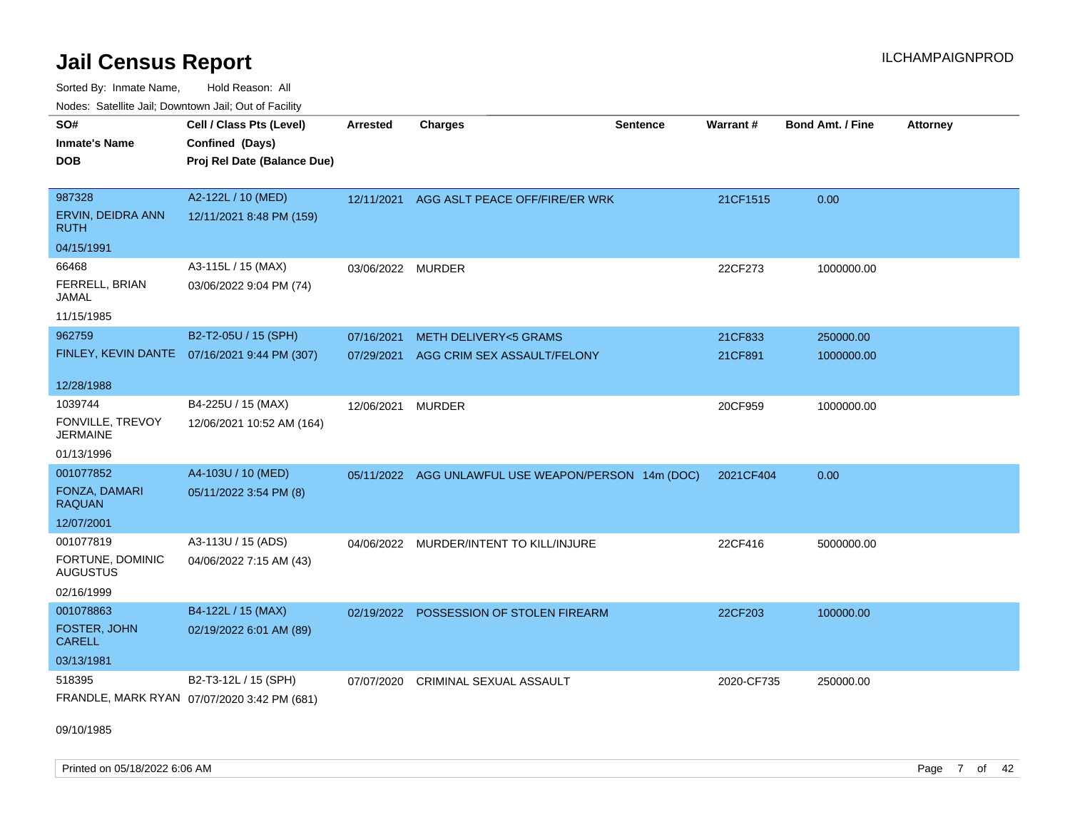Sorted By: Inmate Name, Hold Reason: All Nodes: Satellite Jail; Downtown Jail; Out of Facility

| nouco. Catolino can, Downtown can, Out of Facility |                                              |                   |                                                     |                 |                 |                         |                 |
|----------------------------------------------------|----------------------------------------------|-------------------|-----------------------------------------------------|-----------------|-----------------|-------------------------|-----------------|
| SO#                                                | Cell / Class Pts (Level)                     | <b>Arrested</b>   | <b>Charges</b>                                      | <b>Sentence</b> | <b>Warrant#</b> | <b>Bond Amt. / Fine</b> | <b>Attorney</b> |
| <b>Inmate's Name</b>                               | Confined (Days)                              |                   |                                                     |                 |                 |                         |                 |
| DOB                                                | Proj Rel Date (Balance Due)                  |                   |                                                     |                 |                 |                         |                 |
|                                                    |                                              |                   |                                                     |                 |                 |                         |                 |
| 987328                                             | A2-122L / 10 (MED)                           | 12/11/2021        | AGG ASLT PEACE OFF/FIRE/ER WRK                      |                 | 21CF1515        | 0.00                    |                 |
| ERVIN, DEIDRA ANN<br><b>RUTH</b>                   | 12/11/2021 8:48 PM (159)                     |                   |                                                     |                 |                 |                         |                 |
| 04/15/1991                                         |                                              |                   |                                                     |                 |                 |                         |                 |
| 66468                                              | A3-115L / 15 (MAX)                           | 03/06/2022 MURDER |                                                     |                 | 22CF273         | 1000000.00              |                 |
| FERRELL, BRIAN<br>JAMAL                            | 03/06/2022 9:04 PM (74)                      |                   |                                                     |                 |                 |                         |                 |
| 11/15/1985                                         |                                              |                   |                                                     |                 |                 |                         |                 |
| 962759                                             | B2-T2-05U / 15 (SPH)                         | 07/16/2021        | <b>METH DELIVERY&lt;5 GRAMS</b>                     |                 | 21CF833         | 250000.00               |                 |
|                                                    | FINLEY, KEVIN DANTE 07/16/2021 9:44 PM (307) | 07/29/2021        | AGG CRIM SEX ASSAULT/FELONY                         |                 | 21CF891         | 1000000.00              |                 |
|                                                    |                                              |                   |                                                     |                 |                 |                         |                 |
| 12/28/1988                                         |                                              |                   |                                                     |                 |                 |                         |                 |
| 1039744                                            | B4-225U / 15 (MAX)                           | 12/06/2021        | <b>MURDER</b>                                       |                 | 20CF959         | 1000000.00              |                 |
| FONVILLE, TREVOY<br><b>JERMAINE</b>                | 12/06/2021 10:52 AM (164)                    |                   |                                                     |                 |                 |                         |                 |
| 01/13/1996                                         |                                              |                   |                                                     |                 |                 |                         |                 |
| 001077852                                          | A4-103U / 10 (MED)                           |                   | 05/11/2022 AGG UNLAWFUL USE WEAPON/PERSON 14m (DOC) |                 | 2021CF404       | 0.00                    |                 |
| FONZA, DAMARI<br><b>RAQUAN</b>                     | 05/11/2022 3:54 PM (8)                       |                   |                                                     |                 |                 |                         |                 |
| 12/07/2001                                         |                                              |                   |                                                     |                 |                 |                         |                 |
| 001077819                                          | A3-113U / 15 (ADS)                           | 04/06/2022        | MURDER/INTENT TO KILL/INJURE                        |                 | 22CF416         | 5000000.00              |                 |
| FORTUNE, DOMINIC<br><b>AUGUSTUS</b>                | 04/06/2022 7:15 AM (43)                      |                   |                                                     |                 |                 |                         |                 |
| 02/16/1999                                         |                                              |                   |                                                     |                 |                 |                         |                 |
| 001078863                                          | B4-122L / 15 (MAX)                           |                   | 02/19/2022 POSSESSION OF STOLEN FIREARM             |                 | 22CF203         | 100000.00               |                 |
| FOSTER, JOHN<br><b>CARELL</b>                      | 02/19/2022 6:01 AM (89)                      |                   |                                                     |                 |                 |                         |                 |
| 03/13/1981                                         |                                              |                   |                                                     |                 |                 |                         |                 |
| 518395                                             | B2-T3-12L / 15 (SPH)                         | 07/07/2020        | <b>CRIMINAL SEXUAL ASSAULT</b>                      |                 | 2020-CF735      | 250000.00               |                 |
|                                                    | FRANDLE, MARK RYAN 07/07/2020 3:42 PM (681)  |                   |                                                     |                 |                 |                         |                 |

09/10/1985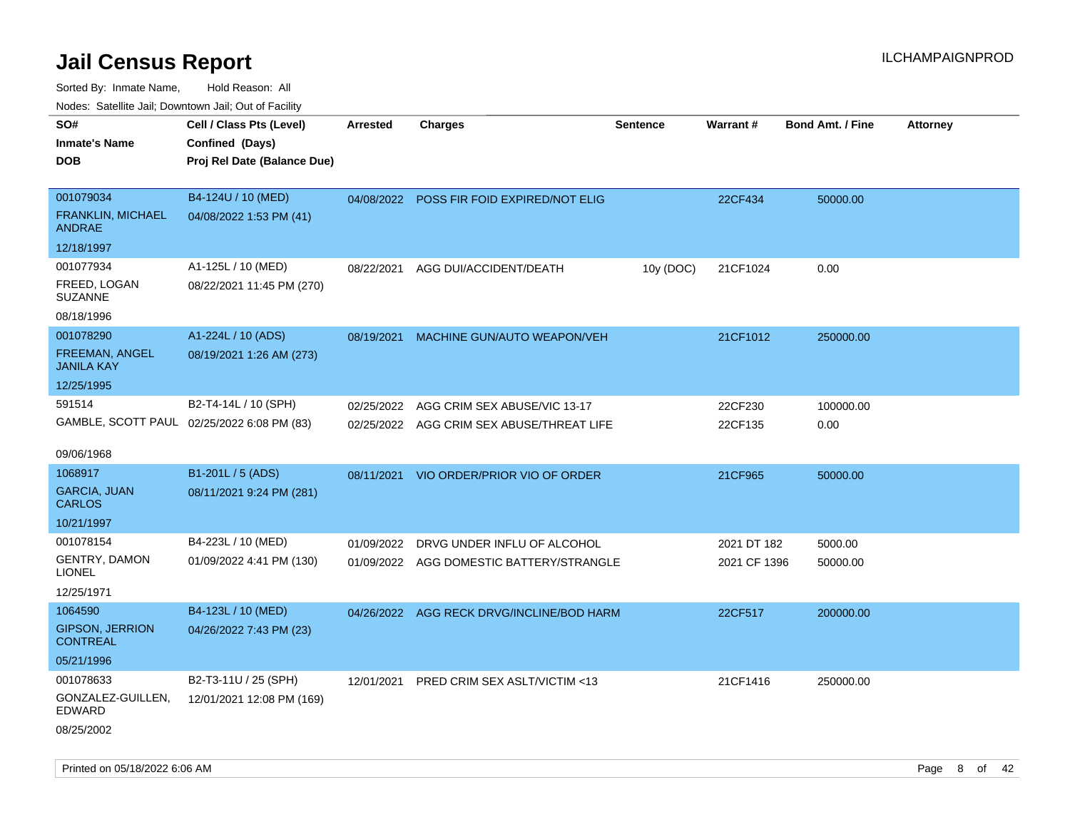Sorted By: Inmate Name, Hold Reason: All Nodes: Satellite Jail; Downtown Jail; Out of Facility

| rouco. Calcinic Jan, Downtown Jan, Out of Facility |                             |                 |                                           |                 |              |                         |                 |
|----------------------------------------------------|-----------------------------|-----------------|-------------------------------------------|-----------------|--------------|-------------------------|-----------------|
| SO#                                                | Cell / Class Pts (Level)    | <b>Arrested</b> | <b>Charges</b>                            | <b>Sentence</b> | Warrant#     | <b>Bond Amt. / Fine</b> | <b>Attorney</b> |
| Inmate's Name                                      | Confined (Days)             |                 |                                           |                 |              |                         |                 |
| <b>DOB</b>                                         | Proj Rel Date (Balance Due) |                 |                                           |                 |              |                         |                 |
|                                                    |                             |                 |                                           |                 |              |                         |                 |
| 001079034                                          | B4-124U / 10 (MED)          |                 | 04/08/2022 POSS FIR FOID EXPIRED/NOT ELIG |                 | 22CF434      | 50000.00                |                 |
| <b>FRANKLIN, MICHAEL</b><br>ANDRAE                 | 04/08/2022 1:53 PM (41)     |                 |                                           |                 |              |                         |                 |
| 12/18/1997                                         |                             |                 |                                           |                 |              |                         |                 |
| 001077934                                          | A1-125L / 10 (MED)          | 08/22/2021      | AGG DUI/ACCIDENT/DEATH                    | 10y (DOC)       | 21CF1024     | 0.00                    |                 |
| FREED, LOGAN<br><b>SUZANNE</b>                     | 08/22/2021 11:45 PM (270)   |                 |                                           |                 |              |                         |                 |
| 08/18/1996                                         |                             |                 |                                           |                 |              |                         |                 |
| 001078290                                          | A1-224L / 10 (ADS)          | 08/19/2021      | MACHINE GUN/AUTO WEAPON/VEH               |                 | 21CF1012     | 250000.00               |                 |
| FREEMAN, ANGEL<br>JANILA KAY                       | 08/19/2021 1:26 AM (273)    |                 |                                           |                 |              |                         |                 |
| 12/25/1995                                         |                             |                 |                                           |                 |              |                         |                 |
| 591514                                             | B2-T4-14L / 10 (SPH)        | 02/25/2022      | AGG CRIM SEX ABUSE/VIC 13-17              |                 | 22CF230      | 100000.00               |                 |
| GAMBLE, SCOTT PAUL 02/25/2022 6:08 PM (83)         |                             | 02/25/2022      | AGG CRIM SEX ABUSE/THREAT LIFE            |                 | 22CF135      | 0.00                    |                 |
|                                                    |                             |                 |                                           |                 |              |                         |                 |
| 09/06/1968                                         |                             |                 |                                           |                 |              |                         |                 |
| 1068917                                            | B1-201L / 5 (ADS)           | 08/11/2021      | VIO ORDER/PRIOR VIO OF ORDER              |                 | 21CF965      | 50000.00                |                 |
| <b>GARCIA, JUAN</b><br>CARLOS                      | 08/11/2021 9:24 PM (281)    |                 |                                           |                 |              |                         |                 |
| 10/21/1997                                         |                             |                 |                                           |                 |              |                         |                 |
| 001078154                                          | B4-223L / 10 (MED)          | 01/09/2022      | DRVG UNDER INFLU OF ALCOHOL               |                 | 2021 DT 182  | 5000.00                 |                 |
| <b>GENTRY, DAMON</b><br>LIONEL                     | 01/09/2022 4:41 PM (130)    |                 | 01/09/2022 AGG DOMESTIC BATTERY/STRANGLE  |                 | 2021 CF 1396 | 50000.00                |                 |
| 12/25/1971                                         |                             |                 |                                           |                 |              |                         |                 |
| 1064590                                            | B4-123L / 10 (MED)          | 04/26/2022      | AGG RECK DRVG/INCLINE/BOD HARM            |                 | 22CF517      | 200000.00               |                 |
| <b>GIPSON, JERRION</b><br><b>CONTREAL</b>          | 04/26/2022 7:43 PM (23)     |                 |                                           |                 |              |                         |                 |
| 05/21/1996                                         |                             |                 |                                           |                 |              |                         |                 |
| 001078633                                          | B2-T3-11U / 25 (SPH)        | 12/01/2021      | PRED CRIM SEX ASLT/VICTIM <13             |                 | 21CF1416     | 250000.00               |                 |
| GONZALEZ-GUILLEN,<br>EDWARD                        | 12/01/2021 12:08 PM (169)   |                 |                                           |                 |              |                         |                 |
| 08/25/2002                                         |                             |                 |                                           |                 |              |                         |                 |

Printed on 05/18/2022 6:06 AM Page 8 of 42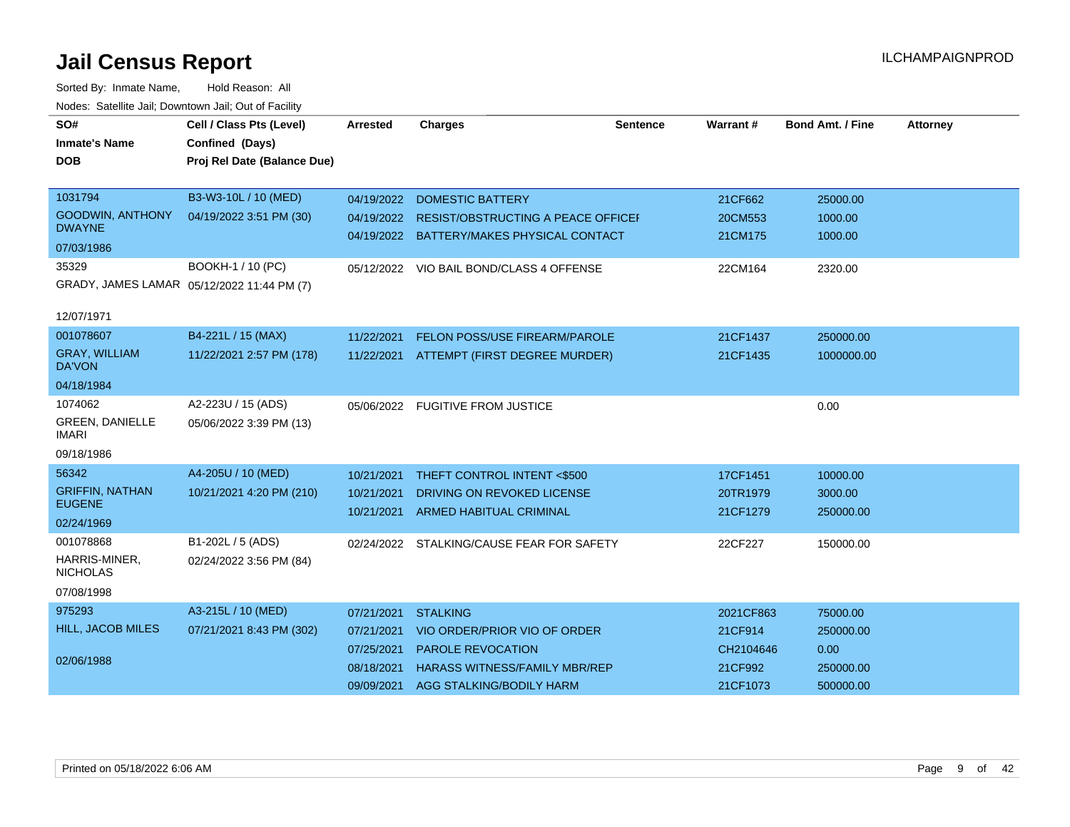| SO#                                      | Cell / Class Pts (Level)                   | <b>Arrested</b> | <b>Charges</b>                            | <b>Sentence</b> | Warrant#  | <b>Bond Amt. / Fine</b> | <b>Attorney</b> |
|------------------------------------------|--------------------------------------------|-----------------|-------------------------------------------|-----------------|-----------|-------------------------|-----------------|
| <b>Inmate's Name</b>                     | Confined (Days)                            |                 |                                           |                 |           |                         |                 |
| <b>DOB</b>                               | Proj Rel Date (Balance Due)                |                 |                                           |                 |           |                         |                 |
|                                          |                                            |                 |                                           |                 |           |                         |                 |
| 1031794                                  | B3-W3-10L / 10 (MED)                       | 04/19/2022      | <b>DOMESTIC BATTERY</b>                   |                 | 21CF662   | 25000.00                |                 |
| <b>GOODWIN, ANTHONY</b><br><b>DWAYNE</b> | 04/19/2022 3:51 PM (30)                    | 04/19/2022      | RESIST/OBSTRUCTING A PEACE OFFICE         |                 | 20CM553   | 1000.00                 |                 |
| 07/03/1986                               |                                            |                 | 04/19/2022 BATTERY/MAKES PHYSICAL CONTACT |                 | 21CM175   | 1000.00                 |                 |
| 35329                                    | BOOKH-1 / 10 (PC)                          |                 | 05/12/2022 VIO BAIL BOND/CLASS 4 OFFENSE  |                 | 22CM164   | 2320.00                 |                 |
|                                          | GRADY, JAMES LAMAR 05/12/2022 11:44 PM (7) |                 |                                           |                 |           |                         |                 |
| 12/07/1971                               |                                            |                 |                                           |                 |           |                         |                 |
| 001078607                                | B4-221L / 15 (MAX)                         | 11/22/2021      | FELON POSS/USE FIREARM/PAROLE             |                 | 21CF1437  | 250000.00               |                 |
| <b>GRAY, WILLIAM</b><br><b>DA'VON</b>    | 11/22/2021 2:57 PM (178)                   |                 | 11/22/2021 ATTEMPT (FIRST DEGREE MURDER)  |                 | 21CF1435  | 1000000.00              |                 |
| 04/18/1984                               |                                            |                 |                                           |                 |           |                         |                 |
| 1074062                                  | A2-223U / 15 (ADS)                         |                 | 05/06/2022 FUGITIVE FROM JUSTICE          |                 |           | 0.00                    |                 |
| <b>GREEN, DANIELLE</b><br><b>IMARI</b>   | 05/06/2022 3:39 PM (13)                    |                 |                                           |                 |           |                         |                 |
| 09/18/1986                               |                                            |                 |                                           |                 |           |                         |                 |
| 56342                                    | A4-205U / 10 (MED)                         | 10/21/2021      | THEFT CONTROL INTENT <\$500               |                 | 17CF1451  | 10000.00                |                 |
| <b>GRIFFIN, NATHAN</b><br><b>EUGENE</b>  | 10/21/2021 4:20 PM (210)                   | 10/21/2021      | DRIVING ON REVOKED LICENSE                |                 | 20TR1979  | 3000.00                 |                 |
| 02/24/1969                               |                                            | 10/21/2021      | <b>ARMED HABITUAL CRIMINAL</b>            |                 | 21CF1279  | 250000.00               |                 |
| 001078868                                | B1-202L / 5 (ADS)                          |                 | 02/24/2022 STALKING/CAUSE FEAR FOR SAFETY |                 | 22CF227   | 150000.00               |                 |
| HARRIS-MINER.<br><b>NICHOLAS</b>         | 02/24/2022 3:56 PM (84)                    |                 |                                           |                 |           |                         |                 |
| 07/08/1998                               |                                            |                 |                                           |                 |           |                         |                 |
| 975293                                   | A3-215L / 10 (MED)                         | 07/21/2021      | <b>STALKING</b>                           |                 | 2021CF863 | 75000.00                |                 |
| HILL, JACOB MILES                        | 07/21/2021 8:43 PM (302)                   | 07/21/2021      | VIO ORDER/PRIOR VIO OF ORDER              |                 | 21CF914   | 250000.00               |                 |
|                                          |                                            | 07/25/2021      | PAROLE REVOCATION                         |                 | CH2104646 | 0.00                    |                 |
| 02/06/1988                               |                                            | 08/18/2021      | <b>HARASS WITNESS/FAMILY MBR/REP</b>      |                 | 21CF992   | 250000.00               |                 |
|                                          |                                            | 09/09/2021      | AGG STALKING/BODILY HARM                  |                 | 21CF1073  | 500000.00               |                 |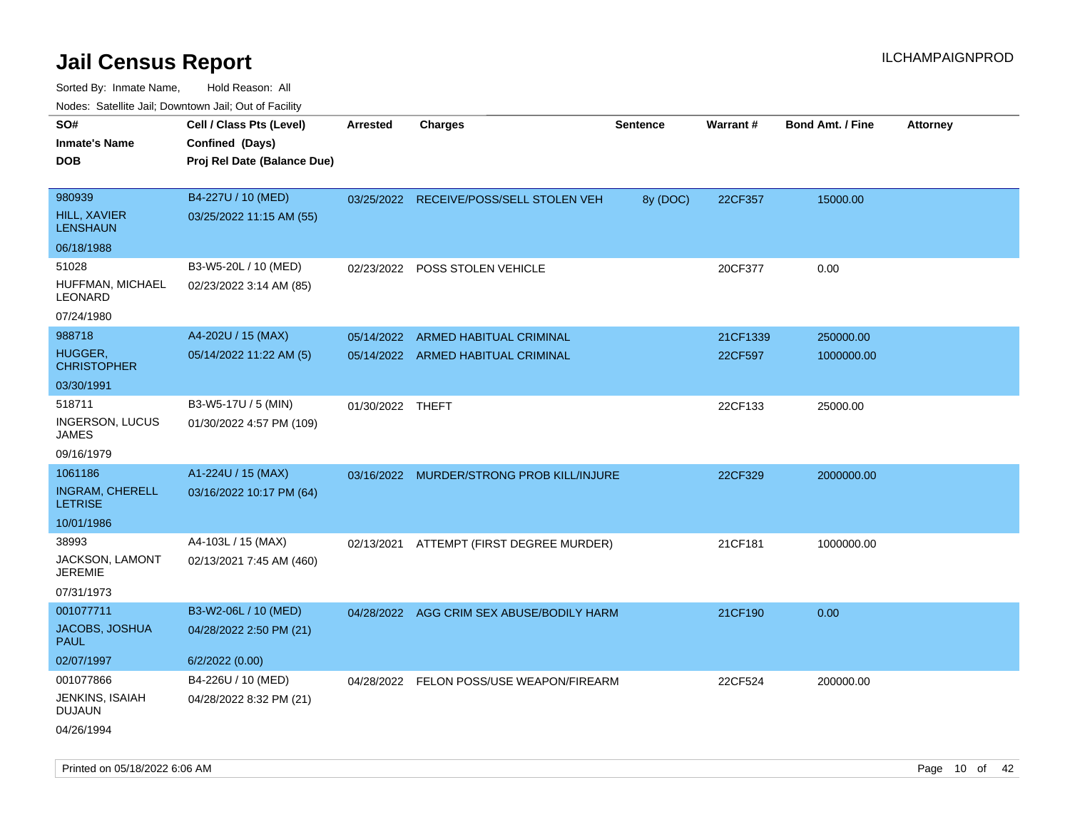| Nudes. Satellite Jali, Downtown Jali, Out of Facility |                             |                  |                                           |                 |          |                         |                 |
|-------------------------------------------------------|-----------------------------|------------------|-------------------------------------------|-----------------|----------|-------------------------|-----------------|
| SO#                                                   | Cell / Class Pts (Level)    | Arrested         | <b>Charges</b>                            | <b>Sentence</b> | Warrant# | <b>Bond Amt. / Fine</b> | <b>Attorney</b> |
| <b>Inmate's Name</b>                                  | Confined (Days)             |                  |                                           |                 |          |                         |                 |
| DOB                                                   | Proj Rel Date (Balance Due) |                  |                                           |                 |          |                         |                 |
|                                                       |                             |                  |                                           |                 |          |                         |                 |
| 980939                                                | B4-227U / 10 (MED)          |                  | 03/25/2022 RECEIVE/POSS/SELL STOLEN VEH   | 8y (DOC)        | 22CF357  | 15000.00                |                 |
| <b>HILL, XAVIER</b><br><b>LENSHAUN</b>                | 03/25/2022 11:15 AM (55)    |                  |                                           |                 |          |                         |                 |
| 06/18/1988                                            |                             |                  |                                           |                 |          |                         |                 |
| 51028                                                 | B3-W5-20L / 10 (MED)        | 02/23/2022       | POSS STOLEN VEHICLE                       |                 | 20CF377  | 0.00                    |                 |
| HUFFMAN, MICHAEL<br>LEONARD                           | 02/23/2022 3:14 AM (85)     |                  |                                           |                 |          |                         |                 |
| 07/24/1980                                            |                             |                  |                                           |                 |          |                         |                 |
| 988718                                                | A4-202U / 15 (MAX)          | 05/14/2022       | ARMED HABITUAL CRIMINAL                   |                 | 21CF1339 | 250000.00               |                 |
| HUGGER,<br>CHRISTOPHER                                | 05/14/2022 11:22 AM (5)     |                  | 05/14/2022 ARMED HABITUAL CRIMINAL        |                 | 22CF597  | 1000000.00              |                 |
| 03/30/1991                                            |                             |                  |                                           |                 |          |                         |                 |
| 518711                                                | B3-W5-17U / 5 (MIN)         | 01/30/2022 THEFT |                                           |                 | 22CF133  | 25000.00                |                 |
| INGERSON, LUCUS<br>JAMES                              | 01/30/2022 4:57 PM (109)    |                  |                                           |                 |          |                         |                 |
| 09/16/1979                                            |                             |                  |                                           |                 |          |                         |                 |
| 1061186                                               | A1-224U / 15 (MAX)          | 03/16/2022       | <b>MURDER/STRONG PROB KILL/INJURE</b>     |                 | 22CF329  | 2000000.00              |                 |
| <b>INGRAM, CHERELL</b><br><b>LETRISE</b>              | 03/16/2022 10:17 PM (64)    |                  |                                           |                 |          |                         |                 |
| 10/01/1986                                            |                             |                  |                                           |                 |          |                         |                 |
| 38993                                                 | A4-103L / 15 (MAX)          |                  | 02/13/2021 ATTEMPT (FIRST DEGREE MURDER)  |                 | 21CF181  | 1000000.00              |                 |
| JACKSON, LAMONT<br>JEREMIE                            | 02/13/2021 7:45 AM (460)    |                  |                                           |                 |          |                         |                 |
| 07/31/1973                                            |                             |                  |                                           |                 |          |                         |                 |
| 001077711                                             | B3-W2-06L / 10 (MED)        |                  | 04/28/2022 AGG CRIM SEX ABUSE/BODILY HARM |                 | 21CF190  | 0.00                    |                 |
| JACOBS, JOSHUA<br>PAUL                                | 04/28/2022 2:50 PM (21)     |                  |                                           |                 |          |                         |                 |
| 02/07/1997                                            | 6/2/2022(0.00)              |                  |                                           |                 |          |                         |                 |
| 001077866                                             | B4-226U / 10 (MED)          |                  | 04/28/2022 FELON POSS/USE WEAPON/FIREARM  |                 | 22CF524  | 200000.00               |                 |
| JENKINS, ISAIAH<br>DUJAUN                             | 04/28/2022 8:32 PM (21)     |                  |                                           |                 |          |                         |                 |
| 04/26/1994                                            |                             |                  |                                           |                 |          |                         |                 |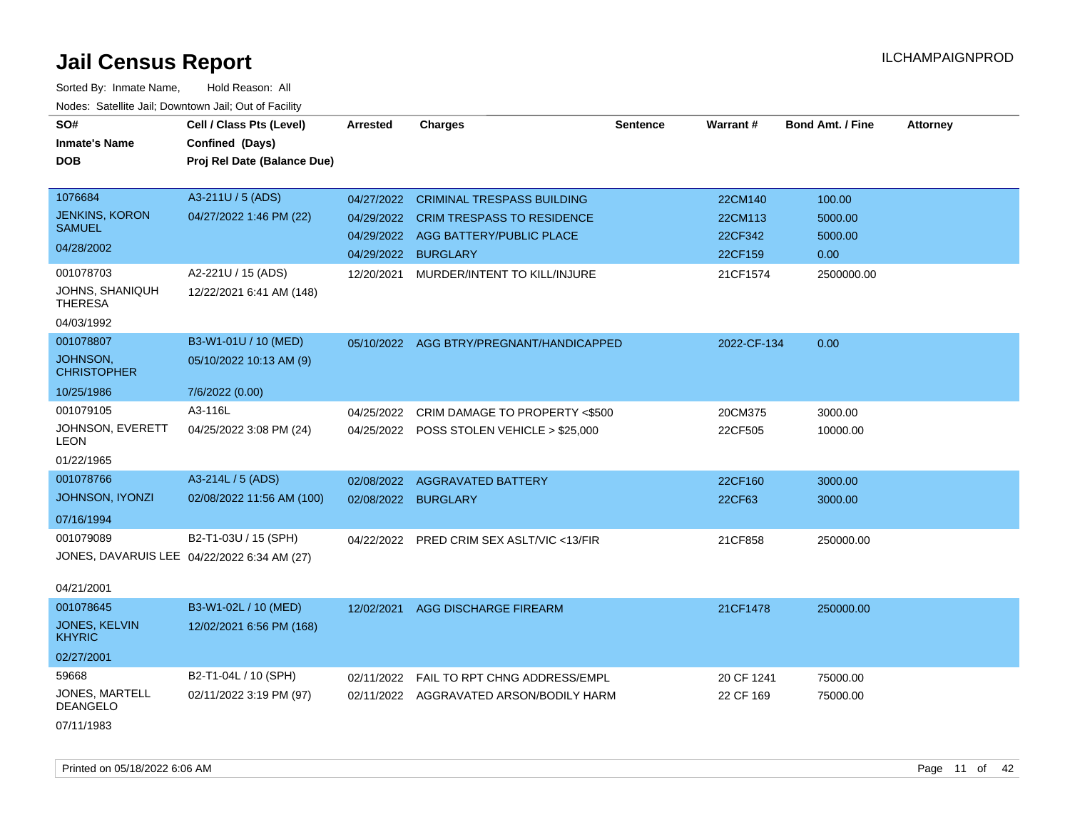| SO#                                         | Cell / Class Pts (Level)    | <b>Arrested</b> | <b>Charges</b>                            | <b>Sentence</b> | Warrant#    | <b>Bond Amt. / Fine</b> | <b>Attorney</b> |
|---------------------------------------------|-----------------------------|-----------------|-------------------------------------------|-----------------|-------------|-------------------------|-----------------|
| <b>Inmate's Name</b>                        | Confined (Days)             |                 |                                           |                 |             |                         |                 |
| <b>DOB</b>                                  | Proj Rel Date (Balance Due) |                 |                                           |                 |             |                         |                 |
|                                             |                             |                 |                                           |                 |             |                         |                 |
| 1076684                                     | A3-211U / 5 (ADS)           | 04/27/2022      | <b>CRIMINAL TRESPASS BUILDING</b>         |                 | 22CM140     | 100.00                  |                 |
| <b>JENKINS, KORON</b>                       | 04/27/2022 1:46 PM (22)     | 04/29/2022      | <b>CRIM TRESPASS TO RESIDENCE</b>         |                 | 22CM113     | 5000.00                 |                 |
| <b>SAMUEL</b>                               |                             | 04/29/2022      | AGG BATTERY/PUBLIC PLACE                  |                 | 22CF342     | 5000.00                 |                 |
| 04/28/2002                                  |                             | 04/29/2022      | <b>BURGLARY</b>                           |                 | 22CF159     | 0.00                    |                 |
| 001078703                                   | A2-221U / 15 (ADS)          | 12/20/2021      | MURDER/INTENT TO KILL/INJURE              |                 | 21CF1574    | 2500000.00              |                 |
| JOHNS, SHANIQUH<br><b>THERESA</b>           | 12/22/2021 6:41 AM (148)    |                 |                                           |                 |             |                         |                 |
| 04/03/1992                                  |                             |                 |                                           |                 |             |                         |                 |
| 001078807                                   | B3-W1-01U / 10 (MED)        |                 | 05/10/2022 AGG BTRY/PREGNANT/HANDICAPPED  |                 | 2022-CF-134 | 0.00                    |                 |
| JOHNSON,<br><b>CHRISTOPHER</b>              | 05/10/2022 10:13 AM (9)     |                 |                                           |                 |             |                         |                 |
| 10/25/1986                                  | 7/6/2022 (0.00)             |                 |                                           |                 |             |                         |                 |
| 001079105                                   | A3-116L                     | 04/25/2022      | CRIM DAMAGE TO PROPERTY <\$500            |                 | 20CM375     | 3000.00                 |                 |
| JOHNSON, EVERETT<br>LEON                    | 04/25/2022 3:08 PM (24)     |                 | 04/25/2022 POSS STOLEN VEHICLE > \$25,000 |                 | 22CF505     | 10000.00                |                 |
| 01/22/1965                                  |                             |                 |                                           |                 |             |                         |                 |
| 001078766                                   | A3-214L / 5 (ADS)           | 02/08/2022      | <b>AGGRAVATED BATTERY</b>                 |                 | 22CF160     | 3000.00                 |                 |
| JOHNSON, IYONZI                             | 02/08/2022 11:56 AM (100)   | 02/08/2022      | <b>BURGLARY</b>                           |                 | 22CF63      | 3000.00                 |                 |
| 07/16/1994                                  |                             |                 |                                           |                 |             |                         |                 |
| 001079089                                   | B2-T1-03U / 15 (SPH)        | 04/22/2022      | PRED CRIM SEX ASLT/VIC <13/FIR            |                 | 21CF858     | 250000.00               |                 |
| JONES, DAVARUIS LEE 04/22/2022 6:34 AM (27) |                             |                 |                                           |                 |             |                         |                 |
|                                             |                             |                 |                                           |                 |             |                         |                 |
| 04/21/2001                                  |                             |                 |                                           |                 |             |                         |                 |
| 001078645                                   | B3-W1-02L / 10 (MED)        | 12/02/2021      | AGG DISCHARGE FIREARM                     |                 | 21CF1478    | 250000.00               |                 |
| <b>JONES, KELVIN</b><br><b>KHYRIC</b>       | 12/02/2021 6:56 PM (168)    |                 |                                           |                 |             |                         |                 |
| 02/27/2001                                  |                             |                 |                                           |                 |             |                         |                 |
| 59668                                       | B2-T1-04L / 10 (SPH)        | 02/11/2022      | FAIL TO RPT CHNG ADDRESS/EMPL             |                 | 20 CF 1241  | 75000.00                |                 |
| <b>JONES, MARTELL</b><br><b>DEANGELO</b>    | 02/11/2022 3:19 PM (97)     |                 | 02/11/2022 AGGRAVATED ARSON/BODILY HARM   |                 | 22 CF 169   | 75000.00                |                 |
| 07/11/1983                                  |                             |                 |                                           |                 |             |                         |                 |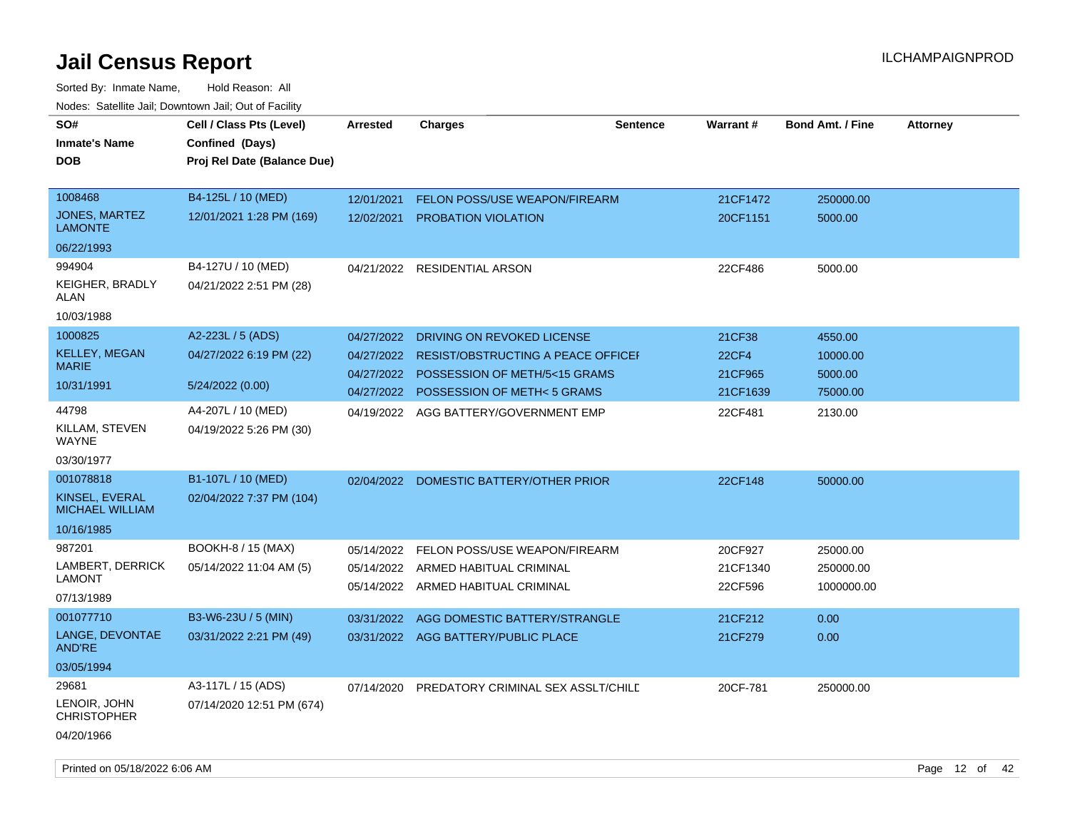| SO#                                      | Cell / Class Pts (Level)    | <b>Arrested</b> | <b>Charges</b>                            | <b>Sentence</b> | Warrant#     | <b>Bond Amt. / Fine</b> | <b>Attorney</b> |
|------------------------------------------|-----------------------------|-----------------|-------------------------------------------|-----------------|--------------|-------------------------|-----------------|
| <b>Inmate's Name</b>                     | Confined (Days)             |                 |                                           |                 |              |                         |                 |
| DOB                                      | Proj Rel Date (Balance Due) |                 |                                           |                 |              |                         |                 |
|                                          |                             |                 |                                           |                 |              |                         |                 |
| 1008468                                  | B4-125L / 10 (MED)          | 12/01/2021      | <b>FELON POSS/USE WEAPON/FIREARM</b>      |                 | 21CF1472     | 250000.00               |                 |
| JONES, MARTEZ<br><b>LAMONTE</b>          | 12/01/2021 1:28 PM (169)    | 12/02/2021      | PROBATION VIOLATION                       |                 | 20CF1151     | 5000.00                 |                 |
| 06/22/1993                               |                             |                 |                                           |                 |              |                         |                 |
| 994904                                   | B4-127U / 10 (MED)          |                 | 04/21/2022 RESIDENTIAL ARSON              |                 | 22CF486      | 5000.00                 |                 |
| KEIGHER, BRADLY<br>ALAN                  | 04/21/2022 2:51 PM (28)     |                 |                                           |                 |              |                         |                 |
| 10/03/1988                               |                             |                 |                                           |                 |              |                         |                 |
| 1000825                                  | A2-223L / 5 (ADS)           | 04/27/2022      | DRIVING ON REVOKED LICENSE                |                 | 21CF38       | 4550.00                 |                 |
| <b>KELLEY, MEGAN</b>                     | 04/27/2022 6:19 PM (22)     | 04/27/2022      | <b>RESIST/OBSTRUCTING A PEACE OFFICEF</b> |                 | <b>22CF4</b> | 10000.00                |                 |
| <b>MARIE</b>                             |                             | 04/27/2022      | POSSESSION OF METH/5<15 GRAMS             |                 | 21CF965      | 5000.00                 |                 |
| 10/31/1991                               | 5/24/2022 (0.00)            | 04/27/2022      | <b>POSSESSION OF METH&lt;5 GRAMS</b>      |                 | 21CF1639     | 75000.00                |                 |
| 44798                                    | A4-207L / 10 (MED)          | 04/19/2022      | AGG BATTERY/GOVERNMENT EMP                |                 | 22CF481      | 2130.00                 |                 |
| KILLAM, STEVEN<br><b>WAYNE</b>           | 04/19/2022 5:26 PM (30)     |                 |                                           |                 |              |                         |                 |
| 03/30/1977                               |                             |                 |                                           |                 |              |                         |                 |
| 001078818                                | B1-107L / 10 (MED)          |                 | 02/04/2022 DOMESTIC BATTERY/OTHER PRIOR   |                 | 22CF148      | 50000.00                |                 |
| KINSEL, EVERAL<br><b>MICHAEL WILLIAM</b> | 02/04/2022 7:37 PM (104)    |                 |                                           |                 |              |                         |                 |
| 10/16/1985                               |                             |                 |                                           |                 |              |                         |                 |
| 987201                                   | BOOKH-8 / 15 (MAX)          | 05/14/2022      | FELON POSS/USE WEAPON/FIREARM             |                 | 20CF927      | 25000.00                |                 |
| LAMBERT, DERRICK                         | 05/14/2022 11:04 AM (5)     | 05/14/2022      | ARMED HABITUAL CRIMINAL                   |                 | 21CF1340     | 250000.00               |                 |
| LAMONT                                   |                             | 05/14/2022      | ARMED HABITUAL CRIMINAL                   |                 | 22CF596      | 1000000.00              |                 |
| 07/13/1989                               |                             |                 |                                           |                 |              |                         |                 |
| 001077710                                | B3-W6-23U / 5 (MIN)         | 03/31/2022      | AGG DOMESTIC BATTERY/STRANGLE             |                 | 21CF212      | 0.00                    |                 |
| LANGE, DEVONTAE<br><b>AND'RE</b>         | 03/31/2022 2:21 PM (49)     | 03/31/2022      | AGG BATTERY/PUBLIC PLACE                  |                 | 21CF279      | 0.00                    |                 |
| 03/05/1994                               |                             |                 |                                           |                 |              |                         |                 |
| 29681                                    | A3-117L / 15 (ADS)          | 07/14/2020      | PREDATORY CRIMINAL SEX ASSLT/CHILE        |                 | 20CF-781     | 250000.00               |                 |
| LENOIR, JOHN<br><b>CHRISTOPHER</b>       | 07/14/2020 12:51 PM (674)   |                 |                                           |                 |              |                         |                 |
| 04/20/1966                               |                             |                 |                                           |                 |              |                         |                 |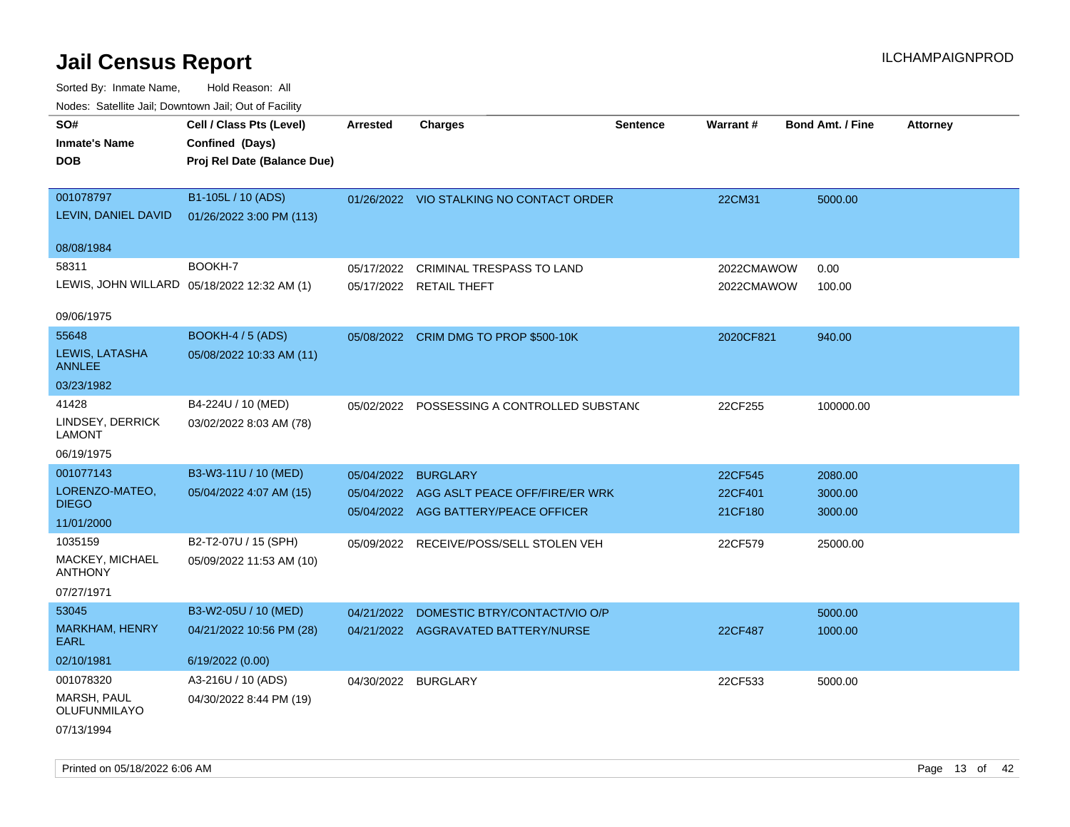| <b>NOULD:</b> Catoline bail, Downtown bail, Out of I dollty |                                             |                     |                                             |                 |            |                         |                 |
|-------------------------------------------------------------|---------------------------------------------|---------------------|---------------------------------------------|-----------------|------------|-------------------------|-----------------|
| SO#                                                         | Cell / Class Pts (Level)                    | <b>Arrested</b>     | <b>Charges</b>                              | <b>Sentence</b> | Warrant#   | <b>Bond Amt. / Fine</b> | <b>Attorney</b> |
| <b>Inmate's Name</b>                                        | Confined (Days)                             |                     |                                             |                 |            |                         |                 |
| <b>DOB</b>                                                  | Proj Rel Date (Balance Due)                 |                     |                                             |                 |            |                         |                 |
|                                                             |                                             |                     |                                             |                 |            |                         |                 |
| 001078797                                                   | B1-105L / 10 (ADS)                          |                     | 01/26/2022 VIO STALKING NO CONTACT ORDER    |                 | 22CM31     | 5000.00                 |                 |
| LEVIN, DANIEL DAVID                                         | 01/26/2022 3:00 PM (113)                    |                     |                                             |                 |            |                         |                 |
|                                                             |                                             |                     |                                             |                 |            |                         |                 |
| 08/08/1984                                                  |                                             |                     |                                             |                 |            |                         |                 |
| 58311                                                       | BOOKH-7                                     | 05/17/2022          | <b>CRIMINAL TRESPASS TO LAND</b>            |                 | 2022CMAWOW | 0.00                    |                 |
|                                                             | LEWIS, JOHN WILLARD 05/18/2022 12:32 AM (1) |                     | 05/17/2022 RETAIL THEFT                     |                 | 2022CMAWOW | 100.00                  |                 |
|                                                             |                                             |                     |                                             |                 |            |                         |                 |
| 09/06/1975                                                  |                                             |                     |                                             |                 |            |                         |                 |
| 55648                                                       | <b>BOOKH-4 / 5 (ADS)</b>                    |                     | 05/08/2022 CRIM DMG TO PROP \$500-10K       |                 | 2020CF821  | 940.00                  |                 |
| LEWIS, LATASHA<br><b>ANNLEE</b>                             | 05/08/2022 10:33 AM (11)                    |                     |                                             |                 |            |                         |                 |
| 03/23/1982                                                  |                                             |                     |                                             |                 |            |                         |                 |
| 41428                                                       | B4-224U / 10 (MED)                          |                     | 05/02/2022 POSSESSING A CONTROLLED SUBSTANG |                 | 22CF255    | 100000.00               |                 |
| LINDSEY, DERRICK                                            | 03/02/2022 8:03 AM (78)                     |                     |                                             |                 |            |                         |                 |
| <b>LAMONT</b>                                               |                                             |                     |                                             |                 |            |                         |                 |
| 06/19/1975                                                  |                                             |                     |                                             |                 |            |                         |                 |
| 001077143                                                   | B3-W3-11U / 10 (MED)                        | 05/04/2022 BURGLARY |                                             |                 | 22CF545    | 2080.00                 |                 |
| LORENZO-MATEO,                                              | 05/04/2022 4:07 AM (15)                     |                     | 05/04/2022 AGG ASLT PEACE OFF/FIRE/ER WRK   |                 | 22CF401    | 3000.00                 |                 |
| <b>DIEGO</b>                                                |                                             |                     | 05/04/2022 AGG BATTERY/PEACE OFFICER        |                 | 21CF180    | 3000.00                 |                 |
| 11/01/2000                                                  |                                             |                     |                                             |                 |            |                         |                 |
| 1035159                                                     | B2-T2-07U / 15 (SPH)                        | 05/09/2022          | RECEIVE/POSS/SELL STOLEN VEH                |                 | 22CF579    | 25000.00                |                 |
| MACKEY, MICHAEL                                             | 05/09/2022 11:53 AM (10)                    |                     |                                             |                 |            |                         |                 |
| <b>ANTHONY</b>                                              |                                             |                     |                                             |                 |            |                         |                 |
| 07/27/1971                                                  |                                             |                     |                                             |                 |            |                         |                 |
| 53045                                                       | B3-W2-05U / 10 (MED)                        | 04/21/2022          | DOMESTIC BTRY/CONTACT/VIO O/P               |                 |            | 5000.00                 |                 |
| <b>MARKHAM, HENRY</b><br><b>EARL</b>                        | 04/21/2022 10:56 PM (28)                    |                     | 04/21/2022 AGGRAVATED BATTERY/NURSE         |                 | 22CF487    | 1000.00                 |                 |
|                                                             |                                             |                     |                                             |                 |            |                         |                 |
| 02/10/1981                                                  | 6/19/2022 (0.00)                            |                     |                                             |                 |            |                         |                 |
| 001078320                                                   | A3-216U / 10 (ADS)                          | 04/30/2022 BURGLARY |                                             |                 | 22CF533    | 5000.00                 |                 |
| MARSH, PAUL<br>OLUFUNMILAYO                                 | 04/30/2022 8:44 PM (19)                     |                     |                                             |                 |            |                         |                 |
| 07/13/1994                                                  |                                             |                     |                                             |                 |            |                         |                 |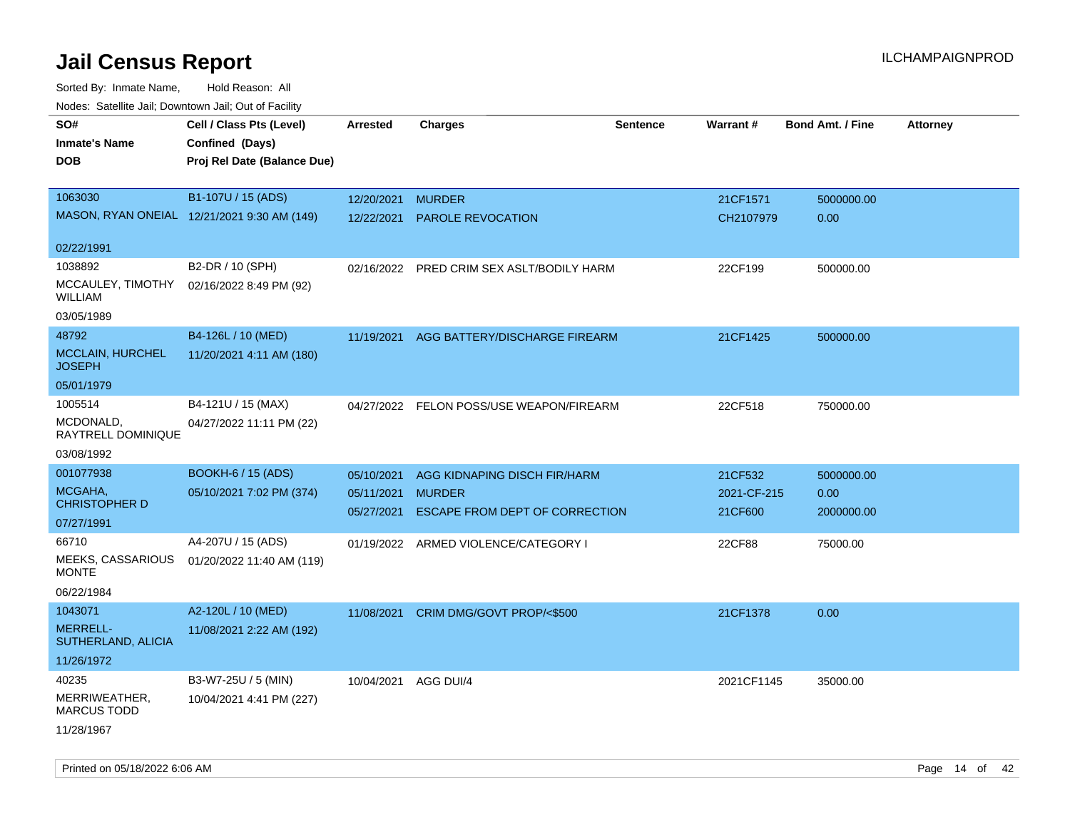Sorted By: Inmate Name, Hold Reason: All Nodes: Satellite Jail; Downtown Jail; Out of Facility

| rouce. Calcillic Jali, Downtown Jali, Out of Facility |                                             |                 |                                           |                 |             |                         |                 |
|-------------------------------------------------------|---------------------------------------------|-----------------|-------------------------------------------|-----------------|-------------|-------------------------|-----------------|
| SO#                                                   | Cell / Class Pts (Level)                    | <b>Arrested</b> | <b>Charges</b>                            | <b>Sentence</b> | Warrant#    | <b>Bond Amt. / Fine</b> | <b>Attorney</b> |
| <b>Inmate's Name</b>                                  | Confined (Days)                             |                 |                                           |                 |             |                         |                 |
| <b>DOB</b>                                            | Proj Rel Date (Balance Due)                 |                 |                                           |                 |             |                         |                 |
|                                                       |                                             |                 |                                           |                 |             |                         |                 |
| 1063030                                               | B1-107U / 15 (ADS)                          | 12/20/2021      | <b>MURDER</b>                             |                 | 21CF1571    | 5000000.00              |                 |
|                                                       | MASON, RYAN ONEIAL 12/21/2021 9:30 AM (149) | 12/22/2021      | <b>PAROLE REVOCATION</b>                  |                 | CH2107979   | 0.00                    |                 |
| 02/22/1991                                            |                                             |                 |                                           |                 |             |                         |                 |
| 1038892                                               | B2-DR / 10 (SPH)                            |                 | 02/16/2022 PRED CRIM SEX ASLT/BODILY HARM |                 | 22CF199     | 500000.00               |                 |
| MCCAULEY, TIMOTHY<br><b>WILLIAM</b>                   | 02/16/2022 8:49 PM (92)                     |                 |                                           |                 |             |                         |                 |
| 03/05/1989                                            |                                             |                 |                                           |                 |             |                         |                 |
| 48792                                                 | B4-126L / 10 (MED)                          | 11/19/2021      | AGG BATTERY/DISCHARGE FIREARM             |                 | 21CF1425    | 500000.00               |                 |
| <b>MCCLAIN, HURCHEL</b><br><b>JOSEPH</b>              | 11/20/2021 4:11 AM (180)                    |                 |                                           |                 |             |                         |                 |
| 05/01/1979                                            |                                             |                 |                                           |                 |             |                         |                 |
| 1005514                                               | B4-121U / 15 (MAX)                          |                 | 04/27/2022 FELON POSS/USE WEAPON/FIREARM  |                 | 22CF518     | 750000.00               |                 |
| MCDONALD,<br>RAYTRELL DOMINIQUE                       | 04/27/2022 11:11 PM (22)                    |                 |                                           |                 |             |                         |                 |
| 03/08/1992                                            |                                             |                 |                                           |                 |             |                         |                 |
| 001077938                                             | <b>BOOKH-6 / 15 (ADS)</b>                   | 05/10/2021      | AGG KIDNAPING DISCH FIR/HARM              |                 | 21CF532     | 5000000.00              |                 |
| MCGAHA,<br><b>CHRISTOPHER D</b>                       | 05/10/2021 7:02 PM (374)                    | 05/11/2021      | <b>MURDER</b>                             |                 | 2021-CF-215 | 0.00                    |                 |
| 07/27/1991                                            |                                             | 05/27/2021      | ESCAPE FROM DEPT OF CORRECTION            |                 | 21CF600     | 2000000.00              |                 |
| 66710                                                 | A4-207U / 15 (ADS)                          |                 | 01/19/2022 ARMED VIOLENCE/CATEGORY I      |                 | 22CF88      | 75000.00                |                 |
| MEEKS, CASSARIOUS<br><b>MONTE</b>                     | 01/20/2022 11:40 AM (119)                   |                 |                                           |                 |             |                         |                 |
| 06/22/1984                                            |                                             |                 |                                           |                 |             |                         |                 |
| 1043071                                               | A2-120L / 10 (MED)                          |                 | 11/08/2021 CRIM DMG/GOVT PROP/<\$500      |                 | 21CF1378    | 0.00                    |                 |
| <b>MERRELL-</b><br>SUTHERLAND, ALICIA                 | 11/08/2021 2:22 AM (192)                    |                 |                                           |                 |             |                         |                 |
| 11/26/1972                                            |                                             |                 |                                           |                 |             |                         |                 |
| 40235                                                 | B3-W7-25U / 5 (MIN)                         | 10/04/2021      | AGG DUI/4                                 |                 | 2021CF1145  | 35000.00                |                 |
| MERRIWEATHER,<br><b>MARCUS TODD</b>                   | 10/04/2021 4:41 PM (227)                    |                 |                                           |                 |             |                         |                 |
| 11/28/1967                                            |                                             |                 |                                           |                 |             |                         |                 |

Printed on 05/18/2022 6:06 AM Page 14 of 42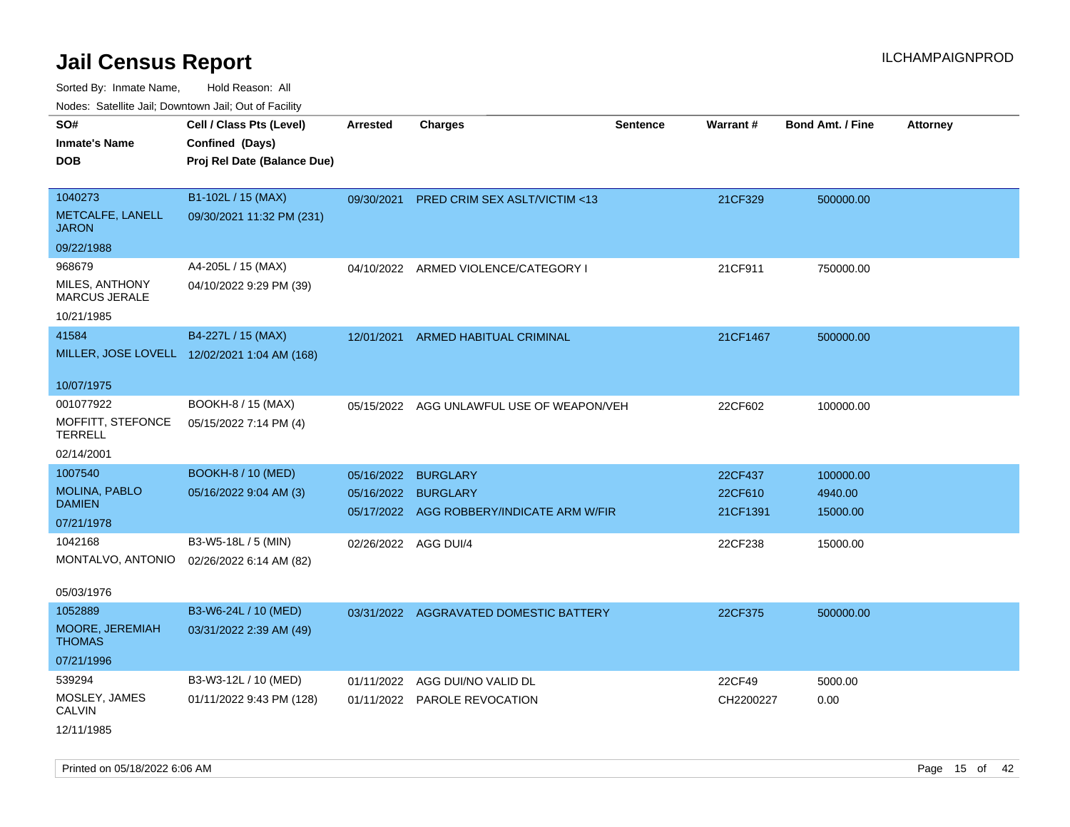Sorted By: Inmate Name, Hold Reason: All

| Nodes: Satellite Jail; Downtown Jail; Out of Facility |  |  |
|-------------------------------------------------------|--|--|
|-------------------------------------------------------|--|--|

| SO#<br><b>Inmate's Name</b>             | Cell / Class Pts (Level)<br>Confined (Days)  | <b>Arrested</b> | <b>Charges</b>                            | <b>Sentence</b> | Warrant#  | <b>Bond Amt. / Fine</b> | <b>Attorney</b> |
|-----------------------------------------|----------------------------------------------|-----------------|-------------------------------------------|-----------------|-----------|-------------------------|-----------------|
| <b>DOB</b>                              | Proj Rel Date (Balance Due)                  |                 |                                           |                 |           |                         |                 |
|                                         |                                              |                 |                                           |                 |           |                         |                 |
| 1040273                                 | B1-102L / 15 (MAX)                           | 09/30/2021      | PRED CRIM SEX ASLT/VICTIM <13             |                 | 21CF329   | 500000.00               |                 |
| METCALFE, LANELL<br><b>JARON</b>        | 09/30/2021 11:32 PM (231)                    |                 |                                           |                 |           |                         |                 |
| 09/22/1988                              |                                              |                 |                                           |                 |           |                         |                 |
| 968679                                  | A4-205L / 15 (MAX)                           |                 | 04/10/2022 ARMED VIOLENCE/CATEGORY I      |                 | 21CF911   | 750000.00               |                 |
| MILES, ANTHONY<br><b>MARCUS JERALE</b>  | 04/10/2022 9:29 PM (39)                      |                 |                                           |                 |           |                         |                 |
| 10/21/1985                              |                                              |                 |                                           |                 |           |                         |                 |
| 41584                                   | B4-227L / 15 (MAX)                           |                 | 12/01/2021 ARMED HABITUAL CRIMINAL        |                 | 21CF1467  | 500000.00               |                 |
|                                         | MILLER, JOSE LOVELL 12/02/2021 1:04 AM (168) |                 |                                           |                 |           |                         |                 |
| 10/07/1975                              |                                              |                 |                                           |                 |           |                         |                 |
| 001077922                               | BOOKH-8 / 15 (MAX)                           |                 | 05/15/2022 AGG UNLAWFUL USE OF WEAPON/VEH |                 | 22CF602   | 100000.00               |                 |
| MOFFITT, STEFONCE<br><b>TERRELL</b>     | 05/15/2022 7:14 PM (4)                       |                 |                                           |                 |           |                         |                 |
| 02/14/2001                              |                                              |                 |                                           |                 |           |                         |                 |
| 1007540                                 | <b>BOOKH-8 / 10 (MED)</b>                    | 05/16/2022      | <b>BURGLARY</b>                           |                 | 22CF437   | 100000.00               |                 |
| MOLINA, PABLO                           | 05/16/2022 9:04 AM (3)                       |                 | 05/16/2022 BURGLARY                       |                 | 22CF610   | 4940.00                 |                 |
| <b>DAMIEN</b><br>07/21/1978             |                                              |                 | 05/17/2022 AGG ROBBERY/INDICATE ARM W/FIR |                 | 21CF1391  | 15000.00                |                 |
| 1042168                                 | B3-W5-18L / 5 (MIN)                          |                 |                                           |                 |           |                         |                 |
| MONTALVO, ANTONIO                       | 02/26/2022 6:14 AM (82)                      |                 | 02/26/2022 AGG DUI/4                      |                 | 22CF238   | 15000.00                |                 |
|                                         |                                              |                 |                                           |                 |           |                         |                 |
| 05/03/1976                              |                                              |                 |                                           |                 |           |                         |                 |
| 1052889                                 | B3-W6-24L / 10 (MED)                         |                 | 03/31/2022 AGGRAVATED DOMESTIC BATTERY    |                 | 22CF375   | 500000.00               |                 |
| <b>MOORE, JEREMIAH</b><br><b>THOMAS</b> | 03/31/2022 2:39 AM (49)                      |                 |                                           |                 |           |                         |                 |
| 07/21/1996                              |                                              |                 |                                           |                 |           |                         |                 |
| 539294                                  | B3-W3-12L / 10 (MED)                         | 01/11/2022      | AGG DUI/NO VALID DL                       |                 | 22CF49    | 5000.00                 |                 |
| MOSLEY, JAMES<br><b>CALVIN</b>          | 01/11/2022 9:43 PM (128)                     |                 | 01/11/2022 PAROLE REVOCATION              |                 | CH2200227 | 0.00                    |                 |
| 12/11/1985                              |                                              |                 |                                           |                 |           |                         |                 |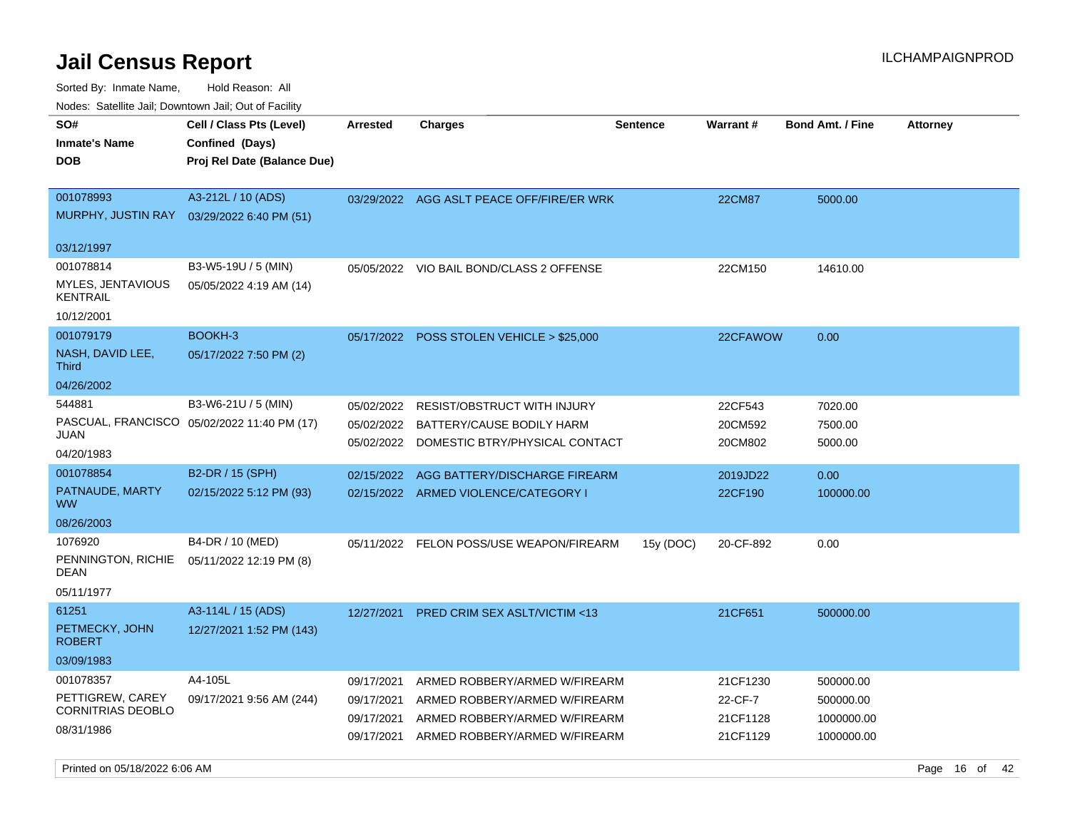Sorted By: Inmate Name, Hold Reason: All

Nodes: Satellite Jail; Downtown Jail; Out of Facility

| SO#<br><b>Inmate's Name</b><br><b>DOB</b>     | Cell / Class Pts (Level)<br>Confined (Days)<br>Proj Rel Date (Balance Due) | Arrested   | <b>Charges</b>                                                         | <b>Sentence</b> | <b>Warrant#</b>    | <b>Bond Amt. / Fine</b> | <b>Attorney</b> |
|-----------------------------------------------|----------------------------------------------------------------------------|------------|------------------------------------------------------------------------|-----------------|--------------------|-------------------------|-----------------|
| 001078993<br>MURPHY, JUSTIN RAY<br>03/12/1997 | A3-212L / 10 (ADS)<br>03/29/2022 6:40 PM (51)                              |            | 03/29/2022 AGG ASLT PEACE OFF/FIRE/ER WRK                              |                 | <b>22CM87</b>      | 5000.00                 |                 |
| 001078814                                     | B3-W5-19U / 5 (MIN)                                                        |            | 05/05/2022 VIO BAIL BOND/CLASS 2 OFFENSE                               |                 | 22CM150            | 14610.00                |                 |
| MYLES, JENTAVIOUS<br><b>KENTRAIL</b>          | 05/05/2022 4:19 AM (14)                                                    |            |                                                                        |                 |                    |                         |                 |
| 10/12/2001                                    |                                                                            |            |                                                                        |                 |                    |                         |                 |
| 001079179                                     | BOOKH-3                                                                    |            | 05/17/2022 POSS STOLEN VEHICLE > \$25,000                              |                 | 22CFAWOW           | 0.00                    |                 |
| NASH, DAVID LEE,<br><b>Third</b>              | 05/17/2022 7:50 PM (2)                                                     |            |                                                                        |                 |                    |                         |                 |
| 04/26/2002                                    |                                                                            |            |                                                                        |                 |                    |                         |                 |
| 544881                                        | B3-W6-21U / 5 (MIN)                                                        | 05/02/2022 | <b>RESIST/OBSTRUCT WITH INJURY</b>                                     |                 | 22CF543            | 7020.00                 |                 |
| JUAN                                          | PASCUAL, FRANCISCO 05/02/2022 11:40 PM (17)                                | 05/02/2022 | BATTERY/CAUSE BODILY HARM<br>05/02/2022 DOMESTIC BTRY/PHYSICAL CONTACT |                 | 20CM592<br>20CM802 | 7500.00<br>5000.00      |                 |
| 04/20/1983                                    |                                                                            |            |                                                                        |                 |                    |                         |                 |
| 001078854                                     | B2-DR / 15 (SPH)                                                           | 02/15/2022 | AGG BATTERY/DISCHARGE FIREARM                                          |                 | 2019JD22           | 0.00                    |                 |
| PATNAUDE, MARTY<br><b>WW</b>                  | 02/15/2022 5:12 PM (93)                                                    |            | 02/15/2022 ARMED VIOLENCE/CATEGORY I                                   |                 | 22CF190            | 100000.00               |                 |
| 08/26/2003                                    |                                                                            |            |                                                                        |                 |                    |                         |                 |
| 1076920                                       | B4-DR / 10 (MED)                                                           |            | 05/11/2022 FELON POSS/USE WEAPON/FIREARM                               | 15y (DOC)       | 20-CF-892          | 0.00                    |                 |
| PENNINGTON, RICHIE<br>DEAN                    | 05/11/2022 12:19 PM (8)                                                    |            |                                                                        |                 |                    |                         |                 |
| 05/11/1977                                    |                                                                            |            |                                                                        |                 |                    |                         |                 |
| 61251                                         | A3-114L / 15 (ADS)                                                         | 12/27/2021 | PRED CRIM SEX ASLT/VICTIM <13                                          |                 | 21CF651            | 500000.00               |                 |
| PETMECKY, JOHN<br><b>ROBERT</b>               | 12/27/2021 1:52 PM (143)                                                   |            |                                                                        |                 |                    |                         |                 |
| 03/09/1983                                    |                                                                            |            |                                                                        |                 |                    |                         |                 |
| 001078357                                     | A4-105L                                                                    | 09/17/2021 | ARMED ROBBERY/ARMED W/FIREARM                                          |                 | 21CF1230           | 500000.00               |                 |
| PETTIGREW, CAREY                              | 09/17/2021 9:56 AM (244)                                                   | 09/17/2021 | ARMED ROBBERY/ARMED W/FIREARM                                          |                 | 22-CF-7            | 500000.00               |                 |
| <b>CORNITRIAS DEOBLO</b>                      |                                                                            | 09/17/2021 | ARMED ROBBERY/ARMED W/FIREARM                                          |                 | 21CF1128           | 1000000.00              |                 |
| 08/31/1986                                    |                                                                            | 09/17/2021 | ARMED ROBBERY/ARMED W/FIREARM                                          |                 | 21CF1129           | 1000000.00              |                 |

Printed on 05/18/2022 6:06 AM Page 16 of 42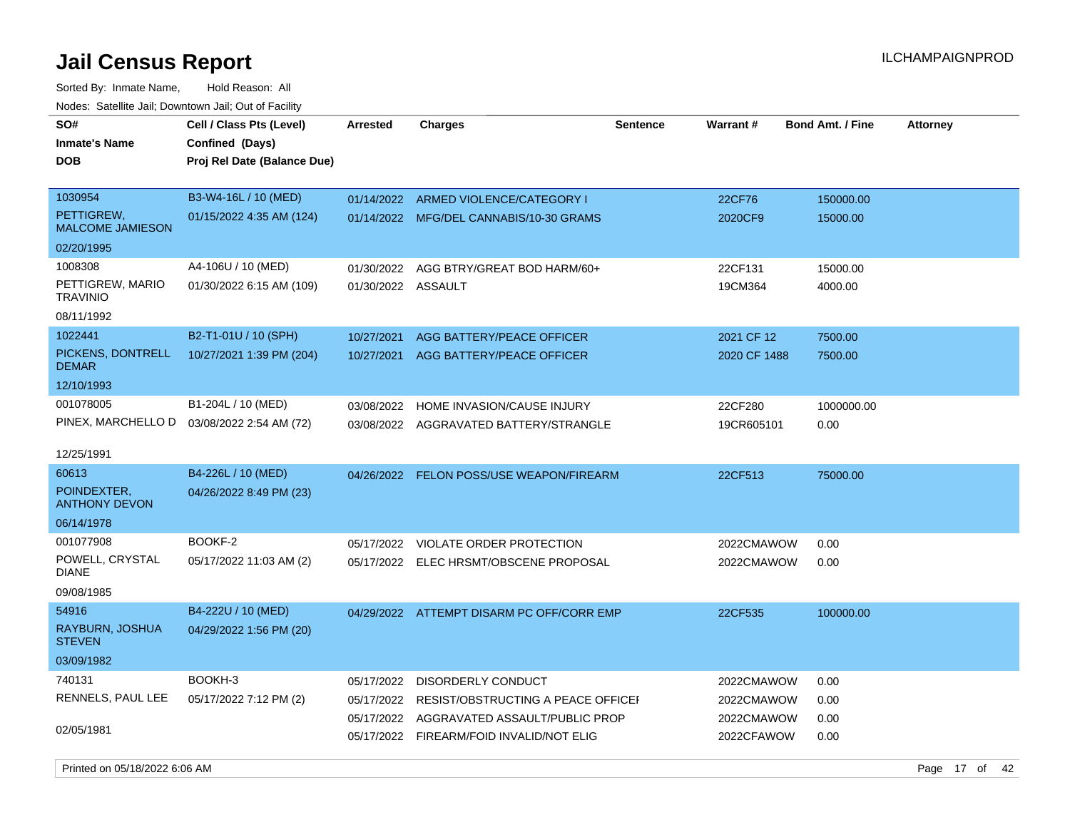Sorted By: Inmate Name, Hold Reason: All Nodes: Satellite Jail; Downtown Jail; Out of Facility

| SO#<br><b>Inmate's Name</b><br><b>DOB</b>                                | Cell / Class Pts (Level)<br>Confined (Days)<br>Proj Rel Date (Balance Due) | <b>Arrested</b>                                      | <b>Charges</b>                                                                                                              | <b>Sentence</b> | Warrant#                                             | <b>Bond Amt. / Fine</b>      | <b>Attorney</b> |
|--------------------------------------------------------------------------|----------------------------------------------------------------------------|------------------------------------------------------|-----------------------------------------------------------------------------------------------------------------------------|-----------------|------------------------------------------------------|------------------------------|-----------------|
| 1030954<br>PETTIGREW,<br><b>MALCOME JAMIESON</b><br>02/20/1995           | B3-W4-16L / 10 (MED)<br>01/15/2022 4:35 AM (124)                           | 01/14/2022                                           | ARMED VIOLENCE/CATEGORY I<br>01/14/2022 MFG/DEL CANNABIS/10-30 GRAMS                                                        |                 | 22CF76<br>2020CF9                                    | 150000.00<br>15000.00        |                 |
| 1008308<br>PETTIGREW, MARIO<br><b>TRAVINIO</b><br>08/11/1992             | A4-106U / 10 (MED)<br>01/30/2022 6:15 AM (109)                             | 01/30/2022<br>01/30/2022 ASSAULT                     | AGG BTRY/GREAT BOD HARM/60+                                                                                                 |                 | 22CF131<br>19CM364                                   | 15000.00<br>4000.00          |                 |
| 1022441<br>PICKENS, DONTRELL<br><b>DEMAR</b><br>12/10/1993               | B2-T1-01U / 10 (SPH)<br>10/27/2021 1:39 PM (204)                           | 10/27/2021<br>10/27/2021                             | AGG BATTERY/PEACE OFFICER<br>AGG BATTERY/PEACE OFFICER                                                                      |                 | 2021 CF 12<br>2020 CF 1488                           | 7500.00<br>7500.00           |                 |
| 001078005<br>PINEX, MARCHELLO D 03/08/2022 2:54 AM (72)                  | B1-204L / 10 (MED)                                                         | 03/08/2022                                           | HOME INVASION/CAUSE INJURY<br>03/08/2022 AGGRAVATED BATTERY/STRANGLE                                                        |                 | 22CF280<br>19CR605101                                | 1000000.00<br>0.00           |                 |
| 12/25/1991<br>60613<br>POINDEXTER.<br><b>ANTHONY DEVON</b><br>06/14/1978 | B4-226L / 10 (MED)<br>04/26/2022 8:49 PM (23)                              |                                                      | 04/26/2022 FELON POSS/USE WEAPON/FIREARM                                                                                    |                 | 22CF513                                              | 75000.00                     |                 |
| 001077908<br>POWELL, CRYSTAL<br><b>DIANE</b><br>09/08/1985               | BOOKF-2<br>05/17/2022 11:03 AM (2)                                         | 05/17/2022                                           | VIOLATE ORDER PROTECTION<br>05/17/2022 ELEC HRSMT/OBSCENE PROPOSAL                                                          |                 | 2022CMAWOW<br>2022CMAWOW                             | 0.00<br>0.00                 |                 |
| 54916<br>RAYBURN, JOSHUA<br><b>STEVEN</b><br>03/09/1982                  | B4-222U / 10 (MED)<br>04/29/2022 1:56 PM (20)                              |                                                      | 04/29/2022 ATTEMPT DISARM PC OFF/CORR EMP                                                                                   |                 | 22CF535                                              | 100000.00                    |                 |
| 740131<br>RENNELS, PAUL LEE<br>02/05/1981                                | BOOKH-3<br>05/17/2022 7:12 PM (2)                                          | 05/17/2022<br>05/17/2022<br>05/17/2022<br>05/17/2022 | DISORDERLY CONDUCT<br>RESIST/OBSTRUCTING A PEACE OFFICEI<br>AGGRAVATED ASSAULT/PUBLIC PROP<br>FIREARM/FOID INVALID/NOT ELIG |                 | 2022CMAWOW<br>2022CMAWOW<br>2022CMAWOW<br>2022CFAWOW | 0.00<br>0.00<br>0.00<br>0.00 |                 |

Printed on 05/18/2022 6:06 AM Page 17 of 42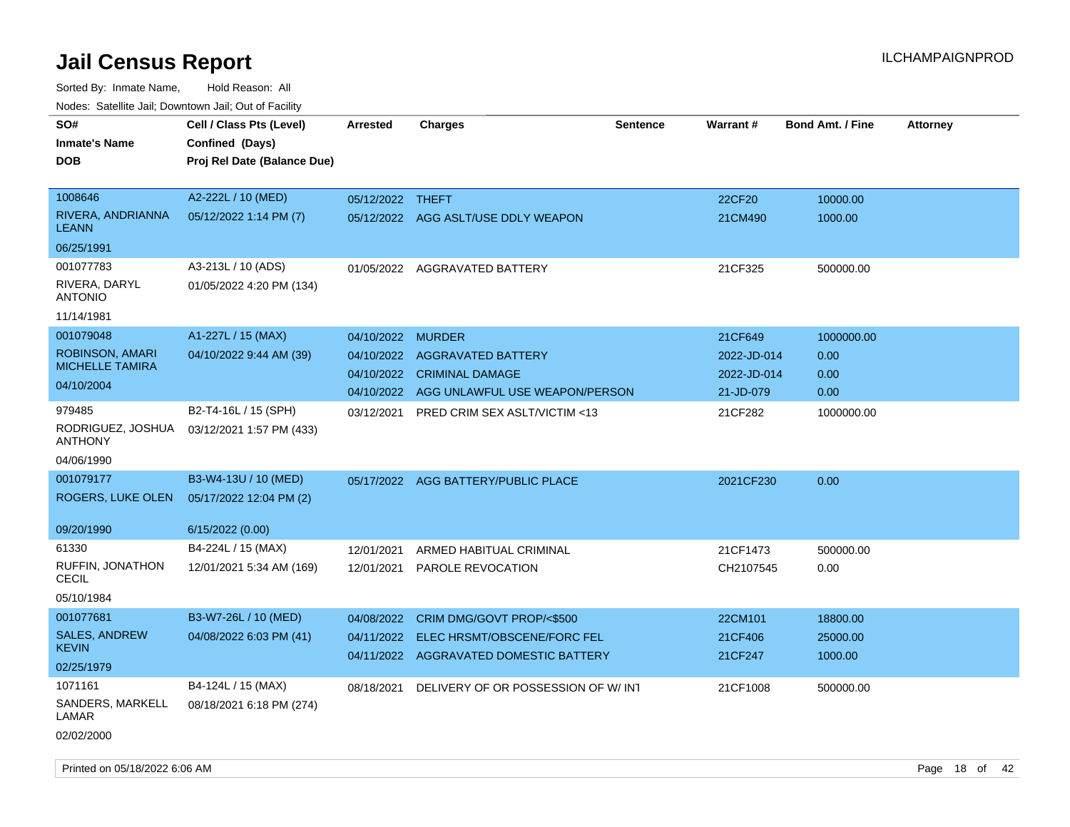| roaco. Catolino cali, Domntonn cali, Out of Facility |                                                                            |                   |                                               |                 |             |                         |                 |
|------------------------------------------------------|----------------------------------------------------------------------------|-------------------|-----------------------------------------------|-----------------|-------------|-------------------------|-----------------|
| SO#<br><b>Inmate's Name</b><br><b>DOB</b>            | Cell / Class Pts (Level)<br>Confined (Days)<br>Proj Rel Date (Balance Due) | <b>Arrested</b>   | <b>Charges</b>                                | <b>Sentence</b> | Warrant#    | <b>Bond Amt. / Fine</b> | <b>Attorney</b> |
| 1008646                                              | A2-222L / 10 (MED)                                                         | 05/12/2022 THEFT  |                                               |                 | 22CF20      | 10000.00                |                 |
| RIVERA, ANDRIANNA<br><b>LEANN</b>                    | 05/12/2022 1:14 PM (7)                                                     |                   | 05/12/2022 AGG ASLT/USE DDLY WEAPON           |                 | 21CM490     | 1000.00                 |                 |
| 06/25/1991                                           |                                                                            |                   |                                               |                 |             |                         |                 |
| 001077783                                            | A3-213L / 10 (ADS)                                                         |                   | 01/05/2022 AGGRAVATED BATTERY                 |                 | 21CF325     | 500000.00               |                 |
| RIVERA, DARYL<br><b>ANTONIO</b>                      | 01/05/2022 4:20 PM (134)                                                   |                   |                                               |                 |             |                         |                 |
| 11/14/1981                                           |                                                                            |                   |                                               |                 |             |                         |                 |
| 001079048                                            | A1-227L / 15 (MAX)                                                         | 04/10/2022 MURDER |                                               |                 | 21CF649     | 1000000.00              |                 |
| ROBINSON, AMARI                                      | 04/10/2022 9:44 AM (39)                                                    |                   | 04/10/2022 AGGRAVATED BATTERY                 |                 | 2022-JD-014 | 0.00                    |                 |
| <b>MICHELLE TAMIRA</b>                               |                                                                            |                   | 04/10/2022 CRIMINAL DAMAGE                    |                 | 2022-JD-014 | 0.00                    |                 |
| 04/10/2004                                           |                                                                            |                   | 04/10/2022 AGG UNLAWFUL USE WEAPON/PERSON     |                 | 21-JD-079   | 0.00                    |                 |
| 979485<br>RODRIGUEZ, JOSHUA<br><b>ANTHONY</b>        | B2-T4-16L / 15 (SPH)<br>03/12/2021 1:57 PM (433)                           | 03/12/2021        | <b>PRED CRIM SEX ASLT/VICTIM &lt;13</b>       |                 | 21CF282     | 1000000.00              |                 |
| 04/06/1990                                           |                                                                            |                   |                                               |                 |             |                         |                 |
| 001079177                                            | B3-W4-13U / 10 (MED)                                                       |                   | 05/17/2022 AGG BATTERY/PUBLIC PLACE           |                 | 2021CF230   | 0.00                    |                 |
| ROGERS, LUKE OLEN                                    | 05/17/2022 12:04 PM (2)                                                    |                   |                                               |                 |             |                         |                 |
| 09/20/1990                                           | 6/15/2022 (0.00)                                                           |                   |                                               |                 |             |                         |                 |
| 61330                                                | B4-224L / 15 (MAX)                                                         | 12/01/2021        | ARMED HABITUAL CRIMINAL                       |                 | 21CF1473    | 500000.00               |                 |
| RUFFIN, JONATHON<br><b>CECIL</b>                     | 12/01/2021 5:34 AM (169)                                                   | 12/01/2021        | PAROLE REVOCATION                             |                 | CH2107545   | 0.00                    |                 |
| 05/10/1984                                           |                                                                            |                   |                                               |                 |             |                         |                 |
| 001077681                                            | B3-W7-26L / 10 (MED)                                                       | 04/08/2022        | CRIM DMG/GOVT PROP/<\$500                     |                 | 22CM101     | 18800.00                |                 |
| <b>SALES, ANDREW</b>                                 | 04/08/2022 6:03 PM (41)                                                    | 04/11/2022        | ELEC HRSMT/OBSCENE/FORC FEL                   |                 | 21CF406     | 25000.00                |                 |
| <b>KEVIN</b>                                         |                                                                            |                   | 04/11/2022 AGGRAVATED DOMESTIC BATTERY        |                 | 21CF247     | 1000.00                 |                 |
| 02/25/1979                                           |                                                                            |                   |                                               |                 |             |                         |                 |
| 1071161<br>SANDERS, MARKELL<br>LAMAR<br>02/02/2000   | B4-124L / 15 (MAX)<br>08/18/2021 6:18 PM (274)                             |                   | 08/18/2021 DELIVERY OF OR POSSESSION OF W/INT |                 | 21CF1008    | 500000.00               |                 |
|                                                      |                                                                            |                   |                                               |                 |             |                         |                 |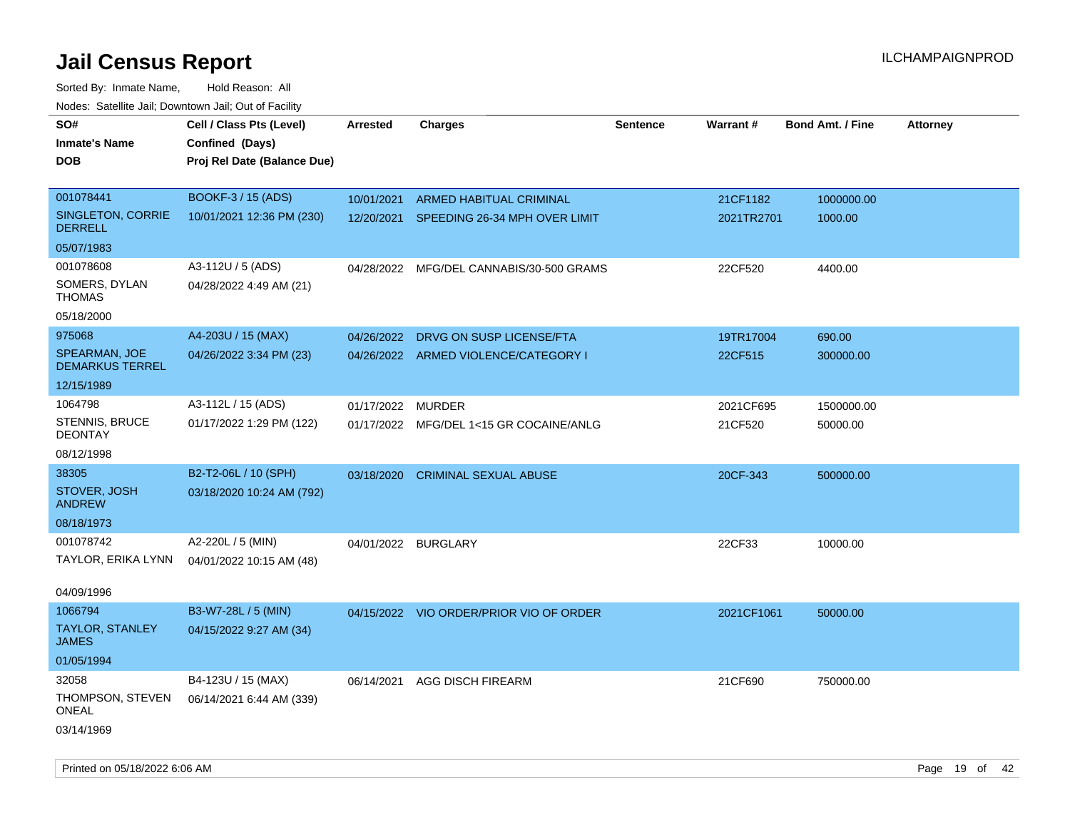| 110000. 001011110 0011, Dominomi odli, Odi oli dollit<br>SO# | Cell / Class Pts (Level)    | Arrested            | <b>Charges</b>                          | <b>Sentence</b> | Warrant#   | <b>Bond Amt. / Fine</b> | <b>Attorney</b> |
|--------------------------------------------------------------|-----------------------------|---------------------|-----------------------------------------|-----------------|------------|-------------------------|-----------------|
| <b>Inmate's Name</b>                                         | Confined (Days)             |                     |                                         |                 |            |                         |                 |
| <b>DOB</b>                                                   | Proj Rel Date (Balance Due) |                     |                                         |                 |            |                         |                 |
|                                                              |                             |                     |                                         |                 |            |                         |                 |
| 001078441                                                    | BOOKF-3 / 15 (ADS)          | 10/01/2021          | ARMED HABITUAL CRIMINAL                 |                 | 21CF1182   | 1000000.00              |                 |
| SINGLETON, CORRIE<br><b>DERRELL</b>                          | 10/01/2021 12:36 PM (230)   | 12/20/2021          | SPEEDING 26-34 MPH OVER LIMIT           |                 | 2021TR2701 | 1000.00                 |                 |
| 05/07/1983                                                   |                             |                     |                                         |                 |            |                         |                 |
| 001078608                                                    | A3-112U / 5 (ADS)           | 04/28/2022          | MFG/DEL CANNABIS/30-500 GRAMS           |                 | 22CF520    | 4400.00                 |                 |
| SOMERS, DYLAN<br>THOMAS                                      | 04/28/2022 4:49 AM (21)     |                     |                                         |                 |            |                         |                 |
| 05/18/2000                                                   |                             |                     |                                         |                 |            |                         |                 |
| 975068                                                       | A4-203U / 15 (MAX)          | 04/26/2022          | DRVG ON SUSP LICENSE/FTA                |                 | 19TR17004  | 690.00                  |                 |
| SPEARMAN, JOE<br><b>DEMARKUS TERREL</b>                      | 04/26/2022 3:34 PM (23)     |                     | 04/26/2022 ARMED VIOLENCE/CATEGORY I    |                 | 22CF515    | 300000.00               |                 |
| 12/15/1989                                                   |                             |                     |                                         |                 |            |                         |                 |
| 1064798                                                      | A3-112L / 15 (ADS)          | 01/17/2022          | <b>MURDER</b>                           |                 | 2021CF695  | 1500000.00              |                 |
| <b>STENNIS, BRUCE</b><br><b>DEONTAY</b>                      | 01/17/2022 1:29 PM (122)    |                     | 01/17/2022 MFG/DEL 1<15 GR COCAINE/ANLG |                 | 21CF520    | 50000.00                |                 |
| 08/12/1998                                                   |                             |                     |                                         |                 |            |                         |                 |
| 38305                                                        | B2-T2-06L / 10 (SPH)        | 03/18/2020          | <b>CRIMINAL SEXUAL ABUSE</b>            |                 | 20CF-343   | 500000.00               |                 |
| STOVER, JOSH<br><b>ANDREW</b>                                | 03/18/2020 10:24 AM (792)   |                     |                                         |                 |            |                         |                 |
| 08/18/1973                                                   |                             |                     |                                         |                 |            |                         |                 |
| 001078742                                                    | A2-220L / 5 (MIN)           | 04/01/2022 BURGLARY |                                         |                 | 22CF33     | 10000.00                |                 |
| TAYLOR, ERIKA LYNN                                           | 04/01/2022 10:15 AM (48)    |                     |                                         |                 |            |                         |                 |
|                                                              |                             |                     |                                         |                 |            |                         |                 |
| 04/09/1996                                                   |                             |                     |                                         |                 |            |                         |                 |
| 1066794                                                      | B3-W7-28L / 5 (MIN)         |                     | 04/15/2022 VIO ORDER/PRIOR VIO OF ORDER |                 | 2021CF1061 | 50000.00                |                 |
| <b>TAYLOR, STANLEY</b><br>JAMES                              | 04/15/2022 9:27 AM (34)     |                     |                                         |                 |            |                         |                 |
| 01/05/1994                                                   |                             |                     |                                         |                 |            |                         |                 |
| 32058                                                        | B4-123U / 15 (MAX)          | 06/14/2021          | <b>AGG DISCH FIREARM</b>                |                 | 21CF690    | 750000.00               |                 |
| THOMPSON, STEVEN<br>ONEAL                                    | 06/14/2021 6:44 AM (339)    |                     |                                         |                 |            |                         |                 |
| 03/14/1969                                                   |                             |                     |                                         |                 |            |                         |                 |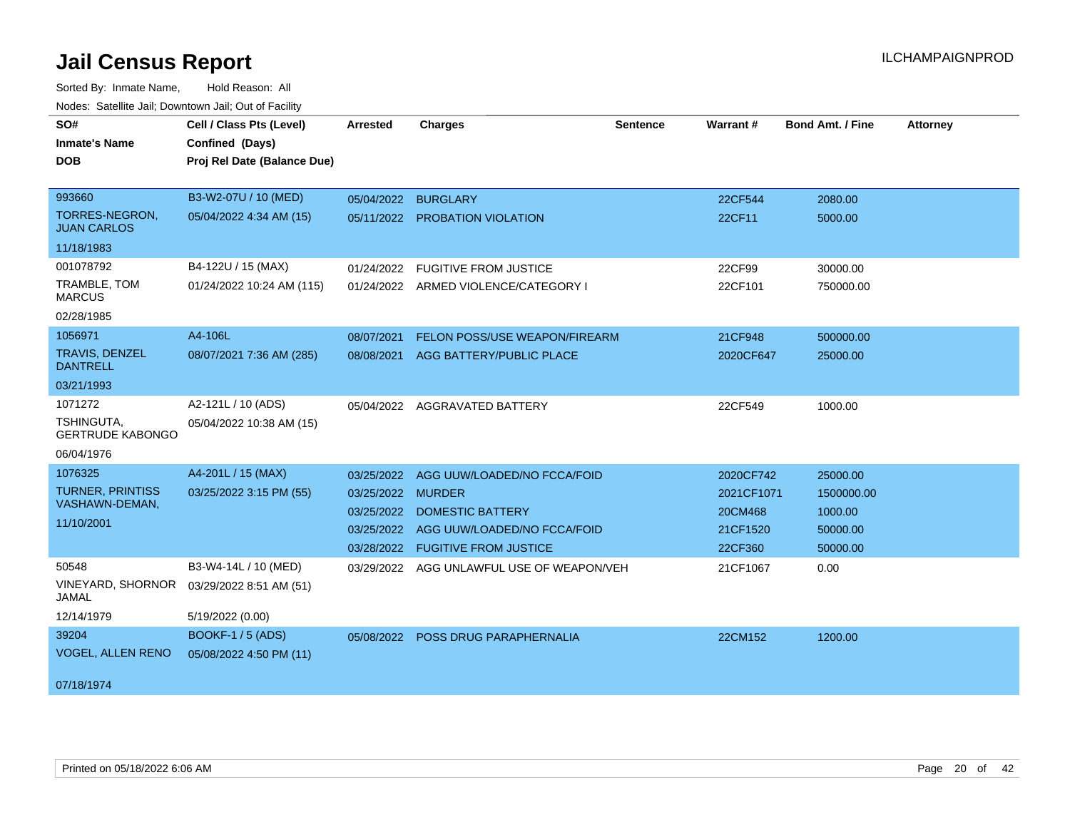| SO#                                      | Cell / Class Pts (Level)    | Arrested   | <b>Charges</b>                       | <b>Sentence</b> | Warrant#   | <b>Bond Amt. / Fine</b> | <b>Attorney</b> |
|------------------------------------------|-----------------------------|------------|--------------------------------------|-----------------|------------|-------------------------|-----------------|
| <b>Inmate's Name</b>                     | Confined (Days)             |            |                                      |                 |            |                         |                 |
| <b>DOB</b>                               | Proj Rel Date (Balance Due) |            |                                      |                 |            |                         |                 |
|                                          |                             |            |                                      |                 |            |                         |                 |
| 993660                                   | B3-W2-07U / 10 (MED)        | 05/04/2022 | <b>BURGLARY</b>                      |                 | 22CF544    | 2080.00                 |                 |
| TORRES-NEGRON,<br><b>JUAN CARLOS</b>     | 05/04/2022 4:34 AM (15)     |            | 05/11/2022 PROBATION VIOLATION       |                 | 22CF11     | 5000.00                 |                 |
| 11/18/1983                               |                             |            |                                      |                 |            |                         |                 |
| 001078792                                | B4-122U / 15 (MAX)          | 01/24/2022 | <b>FUGITIVE FROM JUSTICE</b>         |                 | 22CF99     | 30000.00                |                 |
| TRAMBLE, TOM<br><b>MARCUS</b>            | 01/24/2022 10:24 AM (115)   |            | 01/24/2022 ARMED VIOLENCE/CATEGORY I |                 | 22CF101    | 750000.00               |                 |
| 02/28/1985                               |                             |            |                                      |                 |            |                         |                 |
| 1056971                                  | A4-106L                     | 08/07/2021 | FELON POSS/USE WEAPON/FIREARM        |                 | 21CF948    | 500000.00               |                 |
| <b>TRAVIS, DENZEL</b><br><b>DANTRELL</b> | 08/07/2021 7:36 AM (285)    | 08/08/2021 | AGG BATTERY/PUBLIC PLACE             |                 | 2020CF647  | 25000.00                |                 |
| 03/21/1993                               |                             |            |                                      |                 |            |                         |                 |
| 1071272                                  | A2-121L / 10 (ADS)          |            | 05/04/2022 AGGRAVATED BATTERY        |                 | 22CF549    | 1000.00                 |                 |
| TSHINGUTA,<br><b>GERTRUDE KABONGO</b>    | 05/04/2022 10:38 AM (15)    |            |                                      |                 |            |                         |                 |
| 06/04/1976                               |                             |            |                                      |                 |            |                         |                 |
| 1076325                                  | A4-201L / 15 (MAX)          | 03/25/2022 | AGG UUW/LOADED/NO FCCA/FOID          |                 | 2020CF742  | 25000.00                |                 |
| <b>TURNER, PRINTISS</b>                  | 03/25/2022 3:15 PM (55)     | 03/25/2022 | <b>MURDER</b>                        |                 | 2021CF1071 | 1500000.00              |                 |
| VASHAWN-DEMAN,                           |                             | 03/25/2022 | <b>DOMESTIC BATTERY</b>              |                 | 20CM468    | 1000.00                 |                 |
| 11/10/2001                               |                             | 03/25/2022 | AGG UUW/LOADED/NO FCCA/FOID          |                 | 21CF1520   | 50000.00                |                 |
|                                          |                             |            | 03/28/2022 FUGITIVE FROM JUSTICE     |                 | 22CF360    | 50000.00                |                 |
| 50548                                    | B3-W4-14L / 10 (MED)        | 03/29/2022 | AGG UNLAWFUL USE OF WEAPON/VEH       |                 | 21CF1067   | 0.00                    |                 |
| <b>VINEYARD, SHORNOR</b><br>JAMAL        | 03/29/2022 8:51 AM (51)     |            |                                      |                 |            |                         |                 |
| 12/14/1979                               | 5/19/2022 (0.00)            |            |                                      |                 |            |                         |                 |
| 39204                                    | <b>BOOKF-1 / 5 (ADS)</b>    | 05/08/2022 | POSS DRUG PARAPHERNALIA              |                 | 22CM152    | 1200.00                 |                 |
| <b>VOGEL, ALLEN RENO</b>                 | 05/08/2022 4:50 PM (11)     |            |                                      |                 |            |                         |                 |
| 07/18/1974                               |                             |            |                                      |                 |            |                         |                 |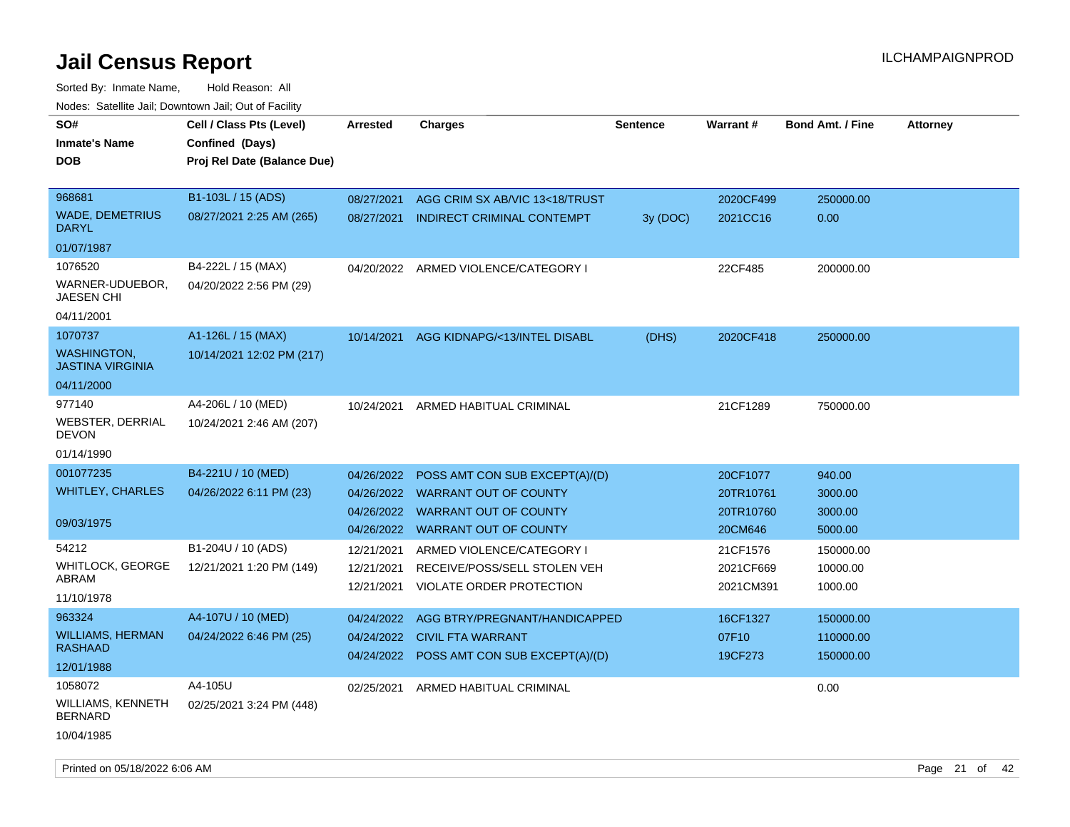| rouce. Calcillic Jali, Downtown Jali, Out of Facility |                             |                 |                                           |                 |           |                         |                 |
|-------------------------------------------------------|-----------------------------|-----------------|-------------------------------------------|-----------------|-----------|-------------------------|-----------------|
| SO#                                                   | Cell / Class Pts (Level)    | <b>Arrested</b> | <b>Charges</b>                            | <b>Sentence</b> | Warrant#  | <b>Bond Amt. / Fine</b> | <b>Attorney</b> |
| <b>Inmate's Name</b>                                  | Confined (Days)             |                 |                                           |                 |           |                         |                 |
| <b>DOB</b>                                            | Proj Rel Date (Balance Due) |                 |                                           |                 |           |                         |                 |
|                                                       |                             |                 |                                           |                 |           |                         |                 |
| 968681                                                | B1-103L / 15 (ADS)          | 08/27/2021      | AGG CRIM SX AB/VIC 13<18/TRUST            |                 | 2020CF499 | 250000.00               |                 |
| <b>WADE, DEMETRIUS</b><br><b>DARYL</b>                | 08/27/2021 2:25 AM (265)    | 08/27/2021      | <b>INDIRECT CRIMINAL CONTEMPT</b>         | 3y (DOC)        | 2021CC16  | 0.00                    |                 |
| 01/07/1987                                            |                             |                 |                                           |                 |           |                         |                 |
| 1076520                                               | B4-222L / 15 (MAX)          |                 | 04/20/2022 ARMED VIOLENCE/CATEGORY I      |                 | 22CF485   | 200000.00               |                 |
| WARNER-UDUEBOR,<br>JAESEN CHI                         | 04/20/2022 2:56 PM (29)     |                 |                                           |                 |           |                         |                 |
| 04/11/2001                                            |                             |                 |                                           |                 |           |                         |                 |
| 1070737                                               | A1-126L / 15 (MAX)          | 10/14/2021      | AGG KIDNAPG/<13/INTEL DISABL              | (DHS)           | 2020CF418 | 250000.00               |                 |
| <b>WASHINGTON,</b><br><b>JASTINA VIRGINIA</b>         | 10/14/2021 12:02 PM (217)   |                 |                                           |                 |           |                         |                 |
| 04/11/2000                                            |                             |                 |                                           |                 |           |                         |                 |
| 977140                                                | A4-206L / 10 (MED)          | 10/24/2021      | ARMED HABITUAL CRIMINAL                   |                 | 21CF1289  | 750000.00               |                 |
| WEBSTER, DERRIAL<br><b>DEVON</b>                      | 10/24/2021 2:46 AM (207)    |                 |                                           |                 |           |                         |                 |
| 01/14/1990                                            |                             |                 |                                           |                 |           |                         |                 |
| 001077235                                             | B4-221U / 10 (MED)          | 04/26/2022      | POSS AMT CON SUB EXCEPT(A)/(D)            |                 | 20CF1077  | 940.00                  |                 |
| <b>WHITLEY, CHARLES</b>                               | 04/26/2022 6:11 PM (23)     | 04/26/2022      | <b>WARRANT OUT OF COUNTY</b>              |                 | 20TR10761 | 3000.00                 |                 |
|                                                       |                             | 04/26/2022      | <b>WARRANT OUT OF COUNTY</b>              |                 | 20TR10760 | 3000.00                 |                 |
| 09/03/1975                                            |                             | 04/26/2022      | <b>WARRANT OUT OF COUNTY</b>              |                 | 20CM646   | 5000.00                 |                 |
| 54212                                                 | B1-204U / 10 (ADS)          | 12/21/2021      | ARMED VIOLENCE/CATEGORY I                 |                 | 21CF1576  | 150000.00               |                 |
| WHITLOCK, GEORGE                                      | 12/21/2021 1:20 PM (149)    | 12/21/2021      | RECEIVE/POSS/SELL STOLEN VEH              |                 | 2021CF669 | 10000.00                |                 |
| <b>ABRAM</b>                                          |                             | 12/21/2021      | VIOLATE ORDER PROTECTION                  |                 | 2021CM391 | 1000.00                 |                 |
| 11/10/1978                                            |                             |                 |                                           |                 |           |                         |                 |
| 963324                                                | A4-107U / 10 (MED)          | 04/24/2022      | AGG BTRY/PREGNANT/HANDICAPPED             |                 | 16CF1327  | 150000.00               |                 |
| <b>WILLIAMS, HERMAN</b><br>RASHAAD                    | 04/24/2022 6:46 PM (25)     |                 | 04/24/2022 CIVIL FTA WARRANT              |                 | 07F10     | 110000.00               |                 |
| 12/01/1988                                            |                             |                 | 04/24/2022 POSS AMT CON SUB EXCEPT(A)/(D) |                 | 19CF273   | 150000.00               |                 |
| 1058072                                               | A4-105U                     | 02/25/2021      | ARMED HABITUAL CRIMINAL                   |                 |           | 0.00                    |                 |
| <b>WILLIAMS, KENNETH</b><br><b>BERNARD</b>            | 02/25/2021 3:24 PM (448)    |                 |                                           |                 |           |                         |                 |
| 10/04/1985                                            |                             |                 |                                           |                 |           |                         |                 |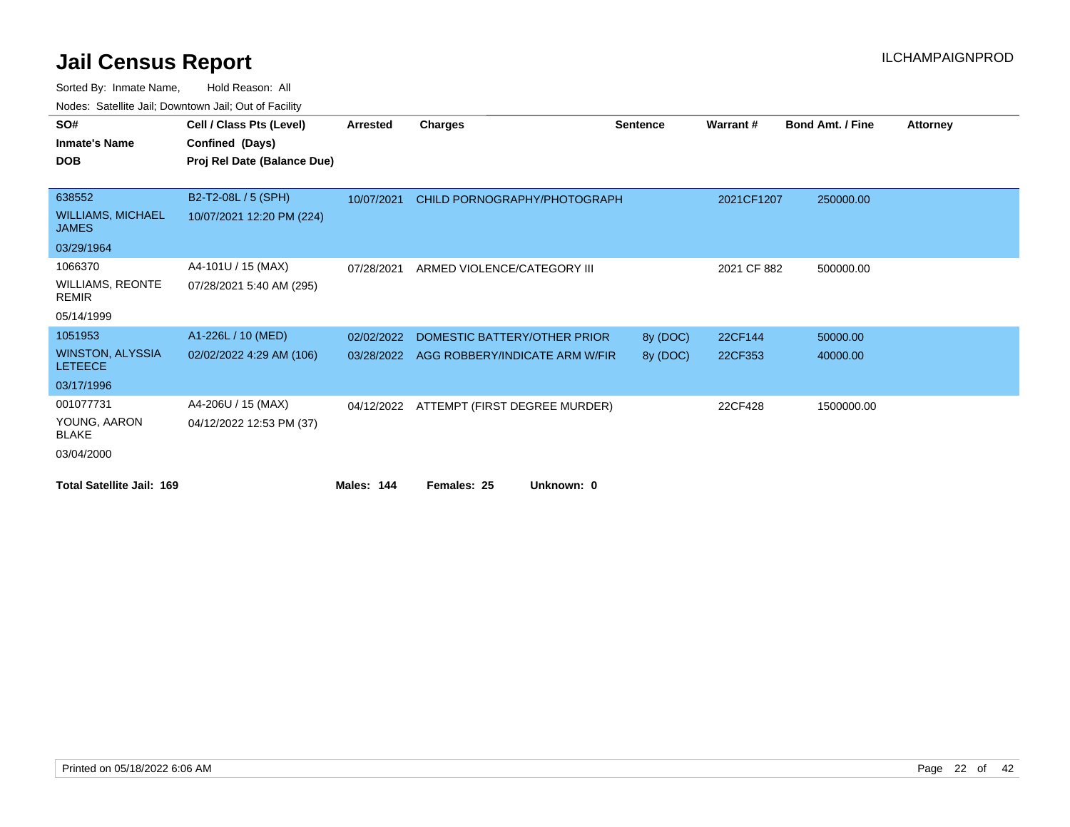| SO#                                       | Cell / Class Pts (Level)    | <b>Arrested</b> | <b>Charges</b>                 | <b>Sentence</b> | Warrant#    | <b>Bond Amt. / Fine</b> | <b>Attorney</b> |
|-------------------------------------------|-----------------------------|-----------------|--------------------------------|-----------------|-------------|-------------------------|-----------------|
| <b>Inmate's Name</b>                      | Confined (Days)             |                 |                                |                 |             |                         |                 |
| <b>DOB</b>                                | Proj Rel Date (Balance Due) |                 |                                |                 |             |                         |                 |
|                                           |                             |                 |                                |                 |             |                         |                 |
| 638552                                    | B2-T2-08L / 5 (SPH)         | 10/07/2021      | CHILD PORNOGRAPHY/PHOTOGRAPH   |                 | 2021CF1207  | 250000.00               |                 |
| <b>WILLIAMS, MICHAEL</b><br><b>JAMES</b>  | 10/07/2021 12:20 PM (224)   |                 |                                |                 |             |                         |                 |
| 03/29/1964                                |                             |                 |                                |                 |             |                         |                 |
| 1066370                                   | A4-101U / 15 (MAX)          | 07/28/2021      | ARMED VIOLENCE/CATEGORY III    |                 | 2021 CF 882 | 500000.00               |                 |
| <b>WILLIAMS, REONTE</b><br><b>REMIR</b>   | 07/28/2021 5:40 AM (295)    |                 |                                |                 |             |                         |                 |
| 05/14/1999                                |                             |                 |                                |                 |             |                         |                 |
| 1051953                                   | A1-226L / 10 (MED)          | 02/02/2022      | DOMESTIC BATTERY/OTHER PRIOR   | 8y (DOC)        | 22CF144     | 50000.00                |                 |
| <b>WINSTON, ALYSSIA</b><br><b>LETEECE</b> | 02/02/2022 4:29 AM (106)    | 03/28/2022      | AGG ROBBERY/INDICATE ARM W/FIR | 8y (DOC)        | 22CF353     | 40000.00                |                 |
| 03/17/1996                                |                             |                 |                                |                 |             |                         |                 |
| 001077731                                 | A4-206U / 15 (MAX)          | 04/12/2022      | ATTEMPT (FIRST DEGREE MURDER)  |                 | 22CF428     | 1500000.00              |                 |
| YOUNG, AARON<br><b>BLAKE</b>              | 04/12/2022 12:53 PM (37)    |                 |                                |                 |             |                         |                 |
| 03/04/2000                                |                             |                 |                                |                 |             |                         |                 |
| <b>Total Satellite Jail: 169</b>          |                             | Males: 144      | Unknown: 0<br>Females: 25      |                 |             |                         |                 |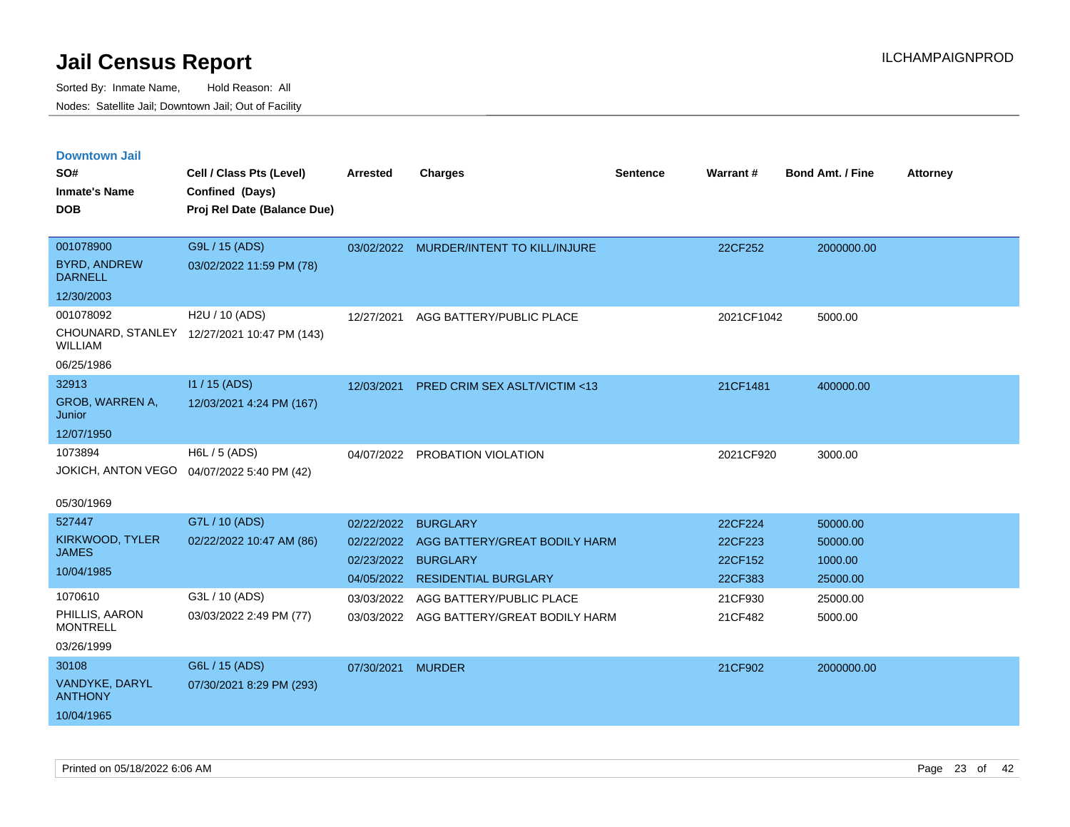| <b>Downtown Jail</b>                  |                                             |                   |                                          |                 |            |                         |                 |
|---------------------------------------|---------------------------------------------|-------------------|------------------------------------------|-----------------|------------|-------------------------|-----------------|
| SO#                                   | Cell / Class Pts (Level)                    | <b>Arrested</b>   | <b>Charges</b>                           | <b>Sentence</b> | Warrant#   | <b>Bond Amt. / Fine</b> | <b>Attorney</b> |
| <b>Inmate's Name</b>                  | Confined (Days)                             |                   |                                          |                 |            |                         |                 |
| <b>DOB</b>                            | Proj Rel Date (Balance Due)                 |                   |                                          |                 |            |                         |                 |
|                                       |                                             |                   |                                          |                 |            |                         |                 |
| 001078900                             | G9L / 15 (ADS)                              |                   | 03/02/2022 MURDER/INTENT TO KILL/INJURE  |                 | 22CF252    | 2000000.00              |                 |
| <b>BYRD, ANDREW</b><br><b>DARNELL</b> | 03/02/2022 11:59 PM (78)                    |                   |                                          |                 |            |                         |                 |
| 12/30/2003                            |                                             |                   |                                          |                 |            |                         |                 |
| 001078092                             | H2U / 10 (ADS)                              | 12/27/2021        | AGG BATTERY/PUBLIC PLACE                 |                 | 2021CF1042 | 5000.00                 |                 |
| <b>WILLIAM</b>                        | CHOUNARD, STANLEY 12/27/2021 10:47 PM (143) |                   |                                          |                 |            |                         |                 |
| 06/25/1986                            |                                             |                   |                                          |                 |            |                         |                 |
| 32913                                 | I1 / 15 (ADS)                               | 12/03/2021        | PRED CRIM SEX ASLT/VICTIM <13            |                 | 21CF1481   | 400000.00               |                 |
| GROB, WARREN A,<br>Junior             | 12/03/2021 4:24 PM (167)                    |                   |                                          |                 |            |                         |                 |
| 12/07/1950                            |                                             |                   |                                          |                 |            |                         |                 |
| 1073894                               | H6L / 5 (ADS)                               |                   | 04/07/2022 PROBATION VIOLATION           |                 | 2021CF920  | 3000.00                 |                 |
| JOKICH, ANTON VEGO                    | 04/07/2022 5:40 PM (42)                     |                   |                                          |                 |            |                         |                 |
| 05/30/1969                            |                                             |                   |                                          |                 |            |                         |                 |
| 527447                                | G7L / 10 (ADS)                              | 02/22/2022        | <b>BURGLARY</b>                          |                 | 22CF224    | 50000.00                |                 |
| KIRKWOOD, TYLER                       | 02/22/2022 10:47 AM (86)                    | 02/22/2022        | AGG BATTERY/GREAT BODILY HARM            |                 | 22CF223    | 50000.00                |                 |
| <b>JAMES</b>                          |                                             |                   | 02/23/2022 BURGLARY                      |                 | 22CF152    | 1000.00                 |                 |
| 10/04/1985                            |                                             |                   | 04/05/2022 RESIDENTIAL BURGLARY          |                 | 22CF383    | 25000.00                |                 |
| 1070610                               | G3L / 10 (ADS)                              | 03/03/2022        | AGG BATTERY/PUBLIC PLACE                 |                 | 21CF930    | 25000.00                |                 |
| PHILLIS, AARON<br><b>MONTRELL</b>     | 03/03/2022 2:49 PM (77)                     |                   | 03/03/2022 AGG BATTERY/GREAT BODILY HARM |                 | 21CF482    | 5000.00                 |                 |
| 03/26/1999                            |                                             |                   |                                          |                 |            |                         |                 |
| 30108                                 | G6L / 15 (ADS)                              | 07/30/2021 MURDER |                                          |                 | 21CF902    | 2000000.00              |                 |
| VANDYKE, DARYL<br><b>ANTHONY</b>      | 07/30/2021 8:29 PM (293)                    |                   |                                          |                 |            |                         |                 |
| 10/04/1965                            |                                             |                   |                                          |                 |            |                         |                 |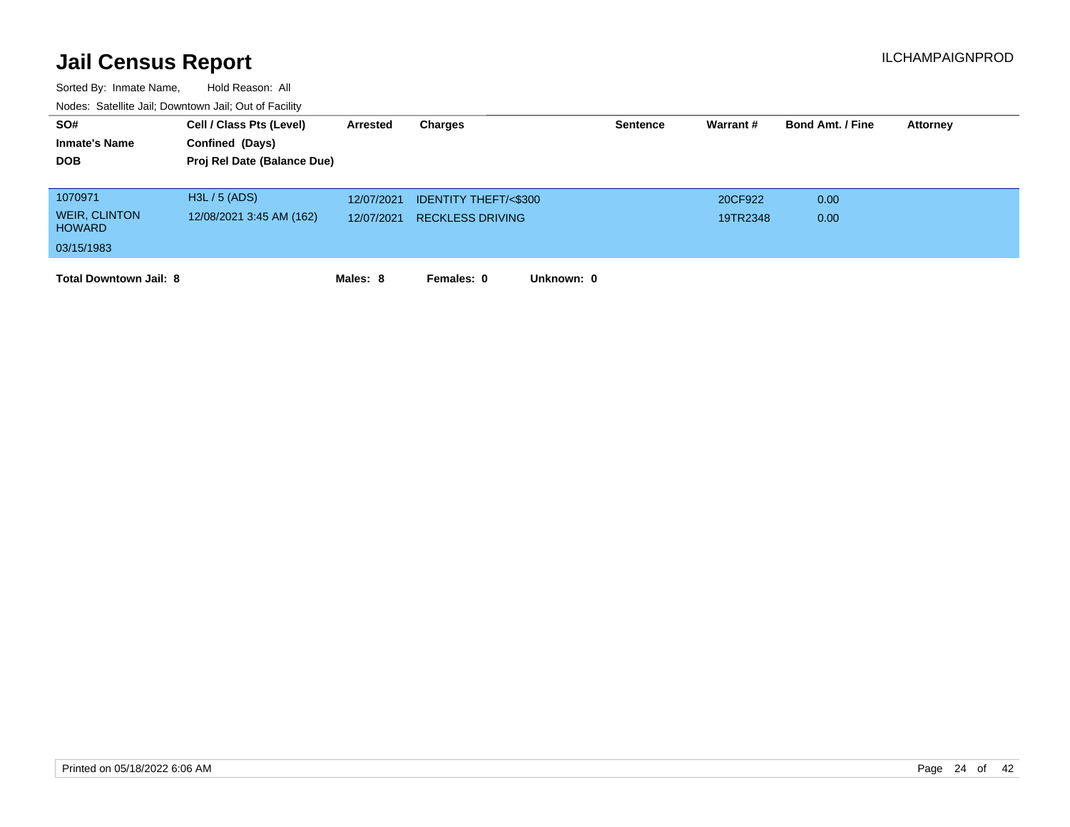| SO#                                   | Cell / Class Pts (Level)    | Arrested   | Charges                         | <b>Sentence</b> | Warrant# | <b>Bond Amt. / Fine</b> | <b>Attorney</b> |
|---------------------------------------|-----------------------------|------------|---------------------------------|-----------------|----------|-------------------------|-----------------|
| <b>Inmate's Name</b>                  | Confined (Days)             |            |                                 |                 |          |                         |                 |
| <b>DOB</b>                            | Proj Rel Date (Balance Due) |            |                                 |                 |          |                         |                 |
|                                       |                             |            |                                 |                 |          |                         |                 |
| 1070971                               | H3L / 5 (ADS)               | 12/07/2021 | <b>IDENTITY THEFT/&lt;\$300</b> |                 | 20CF922  | 0.00                    |                 |
| <b>WEIR, CLINTON</b><br><b>HOWARD</b> | 12/08/2021 3:45 AM (162)    | 12/07/2021 | <b>RECKLESS DRIVING</b>         |                 | 19TR2348 | 0.00                    |                 |
| 03/15/1983                            |                             |            |                                 |                 |          |                         |                 |
| <b>Total Downtown Jail: 8</b>         |                             | Males: 8   | Females: 0<br>Unknown: 0        |                 |          |                         |                 |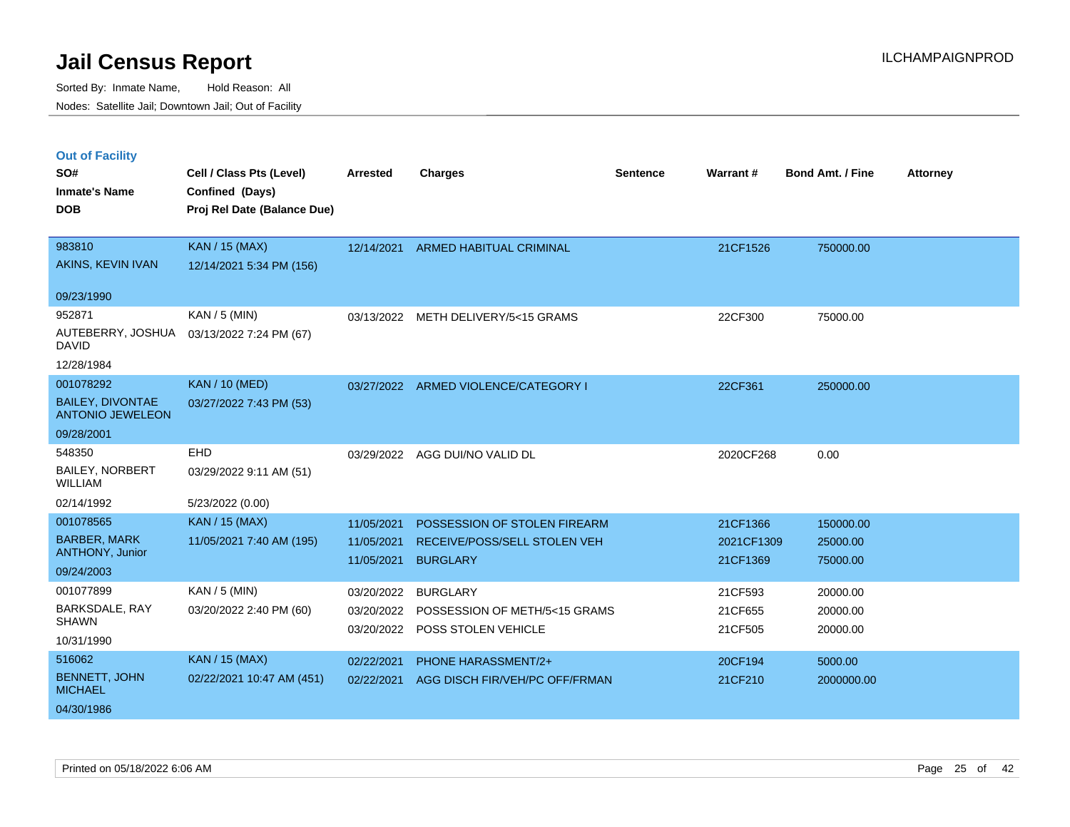Sorted By: Inmate Name, Hold Reason: All Nodes: Satellite Jail; Downtown Jail; Out of Facility

### **Out of Facility**

| SO#<br><b>Inmate's Name</b><br><b>DOB</b>                                | Cell / Class Pts (Level)<br>Confined (Days)<br>Proj Rel Date (Balance Due) | <b>Arrested</b>                        | <b>Charges</b>                                                                  | <b>Sentence</b> | Warrant#                           | Bond Amt. / Fine                  | <b>Attorney</b> |
|--------------------------------------------------------------------------|----------------------------------------------------------------------------|----------------------------------------|---------------------------------------------------------------------------------|-----------------|------------------------------------|-----------------------------------|-----------------|
| 983810<br>AKINS, KEVIN IVAN                                              | <b>KAN / 15 (MAX)</b><br>12/14/2021 5:34 PM (156)                          | 12/14/2021                             | <b>ARMED HABITUAL CRIMINAL</b>                                                  |                 | 21CF1526                           | 750000.00                         |                 |
| 09/23/1990                                                               |                                                                            |                                        |                                                                                 |                 |                                    |                                   |                 |
| 952871<br>AUTEBERRY, JOSHUA<br><b>DAVID</b>                              | $KAN / 5$ (MIN)<br>03/13/2022 7:24 PM (67)                                 | 03/13/2022                             | METH DELIVERY/5<15 GRAMS                                                        |                 | 22CF300                            | 75000.00                          |                 |
| 12/28/1984                                                               |                                                                            |                                        |                                                                                 |                 |                                    |                                   |                 |
| 001078292<br><b>BAILEY, DIVONTAE</b><br><b>ANTONIO JEWELEON</b>          | <b>KAN / 10 (MED)</b><br>03/27/2022 7:43 PM (53)                           |                                        | 03/27/2022 ARMED VIOLENCE/CATEGORY I                                            |                 | 22CF361                            | 250000.00                         |                 |
| 09/28/2001                                                               |                                                                            |                                        |                                                                                 |                 |                                    |                                   |                 |
| 548350<br><b>BAILEY, NORBERT</b><br><b>WILLIAM</b>                       | EHD<br>03/29/2022 9:11 AM (51)                                             |                                        | 03/29/2022 AGG DUI/NO VALID DL                                                  |                 | 2020CF268                          | 0.00                              |                 |
| 02/14/1992                                                               | 5/23/2022 (0.00)                                                           |                                        |                                                                                 |                 |                                    |                                   |                 |
| 001078565<br><b>BARBER, MARK</b><br><b>ANTHONY, Junior</b><br>09/24/2003 | KAN / 15 (MAX)<br>11/05/2021 7:40 AM (195)                                 | 11/05/2021<br>11/05/2021<br>11/05/2021 | POSSESSION OF STOLEN FIREARM<br>RECEIVE/POSS/SELL STOLEN VEH<br><b>BURGLARY</b> |                 | 21CF1366<br>2021CF1309<br>21CF1369 | 150000.00<br>25000.00<br>75000.00 |                 |
| 001077899<br>BARKSDALE, RAY<br><b>SHAWN</b><br>10/31/1990                | KAN / 5 (MIN)<br>03/20/2022 2:40 PM (60)                                   | 03/20/2022<br>03/20/2022<br>03/20/2022 | <b>BURGLARY</b><br>POSSESSION OF METH/5<15 GRAMS<br>POSS STOLEN VEHICLE         |                 | 21CF593<br>21CF655<br>21CF505      | 20000.00<br>20000.00<br>20000.00  |                 |
| 516062<br><b>BENNETT, JOHN</b><br><b>MICHAEL</b><br>04/30/1986           | <b>KAN / 15 (MAX)</b><br>02/22/2021 10:47 AM (451)                         | 02/22/2021<br>02/22/2021               | PHONE HARASSMENT/2+<br>AGG DISCH FIR/VEH/PC OFF/FRMAN                           |                 | 20CF194<br>21CF210                 | 5000.00<br>2000000.00             |                 |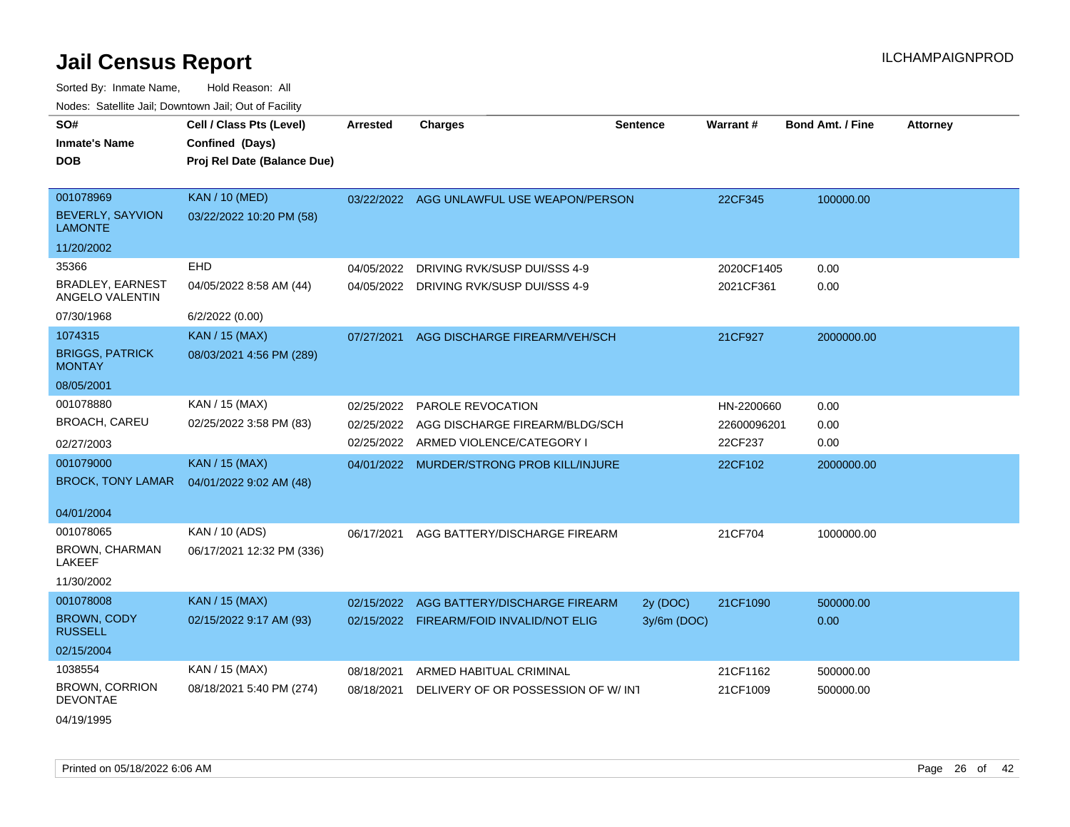| SO#                                        | Cell / Class Pts (Level)    | Arrested   | <b>Charges</b>                            | <b>Sentence</b> | Warrant#    | <b>Bond Amt. / Fine</b> | <b>Attorney</b> |
|--------------------------------------------|-----------------------------|------------|-------------------------------------------|-----------------|-------------|-------------------------|-----------------|
| <b>Inmate's Name</b>                       | Confined (Days)             |            |                                           |                 |             |                         |                 |
| <b>DOB</b>                                 | Proj Rel Date (Balance Due) |            |                                           |                 |             |                         |                 |
|                                            |                             |            |                                           |                 |             |                         |                 |
| 001078969                                  | <b>KAN / 10 (MED)</b>       |            | 03/22/2022 AGG UNLAWFUL USE WEAPON/PERSON |                 | 22CF345     | 100000.00               |                 |
| <b>BEVERLY, SAYVION</b><br><b>LAMONTE</b>  | 03/22/2022 10:20 PM (58)    |            |                                           |                 |             |                         |                 |
| 11/20/2002                                 |                             |            |                                           |                 |             |                         |                 |
| 35366                                      | EHD                         | 04/05/2022 | DRIVING RVK/SUSP DUI/SSS 4-9              |                 | 2020CF1405  | 0.00                    |                 |
| <b>BRADLEY, EARNEST</b><br>ANGELO VALENTIN | 04/05/2022 8:58 AM (44)     | 04/05/2022 | DRIVING RVK/SUSP DUI/SSS 4-9              |                 | 2021CF361   | 0.00                    |                 |
| 07/30/1968                                 | 6/2/2022 (0.00)             |            |                                           |                 |             |                         |                 |
| 1074315                                    | <b>KAN / 15 (MAX)</b>       | 07/27/2021 | AGG DISCHARGE FIREARM/VEH/SCH             |                 | 21CF927     | 2000000.00              |                 |
| <b>BRIGGS, PATRICK</b><br><b>MONTAY</b>    | 08/03/2021 4:56 PM (289)    |            |                                           |                 |             |                         |                 |
| 08/05/2001                                 |                             |            |                                           |                 |             |                         |                 |
| 001078880                                  | KAN / 15 (MAX)              | 02/25/2022 | <b>PAROLE REVOCATION</b>                  |                 | HN-2200660  | 0.00                    |                 |
| <b>BROACH, CAREU</b>                       | 02/25/2022 3:58 PM (83)     | 02/25/2022 | AGG DISCHARGE FIREARM/BLDG/SCH            |                 | 22600096201 | 0.00                    |                 |
| 02/27/2003                                 |                             |            | 02/25/2022 ARMED VIOLENCE/CATEGORY I      |                 | 22CF237     | 0.00                    |                 |
| 001079000                                  | <b>KAN / 15 (MAX)</b>       |            | 04/01/2022 MURDER/STRONG PROB KILL/INJURE |                 | 22CF102     | 2000000.00              |                 |
| <b>BROCK, TONY LAMAR</b>                   | 04/01/2022 9:02 AM (48)     |            |                                           |                 |             |                         |                 |
|                                            |                             |            |                                           |                 |             |                         |                 |
| 04/01/2004                                 |                             |            |                                           |                 |             |                         |                 |
| 001078065                                  | KAN / 10 (ADS)              | 06/17/2021 | AGG BATTERY/DISCHARGE FIREARM             |                 | 21CF704     | 1000000.00              |                 |
| BROWN, CHARMAN<br>LAKEEF                   | 06/17/2021 12:32 PM (336)   |            |                                           |                 |             |                         |                 |
| 11/30/2002                                 |                             |            |                                           |                 |             |                         |                 |
| 001078008                                  | <b>KAN / 15 (MAX)</b>       |            | 02/15/2022 AGG BATTERY/DISCHARGE FIREARM  | 2y (DOC)        | 21CF1090    | 500000.00               |                 |
| <b>BROWN, CODY</b><br><b>RUSSELL</b>       | 02/15/2022 9:17 AM (93)     |            | 02/15/2022 FIREARM/FOID INVALID/NOT ELIG  | 3y/6m (DOC)     |             | 0.00                    |                 |
| 02/15/2004                                 |                             |            |                                           |                 |             |                         |                 |
| 1038554                                    | KAN / 15 (MAX)              | 08/18/2021 | ARMED HABITUAL CRIMINAL                   |                 | 21CF1162    | 500000.00               |                 |
| <b>BROWN, CORRION</b><br><b>DEVONTAE</b>   | 08/18/2021 5:40 PM (274)    | 08/18/2021 | DELIVERY OF OR POSSESSION OF W/INT        |                 | 21CF1009    | 500000.00               |                 |
| 04/19/1995                                 |                             |            |                                           |                 |             |                         |                 |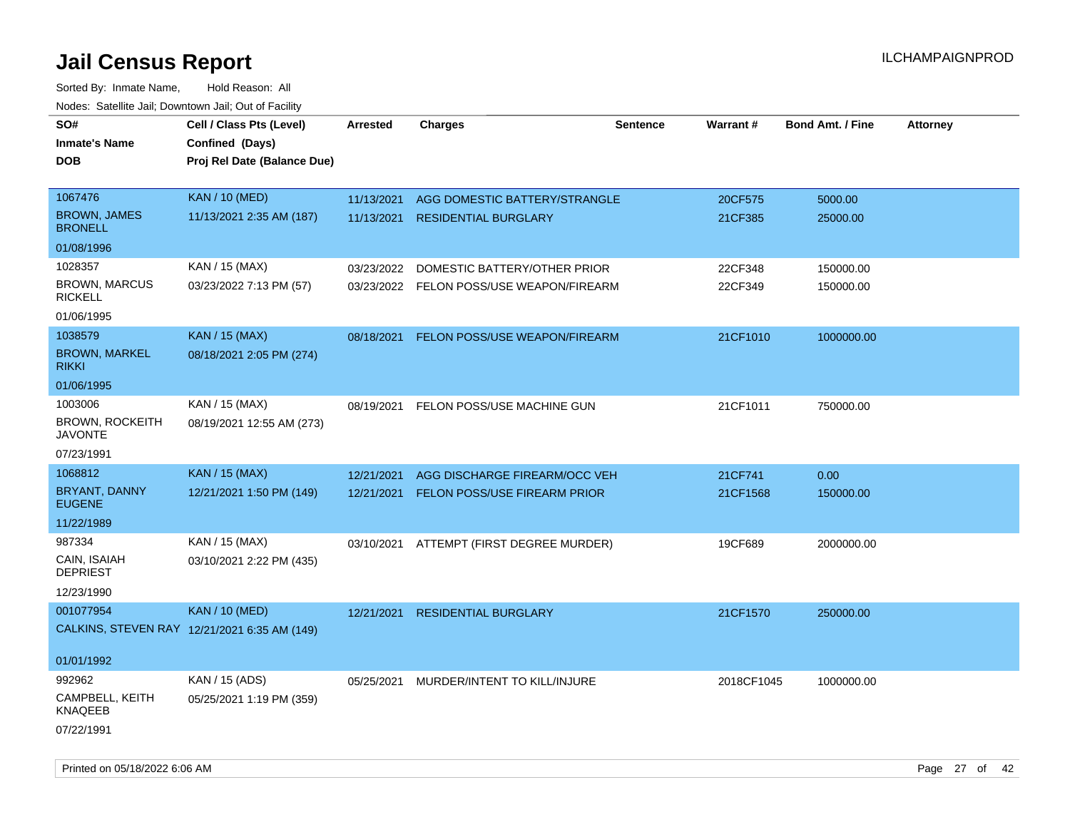| SO#<br><b>Inmate's Name</b><br><b>DOB</b> | Cell / Class Pts (Level)<br>Confined (Days)<br>Proj Rel Date (Balance Due) | Arrested   | <b>Charges</b>                           | <b>Sentence</b> | <b>Warrant#</b> | <b>Bond Amt. / Fine</b> | <b>Attorney</b> |
|-------------------------------------------|----------------------------------------------------------------------------|------------|------------------------------------------|-----------------|-----------------|-------------------------|-----------------|
|                                           |                                                                            |            |                                          |                 |                 |                         |                 |
| 1067476                                   | <b>KAN / 10 (MED)</b>                                                      | 11/13/2021 | AGG DOMESTIC BATTERY/STRANGLE            |                 | 20CF575         | 5000.00                 |                 |
| <b>BROWN, JAMES</b><br><b>BRONELL</b>     | 11/13/2021 2:35 AM (187)                                                   | 11/13/2021 | <b>RESIDENTIAL BURGLARY</b>              |                 | 21CF385         | 25000.00                |                 |
| 01/08/1996                                |                                                                            |            |                                          |                 |                 |                         |                 |
| 1028357                                   | KAN / 15 (MAX)                                                             | 03/23/2022 | DOMESTIC BATTERY/OTHER PRIOR             |                 | 22CF348         | 150000.00               |                 |
| <b>BROWN, MARCUS</b><br><b>RICKELL</b>    | 03/23/2022 7:13 PM (57)                                                    |            | 03/23/2022 FELON POSS/USE WEAPON/FIREARM |                 | 22CF349         | 150000.00               |                 |
| 01/06/1995                                |                                                                            |            |                                          |                 |                 |                         |                 |
| 1038579<br><b>BROWN, MARKEL</b>           | <b>KAN / 15 (MAX)</b><br>08/18/2021 2:05 PM (274)                          | 08/18/2021 | FELON POSS/USE WEAPON/FIREARM            |                 | 21CF1010        | 1000000.00              |                 |
| <b>RIKKI</b><br>01/06/1995                |                                                                            |            |                                          |                 |                 |                         |                 |
| 1003006                                   | KAN / 15 (MAX)                                                             |            |                                          |                 |                 |                         |                 |
| <b>BROWN, ROCKEITH</b><br><b>JAVONTE</b>  | 08/19/2021 12:55 AM (273)                                                  | 08/19/2021 | FELON POSS/USE MACHINE GUN               |                 | 21CF1011        | 750000.00               |                 |
| 07/23/1991                                |                                                                            |            |                                          |                 |                 |                         |                 |
| 1068812                                   | <b>KAN / 15 (MAX)</b>                                                      | 12/21/2021 | AGG DISCHARGE FIREARM/OCC VEH            |                 | 21CF741         | 0.00                    |                 |
| BRYANT, DANNY<br><b>EUGENE</b>            | 12/21/2021 1:50 PM (149)                                                   | 12/21/2021 | FELON POSS/USE FIREARM PRIOR             |                 | 21CF1568        | 150000.00               |                 |
| 11/22/1989                                |                                                                            |            |                                          |                 |                 |                         |                 |
| 987334                                    | KAN / 15 (MAX)                                                             |            | 03/10/2021 ATTEMPT (FIRST DEGREE MURDER) |                 | 19CF689         | 2000000.00              |                 |
| CAIN, ISAIAH<br><b>DEPRIEST</b>           | 03/10/2021 2:22 PM (435)                                                   |            |                                          |                 |                 |                         |                 |
| 12/23/1990                                |                                                                            |            |                                          |                 |                 |                         |                 |
| 001077954                                 | <b>KAN / 10 (MED)</b>                                                      | 12/21/2021 | <b>RESIDENTIAL BURGLARY</b>              |                 | 21CF1570        | 250000.00               |                 |
|                                           | CALKINS, STEVEN RAY 12/21/2021 6:35 AM (149)                               |            |                                          |                 |                 |                         |                 |
| 01/01/1992                                |                                                                            |            |                                          |                 |                 |                         |                 |
| 992962                                    | KAN / 15 (ADS)                                                             | 05/25/2021 | MURDER/INTENT TO KILL/INJURE             |                 | 2018CF1045      | 1000000.00              |                 |
| CAMPBELL, KEITH<br>KNAQEEB                | 05/25/2021 1:19 PM (359)                                                   |            |                                          |                 |                 |                         |                 |
| 07/22/1991                                |                                                                            |            |                                          |                 |                 |                         |                 |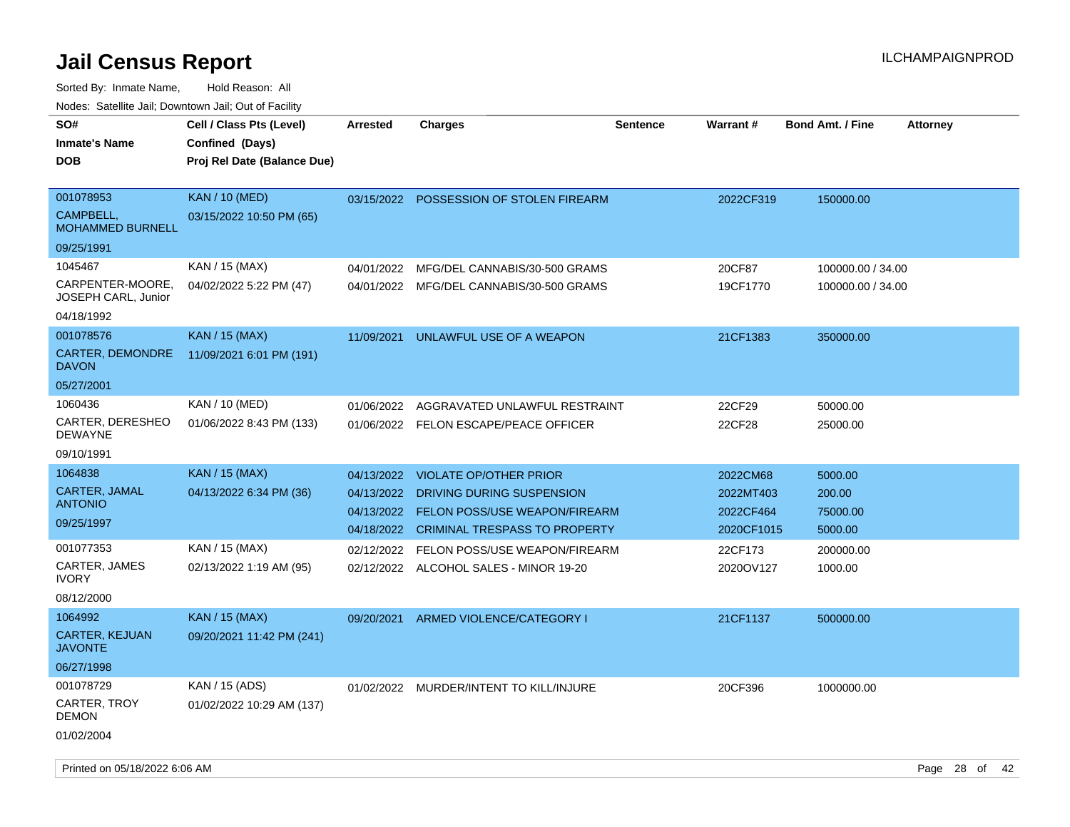Sorted By: Inmate Name, Hold Reason: All Nodes: Satellite Jail; Downtown Jail; Out of Facility

| SO#                                | Cell / Class Pts (Level)    | <b>Arrested</b> | <b>Charges</b>                           | <b>Sentence</b> | <b>Warrant#</b> | <b>Bond Amt. / Fine</b> | <b>Attorney</b> |
|------------------------------------|-----------------------------|-----------------|------------------------------------------|-----------------|-----------------|-------------------------|-----------------|
| <b>Inmate's Name</b>               |                             |                 |                                          |                 |                 |                         |                 |
|                                    | Confined (Days)             |                 |                                          |                 |                 |                         |                 |
| <b>DOB</b>                         | Proj Rel Date (Balance Due) |                 |                                          |                 |                 |                         |                 |
| 001078953                          | <b>KAN / 10 (MED)</b>       | 03/15/2022      | POSSESSION OF STOLEN FIREARM             |                 | 2022CF319       | 150000.00               |                 |
| CAMPBELL,                          | 03/15/2022 10:50 PM (65)    |                 |                                          |                 |                 |                         |                 |
| <b>MOHAMMED BURNELL</b>            |                             |                 |                                          |                 |                 |                         |                 |
| 09/25/1991                         |                             |                 |                                          |                 |                 |                         |                 |
| 1045467                            | KAN / 15 (MAX)              | 04/01/2022      | MFG/DEL CANNABIS/30-500 GRAMS            |                 | 20CF87          | 100000.00 / 34.00       |                 |
| CARPENTER-MOORE,                   | 04/02/2022 5:22 PM (47)     |                 | 04/01/2022 MFG/DEL CANNABIS/30-500 GRAMS |                 | 19CF1770        | 100000.00 / 34.00       |                 |
| <b>JOSEPH CARL, Junior</b>         |                             |                 |                                          |                 |                 |                         |                 |
| 04/18/1992                         |                             |                 |                                          |                 |                 |                         |                 |
| 001078576                          | KAN / 15 (MAX)              | 11/09/2021      | UNLAWFUL USE OF A WEAPON                 |                 | 21CF1383        | 350000.00               |                 |
| <b>CARTER, DEMONDRE</b>            | 11/09/2021 6:01 PM (191)    |                 |                                          |                 |                 |                         |                 |
| <b>DAVON</b>                       |                             |                 |                                          |                 |                 |                         |                 |
| 05/27/2001                         |                             |                 |                                          |                 |                 |                         |                 |
| 1060436                            | KAN / 10 (MED)              | 01/06/2022      | AGGRAVATED UNLAWFUL RESTRAINT            |                 | 22CF29          | 50000.00                |                 |
| CARTER, DERESHEO<br><b>DEWAYNE</b> | 01/06/2022 8:43 PM (133)    |                 | 01/06/2022 FELON ESCAPE/PEACE OFFICER    |                 | 22CF28          | 25000.00                |                 |
| 09/10/1991                         |                             |                 |                                          |                 |                 |                         |                 |
| 1064838                            | KAN / 15 (MAX)              | 04/13/2022      | <b>VIOLATE OP/OTHER PRIOR</b>            |                 | 2022CM68        | 5000.00                 |                 |
| CARTER, JAMAL                      | 04/13/2022 6:34 PM (36)     |                 |                                          |                 |                 |                         |                 |
| <b>ANTONIO</b>                     |                             | 04/13/2022      | DRIVING DURING SUSPENSION                |                 | 2022MT403       | 200.00                  |                 |
| 09/25/1997                         |                             | 04/13/2022      | FELON POSS/USE WEAPON/FIREARM            |                 | 2022CF464       | 75000.00                |                 |
|                                    |                             |                 | 04/18/2022 CRIMINAL TRESPASS TO PROPERTY |                 | 2020CF1015      | 5000.00                 |                 |
| 001077353                          | KAN / 15 (MAX)              | 02/12/2022      | FELON POSS/USE WEAPON/FIREARM            |                 | 22CF173         | 200000.00               |                 |
| CARTER, JAMES<br><b>IVORY</b>      | 02/13/2022 1:19 AM (95)     | 02/12/2022      | ALCOHOL SALES - MINOR 19-20              |                 | 2020OV127       | 1000.00                 |                 |
| 08/12/2000                         |                             |                 |                                          |                 |                 |                         |                 |
| 1064992                            | <b>KAN / 15 (MAX)</b>       | 09/20/2021      | ARMED VIOLENCE/CATEGORY I                |                 | 21CF1137        | 500000.00               |                 |
| CARTER, KEJUAN                     | 09/20/2021 11:42 PM (241)   |                 |                                          |                 |                 |                         |                 |
| <b>JAVONTE</b>                     |                             |                 |                                          |                 |                 |                         |                 |
| 06/27/1998                         |                             |                 |                                          |                 |                 |                         |                 |
| 001078729                          | KAN / 15 (ADS)              |                 | 01/02/2022 MURDER/INTENT TO KILL/INJURE  |                 | 20CF396         | 1000000.00              |                 |
| CARTER, TROY                       | 01/02/2022 10:29 AM (137)   |                 |                                          |                 |                 |                         |                 |
| <b>DEMON</b>                       |                             |                 |                                          |                 |                 |                         |                 |
| 01/02/2004                         |                             |                 |                                          |                 |                 |                         |                 |
|                                    |                             |                 |                                          |                 |                 |                         |                 |

Printed on 05/18/2022 6:06 AM Page 28 of 42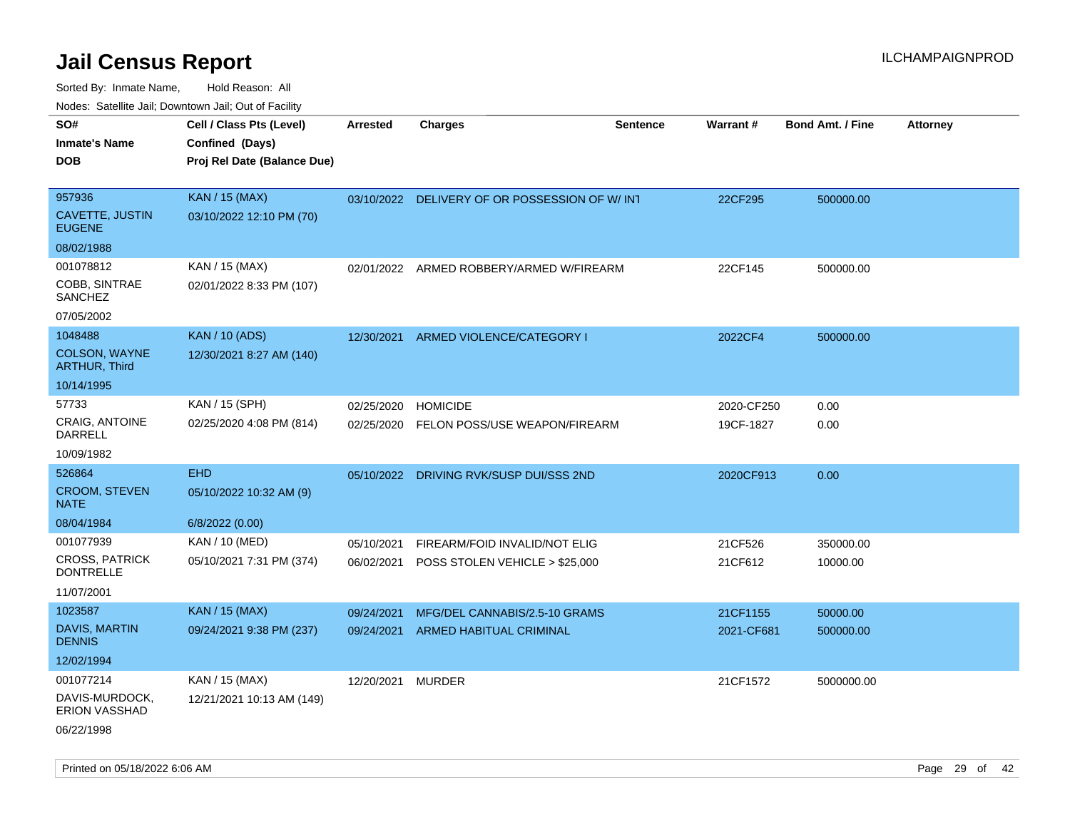Sorted By: Inmate Name, Hold Reason: All Nodes: Satellite Jail; Downtown Jail; Out of Facility

| SO#                                       | Cell / Class Pts (Level)    | Arrested   | <b>Charges</b>                                | <b>Sentence</b> | Warrant#   | <b>Bond Amt. / Fine</b> | <b>Attorney</b> |
|-------------------------------------------|-----------------------------|------------|-----------------------------------------------|-----------------|------------|-------------------------|-----------------|
| <b>Inmate's Name</b>                      | Confined (Days)             |            |                                               |                 |            |                         |                 |
| <b>DOB</b>                                | Proj Rel Date (Balance Due) |            |                                               |                 |            |                         |                 |
|                                           |                             |            |                                               |                 |            |                         |                 |
| 957936                                    | <b>KAN / 15 (MAX)</b>       |            | 03/10/2022 DELIVERY OF OR POSSESSION OF W/INT |                 | 22CF295    | 500000.00               |                 |
| CAVETTE, JUSTIN<br><b>EUGENE</b>          | 03/10/2022 12:10 PM (70)    |            |                                               |                 |            |                         |                 |
| 08/02/1988                                |                             |            |                                               |                 |            |                         |                 |
| 001078812                                 | KAN / 15 (MAX)              |            | 02/01/2022 ARMED ROBBERY/ARMED W/FIREARM      |                 | 22CF145    | 500000.00               |                 |
| COBB, SINTRAE<br><b>SANCHEZ</b>           | 02/01/2022 8:33 PM (107)    |            |                                               |                 |            |                         |                 |
| 07/05/2002                                |                             |            |                                               |                 |            |                         |                 |
| 1048488                                   | <b>KAN / 10 (ADS)</b>       | 12/30/2021 | ARMED VIOLENCE/CATEGORY I                     |                 | 2022CF4    | 500000.00               |                 |
| COLSON, WAYNE<br><b>ARTHUR, Third</b>     | 12/30/2021 8:27 AM (140)    |            |                                               |                 |            |                         |                 |
| 10/14/1995                                |                             |            |                                               |                 |            |                         |                 |
| 57733                                     | KAN / 15 (SPH)              | 02/25/2020 | <b>HOMICIDE</b>                               |                 | 2020-CF250 | 0.00                    |                 |
| CRAIG, ANTOINE<br>DARRELL                 | 02/25/2020 4:08 PM (814)    | 02/25/2020 | FELON POSS/USE WEAPON/FIREARM                 |                 | 19CF-1827  | 0.00                    |                 |
| 10/09/1982                                |                             |            |                                               |                 |            |                         |                 |
| 526864                                    | <b>EHD</b>                  |            | 05/10/2022 DRIVING RVK/SUSP DUI/SSS 2ND       |                 | 2020CF913  | 0.00                    |                 |
| CROOM, STEVEN<br><b>NATE</b>              | 05/10/2022 10:32 AM (9)     |            |                                               |                 |            |                         |                 |
| 08/04/1984                                | 6/8/2022 (0.00)             |            |                                               |                 |            |                         |                 |
| 001077939                                 | KAN / 10 (MED)              | 05/10/2021 | FIREARM/FOID INVALID/NOT ELIG                 |                 | 21CF526    | 350000.00               |                 |
| <b>CROSS, PATRICK</b><br><b>DONTRELLE</b> | 05/10/2021 7:31 PM (374)    |            | 06/02/2021 POSS STOLEN VEHICLE > \$25,000     |                 | 21CF612    | 10000.00                |                 |
| 11/07/2001                                |                             |            |                                               |                 |            |                         |                 |
| 1023587                                   | KAN / 15 (MAX)              | 09/24/2021 | MFG/DEL CANNABIS/2.5-10 GRAMS                 |                 | 21CF1155   | 50000.00                |                 |
| DAVIS, MARTIN<br><b>DENNIS</b>            | 09/24/2021 9:38 PM (237)    | 09/24/2021 | <b>ARMED HABITUAL CRIMINAL</b>                |                 | 2021-CF681 | 500000.00               |                 |
| 12/02/1994                                |                             |            |                                               |                 |            |                         |                 |
| 001077214                                 | KAN / 15 (MAX)              | 12/20/2021 | <b>MURDER</b>                                 |                 | 21CF1572   | 5000000.00              |                 |
| DAVIS-MURDOCK,<br><b>ERION VASSHAD</b>    | 12/21/2021 10:13 AM (149)   |            |                                               |                 |            |                         |                 |
| $-1 - 11 - 12 - 12$                       |                             |            |                                               |                 |            |                         |                 |

06/22/1998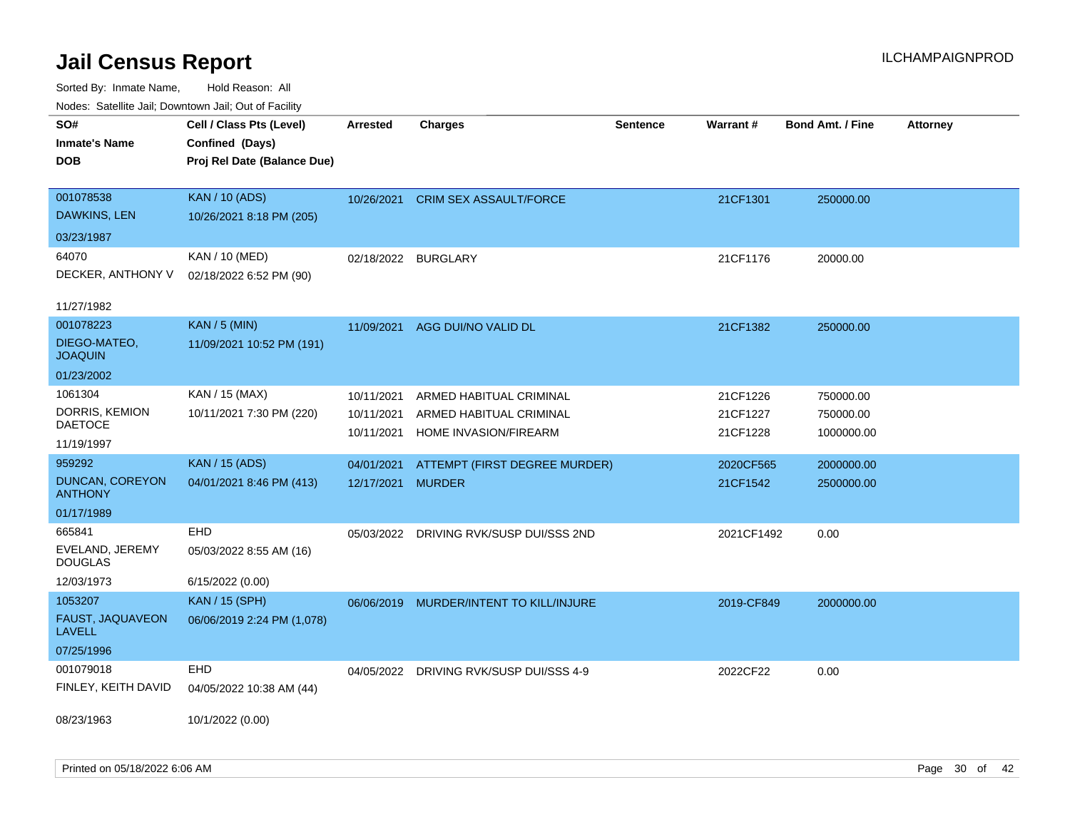| Noues. Sateme Jan, Downtown Jan, Out of Facility |                             |                     |                               |                 |            |                         |                 |
|--------------------------------------------------|-----------------------------|---------------------|-------------------------------|-----------------|------------|-------------------------|-----------------|
| SO#                                              | Cell / Class Pts (Level)    | Arrested            | <b>Charges</b>                | <b>Sentence</b> | Warrant#   | <b>Bond Amt. / Fine</b> | <b>Attorney</b> |
| <b>Inmate's Name</b>                             | Confined (Days)             |                     |                               |                 |            |                         |                 |
| <b>DOB</b>                                       | Proj Rel Date (Balance Due) |                     |                               |                 |            |                         |                 |
|                                                  |                             |                     |                               |                 |            |                         |                 |
| 001078538                                        | <b>KAN / 10 (ADS)</b>       | 10/26/2021          | <b>CRIM SEX ASSAULT/FORCE</b> |                 | 21CF1301   | 250000.00               |                 |
| DAWKINS, LEN                                     | 10/26/2021 8:18 PM (205)    |                     |                               |                 |            |                         |                 |
| 03/23/1987                                       |                             |                     |                               |                 |            |                         |                 |
| 64070                                            | KAN / 10 (MED)              | 02/18/2022 BURGLARY |                               |                 | 21CF1176   | 20000.00                |                 |
| DECKER, ANTHONY V                                | 02/18/2022 6:52 PM (90)     |                     |                               |                 |            |                         |                 |
|                                                  |                             |                     |                               |                 |            |                         |                 |
| 11/27/1982                                       |                             |                     |                               |                 |            |                         |                 |
| 001078223                                        | <b>KAN / 5 (MIN)</b>        | 11/09/2021          | AGG DUI/NO VALID DL           |                 | 21CF1382   | 250000.00               |                 |
| DIEGO-MATEO,<br><b>JOAQUIN</b>                   | 11/09/2021 10:52 PM (191)   |                     |                               |                 |            |                         |                 |
| 01/23/2002                                       |                             |                     |                               |                 |            |                         |                 |
| 1061304                                          | KAN / 15 (MAX)              | 10/11/2021          | ARMED HABITUAL CRIMINAL       |                 | 21CF1226   | 750000.00               |                 |
| DORRIS, KEMION                                   | 10/11/2021 7:30 PM (220)    | 10/11/2021          | ARMED HABITUAL CRIMINAL       |                 | 21CF1227   | 750000.00               |                 |
| DAETOCE                                          |                             | 10/11/2021          | HOME INVASION/FIREARM         |                 | 21CF1228   | 1000000.00              |                 |
| 11/19/1997                                       |                             |                     |                               |                 |            |                         |                 |
| 959292                                           | <b>KAN / 15 (ADS)</b>       | 04/01/2021          | ATTEMPT (FIRST DEGREE MURDER) |                 | 2020CF565  | 2000000.00              |                 |
| <b>DUNCAN, COREYON</b><br><b>ANTHONY</b>         | 04/01/2021 8:46 PM (413)    | 12/17/2021          | <b>MURDER</b>                 |                 | 21CF1542   | 2500000.00              |                 |
| 01/17/1989                                       |                             |                     |                               |                 |            |                         |                 |
| 665841                                           | EHD                         | 05/03/2022          | DRIVING RVK/SUSP DUI/SSS 2ND  |                 | 2021CF1492 | 0.00                    |                 |
| EVELAND, JEREMY<br><b>DOUGLAS</b>                | 05/03/2022 8:55 AM (16)     |                     |                               |                 |            |                         |                 |
| 12/03/1973                                       | 6/15/2022 (0.00)            |                     |                               |                 |            |                         |                 |
| 1053207                                          | <b>KAN / 15 (SPH)</b>       | 06/06/2019          | MURDER/INTENT TO KILL/INJURE  |                 | 2019-CF849 | 2000000.00              |                 |
| FAUST, JAQUAVEON<br><b>LAVELL</b>                | 06/06/2019 2:24 PM (1,078)  |                     |                               |                 |            |                         |                 |
| 07/25/1996                                       |                             |                     |                               |                 |            |                         |                 |
| 001079018                                        | EHD                         | 04/05/2022          | DRIVING RVK/SUSP DUI/SSS 4-9  |                 | 2022CF22   | 0.00                    |                 |
| FINLEY, KEITH DAVID                              | 04/05/2022 10:38 AM (44)    |                     |                               |                 |            |                         |                 |
|                                                  |                             |                     |                               |                 |            |                         |                 |
| 08/23/1963                                       | 10/1/2022 (0.00)            |                     |                               |                 |            |                         |                 |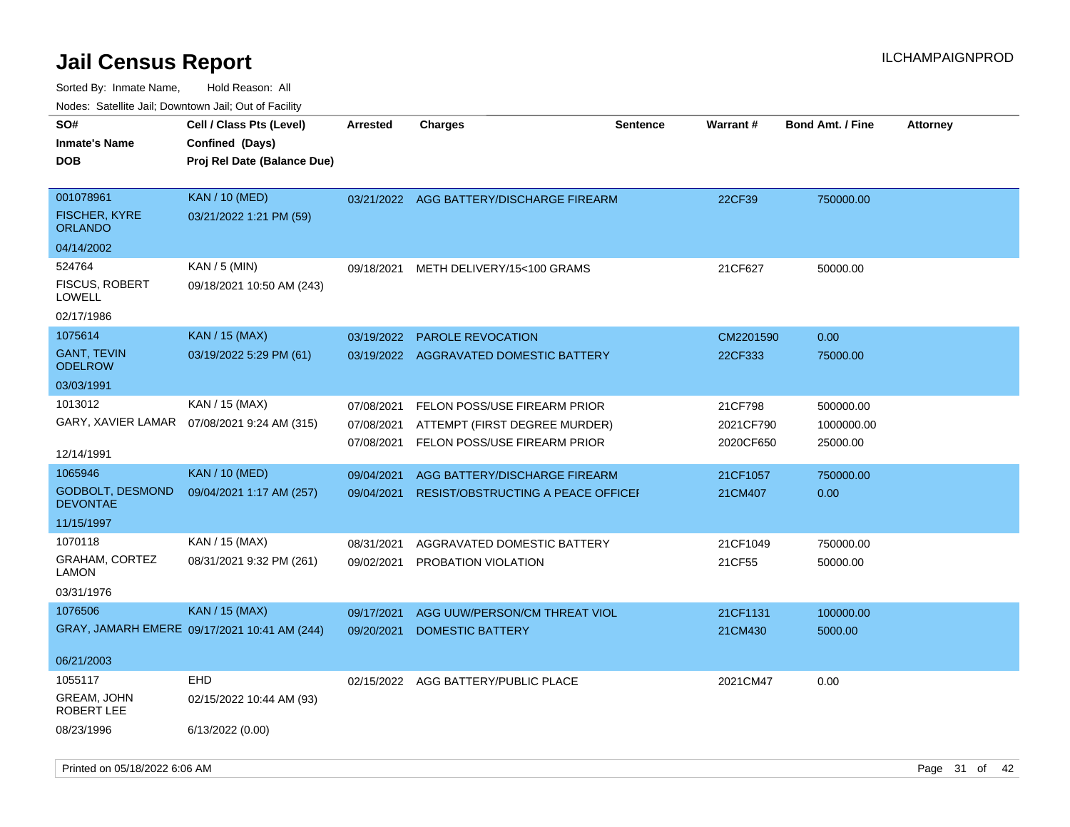| rougs. Calcing Jan, Downtown Jan, Out of Facility |                                              |            |                                           |                 |           |                         |                 |
|---------------------------------------------------|----------------------------------------------|------------|-------------------------------------------|-----------------|-----------|-------------------------|-----------------|
| SO#                                               | Cell / Class Pts (Level)                     | Arrested   | Charges                                   | <b>Sentence</b> | Warrant#  | <b>Bond Amt. / Fine</b> | <b>Attorney</b> |
| <b>Inmate's Name</b>                              | Confined (Days)                              |            |                                           |                 |           |                         |                 |
| <b>DOB</b>                                        | Proj Rel Date (Balance Due)                  |            |                                           |                 |           |                         |                 |
|                                                   |                                              |            |                                           |                 |           |                         |                 |
| 001078961                                         | <b>KAN / 10 (MED)</b>                        |            | 03/21/2022 AGG BATTERY/DISCHARGE FIREARM  |                 | 22CF39    | 750000.00               |                 |
| <b>FISCHER, KYRE</b><br>ORLANDO                   | 03/21/2022 1:21 PM (59)                      |            |                                           |                 |           |                         |                 |
| 04/14/2002                                        |                                              |            |                                           |                 |           |                         |                 |
| 524764                                            | $KAN / 5$ (MIN)                              | 09/18/2021 | METH DELIVERY/15<100 GRAMS                |                 | 21CF627   | 50000.00                |                 |
| <b>FISCUS, ROBERT</b><br>LOWELL                   | 09/18/2021 10:50 AM (243)                    |            |                                           |                 |           |                         |                 |
| 02/17/1986                                        |                                              |            |                                           |                 |           |                         |                 |
| 1075614                                           | <b>KAN</b> / 15 (MAX)                        | 03/19/2022 | PAROLE REVOCATION                         |                 | CM2201590 | 0.00                    |                 |
| <b>GANT, TEVIN</b><br><b>ODELROW</b>              | 03/19/2022 5:29 PM (61)                      |            | 03/19/2022 AGGRAVATED DOMESTIC BATTERY    |                 | 22CF333   | 75000.00                |                 |
| 03/03/1991                                        |                                              |            |                                           |                 |           |                         |                 |
| 1013012                                           | KAN / 15 (MAX)                               | 07/08/2021 | FELON POSS/USE FIREARM PRIOR              |                 | 21CF798   | 500000.00               |                 |
|                                                   | GARY, XAVIER LAMAR  07/08/2021 9:24 AM (315) | 07/08/2021 | ATTEMPT (FIRST DEGREE MURDER)             |                 | 2021CF790 | 1000000.00              |                 |
|                                                   |                                              | 07/08/2021 | FELON POSS/USE FIREARM PRIOR              |                 | 2020CF650 | 25000.00                |                 |
| 12/14/1991                                        |                                              |            |                                           |                 |           |                         |                 |
| 1065946                                           | <b>KAN / 10 (MED)</b>                        | 09/04/2021 | AGG BATTERY/DISCHARGE FIREARM             |                 | 21CF1057  | 750000.00               |                 |
| <b>GODBOLT, DESMOND</b><br><b>DEVONTAE</b>        | 09/04/2021 1:17 AM (257)                     | 09/04/2021 | <b>RESIST/OBSTRUCTING A PEACE OFFICEF</b> |                 | 21CM407   | 0.00                    |                 |
| 11/15/1997                                        |                                              |            |                                           |                 |           |                         |                 |
| 1070118                                           | KAN / 15 (MAX)                               | 08/31/2021 | AGGRAVATED DOMESTIC BATTERY               |                 | 21CF1049  | 750000.00               |                 |
| <b>GRAHAM, CORTEZ</b><br>LAMON                    | 08/31/2021 9:32 PM (261)                     | 09/02/2021 | PROBATION VIOLATION                       |                 | 21CF55    | 50000.00                |                 |
| 03/31/1976                                        |                                              |            |                                           |                 |           |                         |                 |
| 1076506                                           | <b>KAN / 15 (MAX)</b>                        | 09/17/2021 | AGG UUW/PERSON/CM THREAT VIOL             |                 | 21CF1131  | 100000.00               |                 |
|                                                   | GRAY, JAMARH EMERE 09/17/2021 10:41 AM (244) | 09/20/2021 | <b>DOMESTIC BATTERY</b>                   |                 | 21CM430   | 5000.00                 |                 |
| 06/21/2003                                        |                                              |            |                                           |                 |           |                         |                 |
| 1055117                                           | <b>EHD</b>                                   |            | 02/15/2022 AGG BATTERY/PUBLIC PLACE       |                 | 2021CM47  | 0.00                    |                 |
| GREAM, JOHN<br>ROBERT LEE                         | 02/15/2022 10:44 AM (93)                     |            |                                           |                 |           |                         |                 |
| 08/23/1996                                        | 6/13/2022 (0.00)                             |            |                                           |                 |           |                         |                 |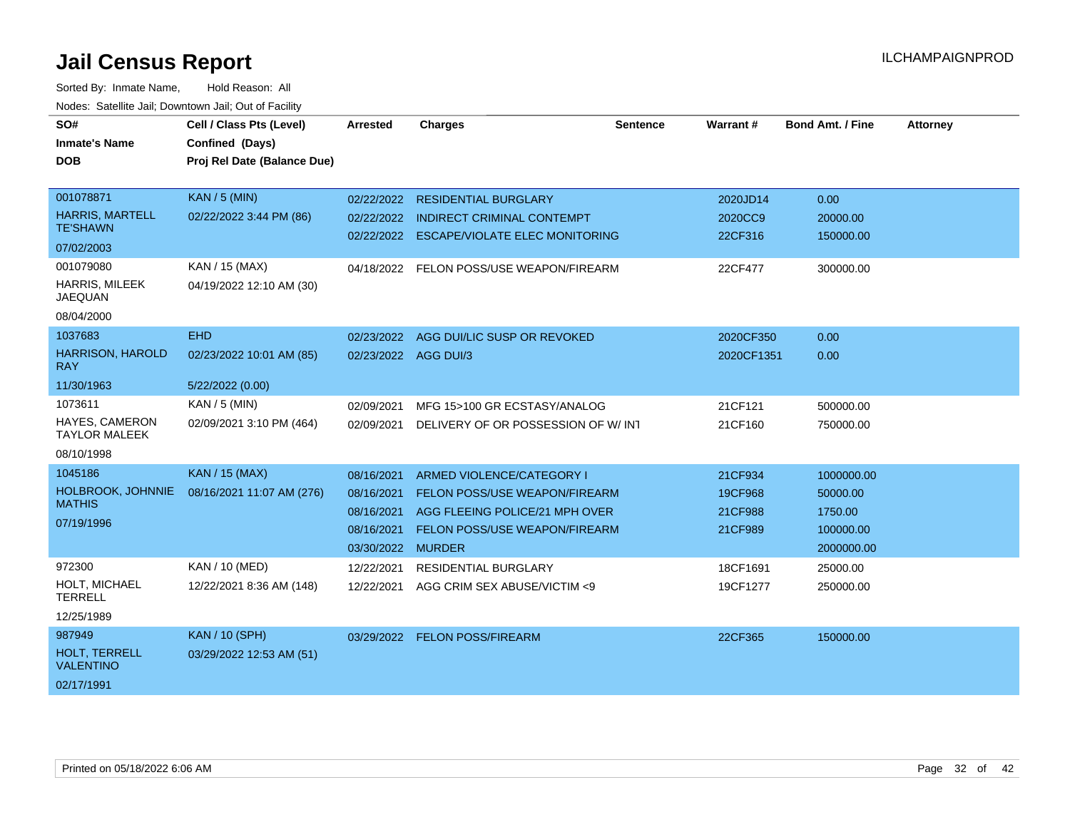| SO#                                       | Cell / Class Pts (Level)    | <b>Arrested</b> | <b>Charges</b>                        | <b>Sentence</b> | Warrant#   | <b>Bond Amt. / Fine</b> | <b>Attorney</b> |
|-------------------------------------------|-----------------------------|-----------------|---------------------------------------|-----------------|------------|-------------------------|-----------------|
| <b>Inmate's Name</b>                      | Confined (Days)             |                 |                                       |                 |            |                         |                 |
| <b>DOB</b>                                | Proj Rel Date (Balance Due) |                 |                                       |                 |            |                         |                 |
|                                           |                             |                 |                                       |                 |            |                         |                 |
| 001078871                                 | <b>KAN / 5 (MIN)</b>        | 02/22/2022      | <b>RESIDENTIAL BURGLARY</b>           |                 | 2020JD14   | 0.00                    |                 |
| <b>HARRIS, MARTELL</b><br><b>TE'SHAWN</b> | 02/22/2022 3:44 PM (86)     | 02/22/2022      | <b>INDIRECT CRIMINAL CONTEMPT</b>     |                 | 2020CC9    | 20000.00                |                 |
| 07/02/2003                                |                             | 02/22/2022      | <b>ESCAPE/VIOLATE ELEC MONITORING</b> |                 | 22CF316    | 150000.00               |                 |
| 001079080                                 | KAN / 15 (MAX)              | 04/18/2022      | FELON POSS/USE WEAPON/FIREARM         |                 | 22CF477    | 300000.00               |                 |
| HARRIS, MILEEK<br><b>JAEQUAN</b>          | 04/19/2022 12:10 AM (30)    |                 |                                       |                 |            |                         |                 |
| 08/04/2000                                |                             |                 |                                       |                 |            |                         |                 |
| 1037683                                   | <b>EHD</b>                  | 02/23/2022      | AGG DUI/LIC SUSP OR REVOKED           |                 | 2020CF350  | 0.00                    |                 |
| <b>HARRISON, HAROLD</b><br><b>RAY</b>     | 02/23/2022 10:01 AM (85)    |                 | 02/23/2022 AGG DUI/3                  |                 | 2020CF1351 | 0.00                    |                 |
| 11/30/1963                                | 5/22/2022 (0.00)            |                 |                                       |                 |            |                         |                 |
| 1073611                                   | KAN / 5 (MIN)               | 02/09/2021      | MFG 15>100 GR ECSTASY/ANALOG          |                 | 21CF121    | 500000.00               |                 |
| HAYES, CAMERON<br><b>TAYLOR MALEEK</b>    | 02/09/2021 3:10 PM (464)    | 02/09/2021      | DELIVERY OF OR POSSESSION OF W/INT    |                 | 21CF160    | 750000.00               |                 |
| 08/10/1998                                |                             |                 |                                       |                 |            |                         |                 |
| 1045186                                   | <b>KAN / 15 (MAX)</b>       | 08/16/2021      | ARMED VIOLENCE/CATEGORY I             |                 | 21CF934    | 1000000.00              |                 |
| HOLBROOK, JOHNNIE                         | 08/16/2021 11:07 AM (276)   | 08/16/2021      | <b>FELON POSS/USE WEAPON/FIREARM</b>  |                 | 19CF968    | 50000.00                |                 |
| <b>MATHIS</b>                             |                             | 08/16/2021      | AGG FLEEING POLICE/21 MPH OVER        |                 | 21CF988    | 1750.00                 |                 |
| 07/19/1996                                |                             | 08/16/2021      | <b>FELON POSS/USE WEAPON/FIREARM</b>  |                 | 21CF989    | 100000.00               |                 |
|                                           |                             | 03/30/2022      | <b>MURDER</b>                         |                 |            | 2000000.00              |                 |
| 972300                                    | KAN / 10 (MED)              | 12/22/2021      | <b>RESIDENTIAL BURGLARY</b>           |                 | 18CF1691   | 25000.00                |                 |
| HOLT, MICHAEL<br><b>TERRELL</b>           | 12/22/2021 8:36 AM (148)    | 12/22/2021      | AGG CRIM SEX ABUSE/VICTIM <9          |                 | 19CF1277   | 250000.00               |                 |
| 12/25/1989                                |                             |                 |                                       |                 |            |                         |                 |
| 987949                                    | <b>KAN / 10 (SPH)</b>       | 03/29/2022      | <b>FELON POSS/FIREARM</b>             |                 | 22CF365    | 150000.00               |                 |
| <b>HOLT. TERRELL</b><br><b>VALENTINO</b>  | 03/29/2022 12:53 AM (51)    |                 |                                       |                 |            |                         |                 |
| 02/17/1991                                |                             |                 |                                       |                 |            |                         |                 |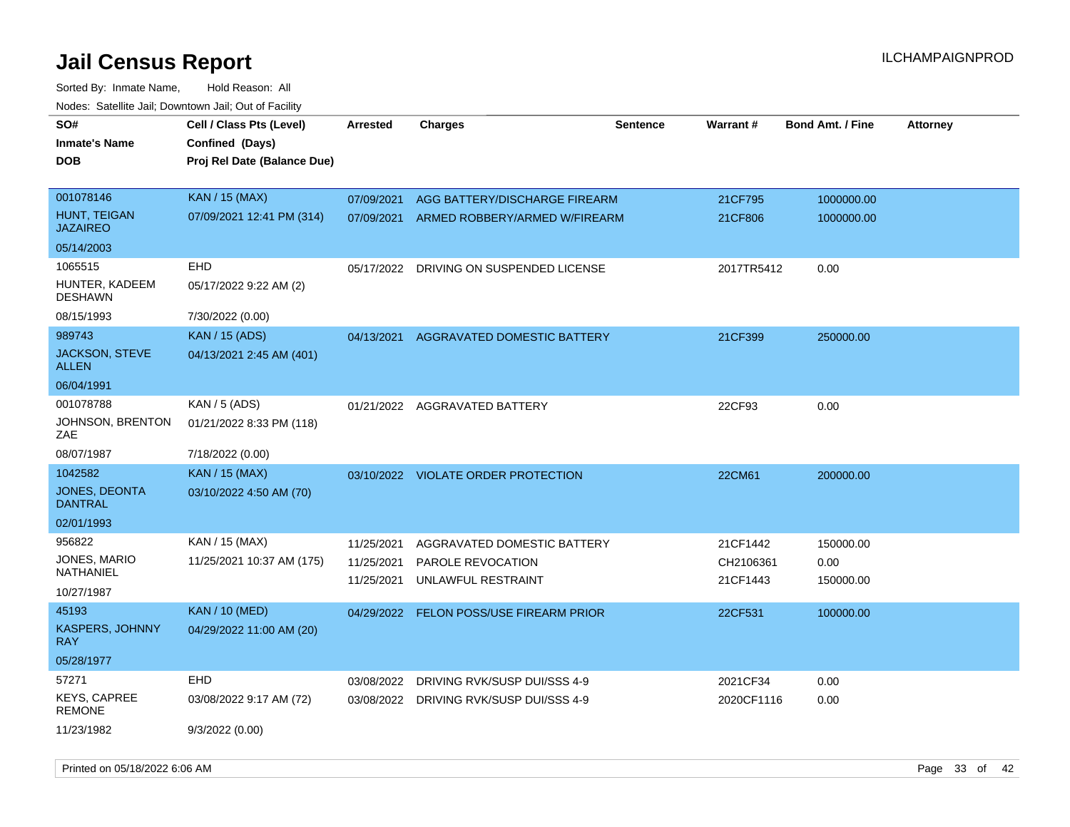| SO#<br><b>Inmate's Name</b><br><b>DOB</b> | Cell / Class Pts (Level)<br>Confined (Days)<br>Proj Rel Date (Balance Due) | Arrested                 | <b>Charges</b>                          | <b>Sentence</b> | Warrant#              | <b>Bond Amt. / Fine</b> | <b>Attorney</b> |
|-------------------------------------------|----------------------------------------------------------------------------|--------------------------|-----------------------------------------|-----------------|-----------------------|-------------------------|-----------------|
| 001078146                                 | <b>KAN / 15 (MAX)</b>                                                      | 07/09/2021               | AGG BATTERY/DISCHARGE FIREARM           |                 | 21CF795               | 1000000.00              |                 |
| HUNT, TEIGAN<br><b>JAZAIREO</b>           | 07/09/2021 12:41 PM (314)                                                  | 07/09/2021               | ARMED ROBBERY/ARMED W/FIREARM           |                 | 21CF806               | 1000000.00              |                 |
| 05/14/2003                                |                                                                            |                          |                                         |                 |                       |                         |                 |
| 1065515                                   | <b>EHD</b>                                                                 | 05/17/2022               | DRIVING ON SUSPENDED LICENSE            |                 | 2017TR5412            | 0.00                    |                 |
| HUNTER, KADEEM<br><b>DESHAWN</b>          | 05/17/2022 9:22 AM (2)                                                     |                          |                                         |                 |                       |                         |                 |
| 08/15/1993                                | 7/30/2022 (0.00)                                                           |                          |                                         |                 |                       |                         |                 |
| 989743                                    | <b>KAN / 15 (ADS)</b>                                                      | 04/13/2021               | AGGRAVATED DOMESTIC BATTERY             |                 | 21CF399               | 250000.00               |                 |
| <b>JACKSON, STEVE</b><br><b>ALLEN</b>     | 04/13/2021 2:45 AM (401)                                                   |                          |                                         |                 |                       |                         |                 |
| 06/04/1991                                |                                                                            |                          |                                         |                 |                       |                         |                 |
| 001078788                                 | KAN / 5 (ADS)                                                              |                          | 01/21/2022 AGGRAVATED BATTERY           |                 | 22CF93                | 0.00                    |                 |
| JOHNSON, BRENTON<br>ZAE                   | 01/21/2022 8:33 PM (118)                                                   |                          |                                         |                 |                       |                         |                 |
| 08/07/1987                                | 7/18/2022 (0.00)                                                           |                          |                                         |                 |                       |                         |                 |
| 1042582                                   | KAN / 15 (MAX)                                                             |                          | 03/10/2022 VIOLATE ORDER PROTECTION     |                 | 22CM61                | 200000.00               |                 |
| JONES, DEONTA<br><b>DANTRAL</b>           | 03/10/2022 4:50 AM (70)                                                    |                          |                                         |                 |                       |                         |                 |
| 02/01/1993                                |                                                                            |                          |                                         |                 |                       |                         |                 |
| 956822                                    | KAN / 15 (MAX)                                                             | 11/25/2021               | AGGRAVATED DOMESTIC BATTERY             |                 | 21CF1442              | 150000.00               |                 |
| JONES, MARIO<br>NATHANIEL                 | 11/25/2021 10:37 AM (175)                                                  | 11/25/2021<br>11/25/2021 | PAROLE REVOCATION<br>UNLAWFUL RESTRAINT |                 | CH2106361<br>21CF1443 | 0.00<br>150000.00       |                 |
| 10/27/1987                                |                                                                            |                          |                                         |                 |                       |                         |                 |
| 45193                                     | KAN / 10 (MED)                                                             | 04/29/2022               | <b>FELON POSS/USE FIREARM PRIOR</b>     |                 | 22CF531               | 100000.00               |                 |
| KASPERS, JOHNNY<br><b>RAY</b>             | 04/29/2022 11:00 AM (20)                                                   |                          |                                         |                 |                       |                         |                 |
| 05/28/1977                                |                                                                            |                          |                                         |                 |                       |                         |                 |
| 57271                                     | <b>EHD</b>                                                                 | 03/08/2022               | DRIVING RVK/SUSP DUI/SSS 4-9            |                 | 2021CF34              | 0.00                    |                 |
| KEYS, CAPREE<br>REMONE                    | 03/08/2022 9:17 AM (72)                                                    |                          | 03/08/2022 DRIVING RVK/SUSP DUI/SSS 4-9 |                 | 2020CF1116            | 0.00                    |                 |
| 11/23/1982                                | 9/3/2022 (0.00)                                                            |                          |                                         |                 |                       |                         |                 |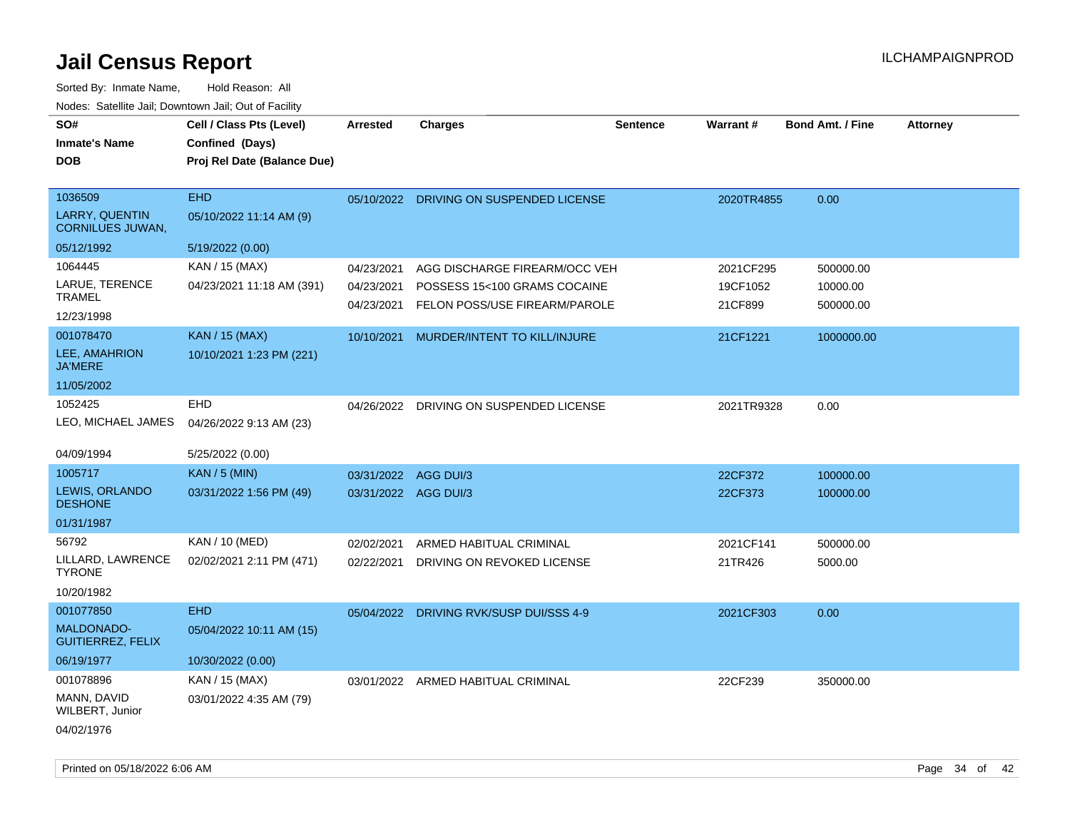| SO#<br><b>Inmate's Name</b><br><b>DOB</b>        | Cell / Class Pts (Level)<br>Confined (Days)<br>Proj Rel Date (Balance Due) | <b>Arrested</b>      | <b>Charges</b>                          | <b>Sentence</b> | Warrant#   | <b>Bond Amt. / Fine</b> | <b>Attorney</b> |
|--------------------------------------------------|----------------------------------------------------------------------------|----------------------|-----------------------------------------|-----------------|------------|-------------------------|-----------------|
| 1036509                                          | <b>EHD</b>                                                                 |                      | 05/10/2022 DRIVING ON SUSPENDED LICENSE |                 | 2020TR4855 | 0.00                    |                 |
| <b>LARRY, QUENTIN</b><br><b>CORNILUES JUWAN,</b> | 05/10/2022 11:14 AM (9)                                                    |                      |                                         |                 |            |                         |                 |
| 05/12/1992                                       | 5/19/2022 (0.00)                                                           |                      |                                         |                 |            |                         |                 |
| 1064445                                          | KAN / 15 (MAX)                                                             | 04/23/2021           | AGG DISCHARGE FIREARM/OCC VEH           |                 | 2021CF295  | 500000.00               |                 |
| LARUE, TERENCE<br><b>TRAMEL</b>                  | 04/23/2021 11:18 AM (391)                                                  | 04/23/2021           | POSSESS 15<100 GRAMS COCAINE            |                 | 19CF1052   | 10000.00                |                 |
| 12/23/1998                                       |                                                                            | 04/23/2021           | FELON POSS/USE FIREARM/PAROLE           |                 | 21CF899    | 500000.00               |                 |
| 001078470                                        | <b>KAN / 15 (MAX)</b>                                                      | 10/10/2021           | MURDER/INTENT TO KILL/INJURE            |                 | 21CF1221   | 1000000.00              |                 |
| LEE, AMAHRION<br><b>JA'MERE</b>                  | 10/10/2021 1:23 PM (221)                                                   |                      |                                         |                 |            |                         |                 |
| 11/05/2002                                       |                                                                            |                      |                                         |                 |            |                         |                 |
| 1052425<br>LEO, MICHAEL JAMES                    | <b>EHD</b><br>04/26/2022 9:13 AM (23)                                      |                      | 04/26/2022 DRIVING ON SUSPENDED LICENSE |                 | 2021TR9328 | 0.00                    |                 |
| 04/09/1994                                       | 5/25/2022 (0.00)                                                           |                      |                                         |                 |            |                         |                 |
| 1005717                                          | $KAN / 5$ (MIN)                                                            | 03/31/2022 AGG DUI/3 |                                         |                 | 22CF372    | 100000.00               |                 |
| LEWIS, ORLANDO<br><b>DESHONE</b>                 | 03/31/2022 1:56 PM (49)                                                    | 03/31/2022 AGG DUI/3 |                                         |                 | 22CF373    | 100000.00               |                 |
| 01/31/1987                                       |                                                                            |                      |                                         |                 |            |                         |                 |
| 56792                                            | KAN / 10 (MED)                                                             | 02/02/2021           | ARMED HABITUAL CRIMINAL                 |                 | 2021CF141  | 500000.00               |                 |
| LILLARD, LAWRENCE<br><b>TYRONE</b>               | 02/02/2021 2:11 PM (471)                                                   | 02/22/2021           | DRIVING ON REVOKED LICENSE              |                 | 21TR426    | 5000.00                 |                 |
| 10/20/1982                                       |                                                                            |                      |                                         |                 |            |                         |                 |
| 001077850                                        | <b>EHD</b>                                                                 |                      | 05/04/2022 DRIVING RVK/SUSP DUI/SSS 4-9 |                 | 2021CF303  | 0.00                    |                 |
| <b>MALDONADO-</b><br><b>GUITIERREZ, FELIX</b>    | 05/04/2022 10:11 AM (15)                                                   |                      |                                         |                 |            |                         |                 |
| 06/19/1977                                       | 10/30/2022 (0.00)                                                          |                      |                                         |                 |            |                         |                 |
| 001078896                                        | KAN / 15 (MAX)                                                             |                      | 03/01/2022 ARMED HABITUAL CRIMINAL      |                 | 22CF239    | 350000.00               |                 |
| MANN, DAVID<br>WILBERT, Junior                   | 03/01/2022 4:35 AM (79)                                                    |                      |                                         |                 |            |                         |                 |
| 04/02/1976                                       |                                                                            |                      |                                         |                 |            |                         |                 |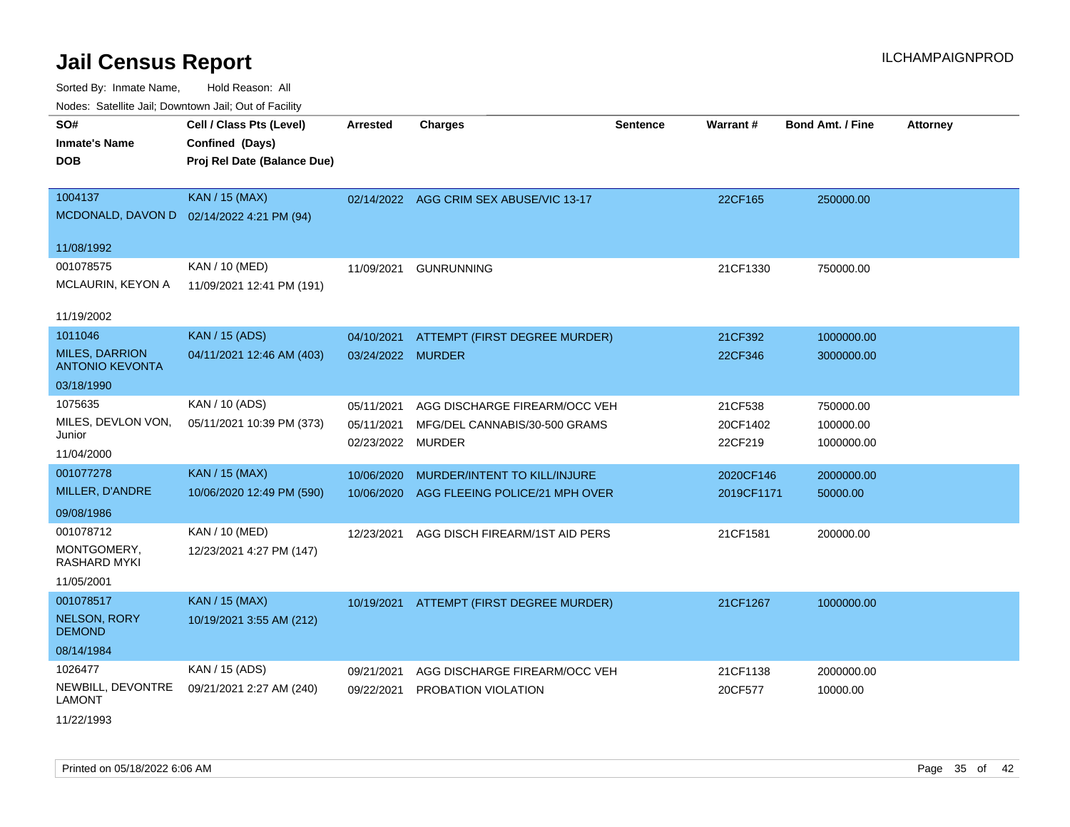Sorted By: Inmate Name, Hold Reason: All Nodes: Satellite Jail; Downtown Jail; Out of Facility

| Noues. Salenne Jan, Downlown Jan, Out or Facility |                                           |                   |                                          |                 |            |                         |                 |
|---------------------------------------------------|-------------------------------------------|-------------------|------------------------------------------|-----------------|------------|-------------------------|-----------------|
| SO#                                               | Cell / Class Pts (Level)                  | <b>Arrested</b>   | <b>Charges</b>                           | <b>Sentence</b> | Warrant#   | <b>Bond Amt. / Fine</b> | <b>Attorney</b> |
| <b>Inmate's Name</b>                              | Confined (Days)                           |                   |                                          |                 |            |                         |                 |
| <b>DOB</b>                                        | Proj Rel Date (Balance Due)               |                   |                                          |                 |            |                         |                 |
|                                                   |                                           |                   |                                          |                 |            |                         |                 |
| 1004137                                           | <b>KAN / 15 (MAX)</b>                     |                   | 02/14/2022 AGG CRIM SEX ABUSE/VIC 13-17  |                 | 22CF165    | 250000.00               |                 |
|                                                   | MCDONALD, DAVON D 02/14/2022 4:21 PM (94) |                   |                                          |                 |            |                         |                 |
| 11/08/1992                                        |                                           |                   |                                          |                 |            |                         |                 |
| 001078575                                         | KAN / 10 (MED)                            | 11/09/2021        | <b>GUNRUNNING</b>                        |                 | 21CF1330   | 750000.00               |                 |
| MCLAURIN, KEYON A                                 | 11/09/2021 12:41 PM (191)                 |                   |                                          |                 |            |                         |                 |
|                                                   |                                           |                   |                                          |                 |            |                         |                 |
| 11/19/2002                                        |                                           |                   |                                          |                 |            |                         |                 |
| 1011046                                           | <b>KAN / 15 (ADS)</b>                     | 04/10/2021        | ATTEMPT (FIRST DEGREE MURDER)            |                 | 21CF392    | 1000000.00              |                 |
| <b>MILES, DARRION</b><br><b>ANTONIO KEVONTA</b>   | 04/11/2021 12:46 AM (403)                 | 03/24/2022 MURDER |                                          |                 | 22CF346    | 3000000.00              |                 |
| 03/18/1990                                        |                                           |                   |                                          |                 |            |                         |                 |
| 1075635                                           | KAN / 10 (ADS)                            | 05/11/2021        | AGG DISCHARGE FIREARM/OCC VEH            |                 | 21CF538    | 750000.00               |                 |
| MILES, DEVLON VON,                                | 05/11/2021 10:39 PM (373)                 | 05/11/2021        | MFG/DEL CANNABIS/30-500 GRAMS            |                 | 20CF1402   | 100000.00               |                 |
| Junior                                            |                                           | 02/23/2022        | <b>MURDER</b>                            |                 | 22CF219    | 1000000.00              |                 |
| 11/04/2000                                        |                                           |                   |                                          |                 |            |                         |                 |
| 001077278                                         | <b>KAN / 15 (MAX)</b>                     | 10/06/2020        | MURDER/INTENT TO KILL/INJURE             |                 | 2020CF146  | 2000000.00              |                 |
| MILLER, D'ANDRE                                   | 10/06/2020 12:49 PM (590)                 | 10/06/2020        | AGG FLEEING POLICE/21 MPH OVER           |                 | 2019CF1171 | 50000.00                |                 |
| 09/08/1986                                        |                                           |                   |                                          |                 |            |                         |                 |
| 001078712                                         | KAN / 10 (MED)                            | 12/23/2021        | AGG DISCH FIREARM/1ST AID PERS           |                 | 21CF1581   | 200000.00               |                 |
| MONTGOMERY,<br>RASHARD MYKI                       | 12/23/2021 4:27 PM (147)                  |                   |                                          |                 |            |                         |                 |
| 11/05/2001                                        |                                           |                   |                                          |                 |            |                         |                 |
| 001078517                                         | <b>KAN / 15 (MAX)</b>                     |                   | 10/19/2021 ATTEMPT (FIRST DEGREE MURDER) |                 | 21CF1267   | 1000000.00              |                 |
| NELSON, RORY                                      | 10/19/2021 3:55 AM (212)                  |                   |                                          |                 |            |                         |                 |
| <b>DEMOND</b>                                     |                                           |                   |                                          |                 |            |                         |                 |
| 08/14/1984                                        |                                           |                   |                                          |                 |            |                         |                 |
| 1026477                                           | KAN / 15 (ADS)                            | 09/21/2021        | AGG DISCHARGE FIREARM/OCC VEH            |                 | 21CF1138   | 2000000.00              |                 |
| NEWBILL, DEVONTRE<br><b>LAMONT</b>                | 09/21/2021 2:27 AM (240)                  | 09/22/2021        | PROBATION VIOLATION                      |                 | 20CF577    | 10000.00                |                 |
| 11/22/1993                                        |                                           |                   |                                          |                 |            |                         |                 |

Printed on 05/18/2022 6:06 AM Page 35 of 42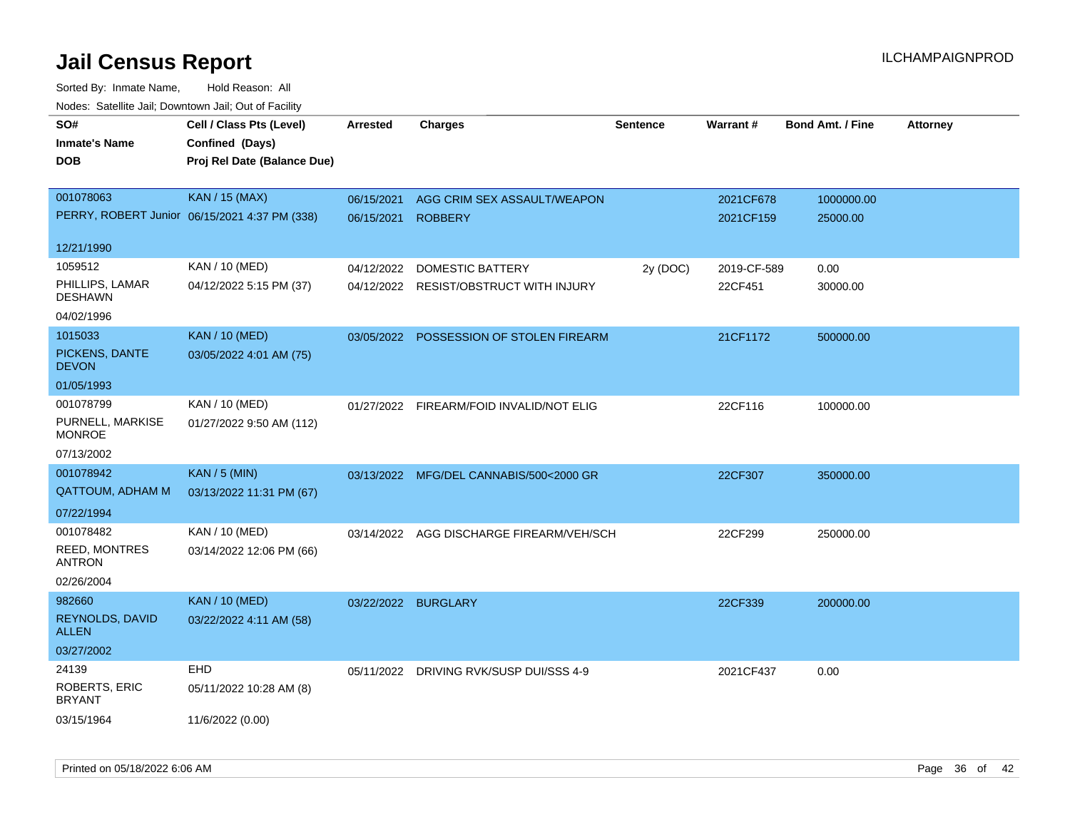| Todoo. Catolino can, Bowritown can, Oat or I domt<br>SO#<br><b>Inmate's Name</b><br><b>DOB</b> | Cell / Class Pts (Level)<br>Confined (Days)<br>Proj Rel Date (Balance Due) | <b>Arrested</b>          | <b>Charges</b>                                                    | <b>Sentence</b> | Warrant#               | <b>Bond Amt. / Fine</b> | <b>Attorney</b> |
|------------------------------------------------------------------------------------------------|----------------------------------------------------------------------------|--------------------------|-------------------------------------------------------------------|-----------------|------------------------|-------------------------|-----------------|
| 001078063                                                                                      | <b>KAN / 15 (MAX)</b><br>PERRY, ROBERT Junior 06/15/2021 4:37 PM (338)     | 06/15/2021<br>06/15/2021 | AGG CRIM SEX ASSAULT/WEAPON<br><b>ROBBERY</b>                     |                 | 2021CF678<br>2021CF159 | 1000000.00<br>25000.00  |                 |
| 12/21/1990                                                                                     |                                                                            |                          |                                                                   |                 |                        |                         |                 |
| 1059512<br>PHILLIPS, LAMAR<br><b>DESHAWN</b><br>04/02/1996                                     | KAN / 10 (MED)<br>04/12/2022 5:15 PM (37)                                  | 04/12/2022               | <b>DOMESTIC BATTERY</b><br>04/12/2022 RESIST/OBSTRUCT WITH INJURY | 2y (DOC)        | 2019-CF-589<br>22CF451 | 0.00<br>30000.00        |                 |
| 1015033<br>PICKENS, DANTE<br><b>DEVON</b>                                                      | <b>KAN / 10 (MED)</b><br>03/05/2022 4:01 AM (75)                           |                          | 03/05/2022 POSSESSION OF STOLEN FIREARM                           |                 | 21CF1172               | 500000.00               |                 |
| 01/05/1993<br>001078799<br>PURNELL, MARKISE<br><b>MONROE</b><br>07/13/2002                     | KAN / 10 (MED)<br>01/27/2022 9:50 AM (112)                                 |                          | 01/27/2022 FIREARM/FOID INVALID/NOT ELIG                          |                 | 22CF116                | 100000.00               |                 |
| 001078942<br><b>QATTOUM, ADHAM M</b><br>07/22/1994                                             | <b>KAN / 5 (MIN)</b><br>03/13/2022 11:31 PM (67)                           |                          | 03/13/2022 MFG/DEL CANNABIS/500<2000 GR                           |                 | 22CF307                | 350000.00               |                 |
| 001078482<br>REED, MONTRES<br><b>ANTRON</b><br>02/26/2004                                      | KAN / 10 (MED)<br>03/14/2022 12:06 PM (66)                                 | 03/14/2022               | AGG DISCHARGE FIREARM/VEH/SCH                                     |                 | 22CF299                | 250000.00               |                 |
| 982660<br>REYNOLDS, DAVID<br><b>ALLEN</b><br>03/27/2002                                        | <b>KAN / 10 (MED)</b><br>03/22/2022 4:11 AM (58)                           | 03/22/2022 BURGLARY      |                                                                   |                 | 22CF339                | 200000.00               |                 |
| 24139<br>ROBERTS, ERIC<br><b>BRYANT</b><br>03/15/1964                                          | EHD<br>05/11/2022 10:28 AM (8)<br>11/6/2022 (0.00)                         |                          | 05/11/2022 DRIVING RVK/SUSP DUI/SSS 4-9                           |                 | 2021CF437              | 0.00                    |                 |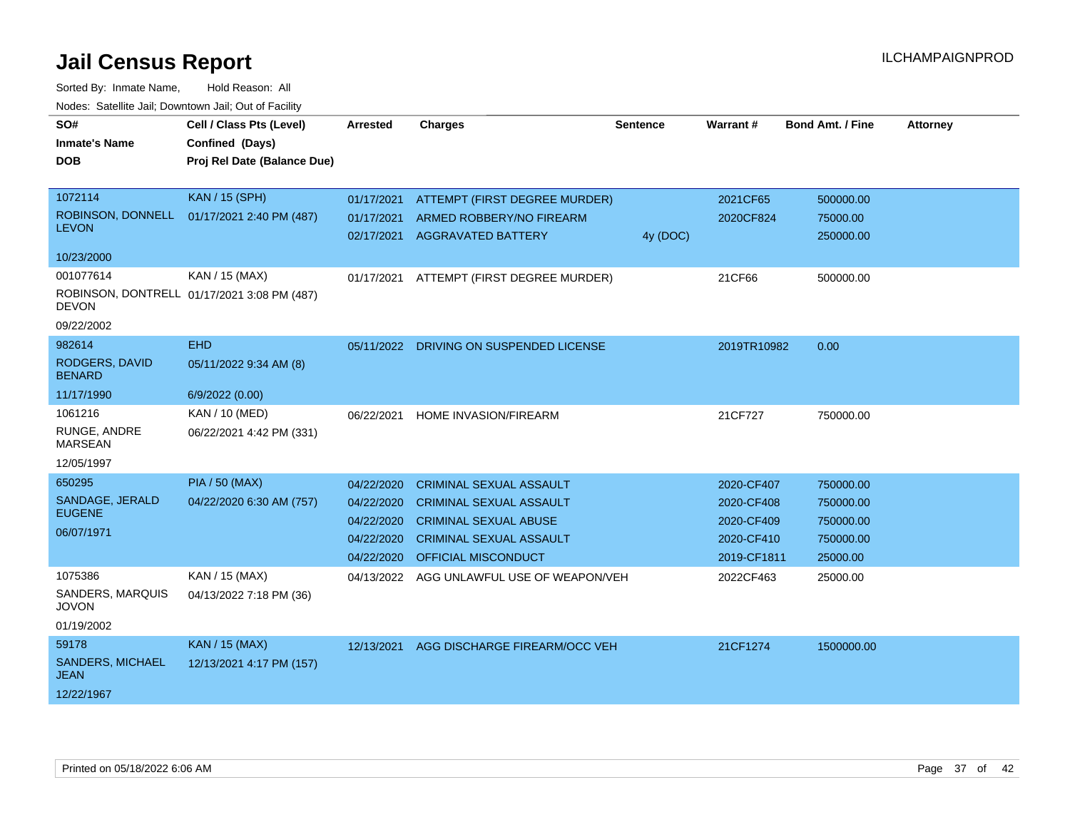| SO#<br><b>Inmate's Name</b><br><b>DOB</b>                             | Cell / Class Pts (Level)<br>Confined (Days)<br>Proj Rel Date (Balance Due) | <b>Arrested</b>                                                    | <b>Charges</b>                                                                                                                                            | <b>Sentence</b> | Warrant#                                                            | <b>Bond Amt. / Fine</b>                                      | <b>Attorney</b> |
|-----------------------------------------------------------------------|----------------------------------------------------------------------------|--------------------------------------------------------------------|-----------------------------------------------------------------------------------------------------------------------------------------------------------|-----------------|---------------------------------------------------------------------|--------------------------------------------------------------|-----------------|
| 1072114<br><b>LEVON</b><br>10/23/2000                                 | <b>KAN / 15 (SPH)</b><br>ROBINSON, DONNELL 01/17/2021 2:40 PM (487)        | 01/17/2021<br>01/17/2021<br>02/17/2021                             | ATTEMPT (FIRST DEGREE MURDER)<br>ARMED ROBBERY/NO FIREARM<br><b>AGGRAVATED BATTERY</b>                                                                    | 4y (DOC)        | 2021CF65<br>2020CF824                                               | 500000.00<br>75000.00<br>250000.00                           |                 |
| 001077614<br><b>DEVON</b><br>09/22/2002                               | KAN / 15 (MAX)<br>ROBINSON, DONTRELL 01/17/2021 3:08 PM (487)              | 01/17/2021                                                         | ATTEMPT (FIRST DEGREE MURDER)                                                                                                                             |                 | 21CF66                                                              | 500000.00                                                    |                 |
| 982614<br>RODGERS, DAVID<br><b>BENARD</b>                             | <b>EHD</b><br>05/11/2022 9:34 AM (8)                                       | 05/11/2022                                                         | DRIVING ON SUSPENDED LICENSE                                                                                                                              |                 | 2019TR10982                                                         | 0.00                                                         |                 |
| 11/17/1990<br>1061216<br>RUNGE, ANDRE<br><b>MARSEAN</b><br>12/05/1997 | 6/9/2022 (0.00)<br><b>KAN / 10 (MED)</b><br>06/22/2021 4:42 PM (331)       | 06/22/2021                                                         | HOME INVASION/FIREARM                                                                                                                                     |                 | 21CF727                                                             | 750000.00                                                    |                 |
| 650295<br>SANDAGE, JERALD<br><b>EUGENE</b><br>06/07/1971              | <b>PIA / 50 (MAX)</b><br>04/22/2020 6:30 AM (757)                          | 04/22/2020<br>04/22/2020<br>04/22/2020<br>04/22/2020<br>04/22/2020 | <b>CRIMINAL SEXUAL ASSAULT</b><br><b>CRIMINAL SEXUAL ASSAULT</b><br><b>CRIMINAL SEXUAL ABUSE</b><br><b>CRIMINAL SEXUAL ASSAULT</b><br>OFFICIAL MISCONDUCT |                 | 2020-CF407<br>2020-CF408<br>2020-CF409<br>2020-CF410<br>2019-CF1811 | 750000.00<br>750000.00<br>750000.00<br>750000.00<br>25000.00 |                 |
| 1075386<br>SANDERS, MARQUIS<br><b>JOVON</b><br>01/19/2002             | KAN / 15 (MAX)<br>04/13/2022 7:18 PM (36)                                  | 04/13/2022                                                         | AGG UNLAWFUL USE OF WEAPON/VEH                                                                                                                            |                 | 2022CF463                                                           | 25000.00                                                     |                 |
| 59178<br><b>SANDERS, MICHAEL</b><br>JEAN<br>12/22/1967                | <b>KAN / 15 (MAX)</b><br>12/13/2021 4:17 PM (157)                          | 12/13/2021                                                         | AGG DISCHARGE FIREARM/OCC VEH                                                                                                                             |                 | 21CF1274                                                            | 1500000.00                                                   |                 |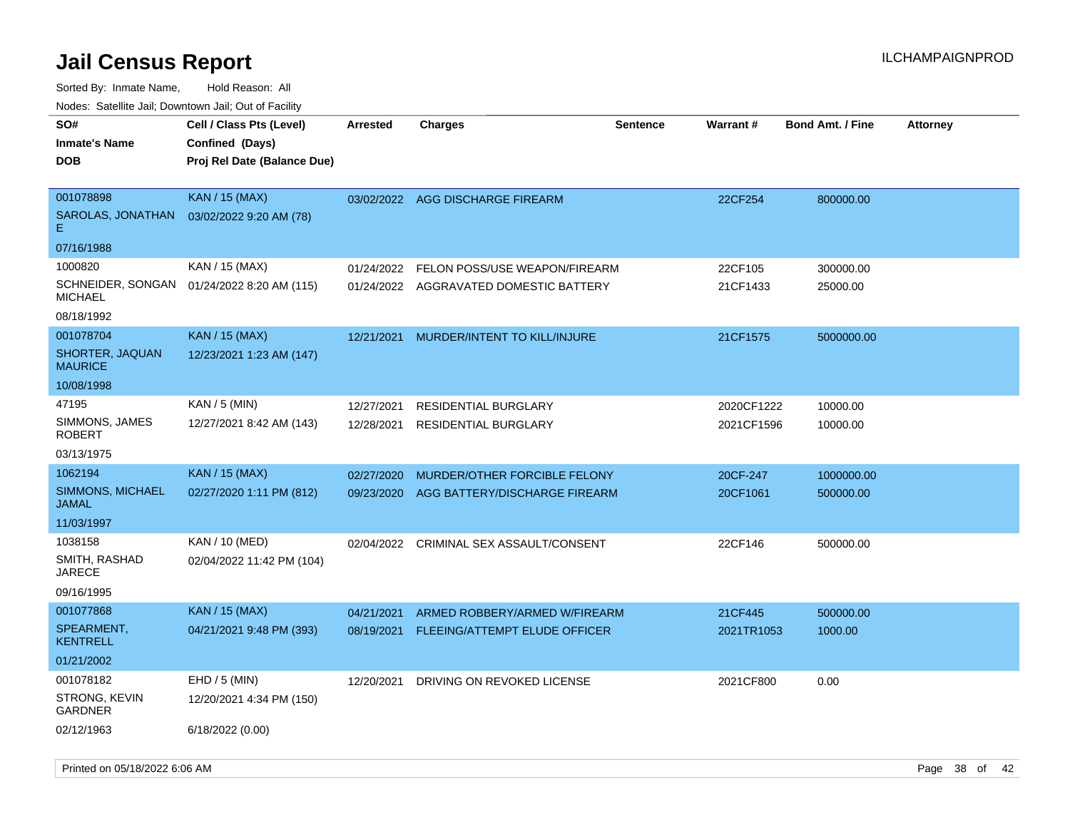| roaco. Catolino dall, Downtown dall, Out of Fability     |                                                                            |                          |                                                                |                 |                          |                         |                 |
|----------------------------------------------------------|----------------------------------------------------------------------------|--------------------------|----------------------------------------------------------------|-----------------|--------------------------|-------------------------|-----------------|
| SO#<br><b>Inmate's Name</b><br><b>DOB</b>                | Cell / Class Pts (Level)<br>Confined (Days)<br>Proj Rel Date (Balance Due) | <b>Arrested</b>          | Charges                                                        | <b>Sentence</b> | Warrant#                 | <b>Bond Amt. / Fine</b> | <b>Attorney</b> |
| 001078898<br>SAROLAS, JONATHAN<br>Е.<br>07/16/1988       | <b>KAN / 15 (MAX)</b><br>03/02/2022 9:20 AM (78)                           | 03/02/2022               | AGG DISCHARGE FIREARM                                          |                 | 22CF254                  | 800000.00               |                 |
| 1000820                                                  | KAN / 15 (MAX)                                                             | 01/24/2022               | FELON POSS/USE WEAPON/FIREARM                                  |                 | 22CF105                  | 300000.00               |                 |
| SCHNEIDER, SONGAN<br>MICHAEL                             | 01/24/2022 8:20 AM (115)                                                   | 01/24/2022               | AGGRAVATED DOMESTIC BATTERY                                    |                 | 21CF1433                 | 25000.00                |                 |
| 08/18/1992                                               |                                                                            |                          |                                                                |                 |                          |                         |                 |
| 001078704<br>SHORTER, JAQUAN<br><b>MAURICE</b>           | KAN / 15 (MAX)<br>12/23/2021 1:23 AM (147)                                 | 12/21/2021               | MURDER/INTENT TO KILL/INJURE                                   |                 | 21CF1575                 | 5000000.00              |                 |
| 10/08/1998                                               |                                                                            |                          |                                                                |                 |                          |                         |                 |
| 47195<br>SIMMONS, JAMES<br>ROBERT                        | KAN / 5 (MIN)<br>12/27/2021 8:42 AM (143)                                  | 12/27/2021<br>12/28/2021 | RESIDENTIAL BURGLARY<br><b>RESIDENTIAL BURGLARY</b>            |                 | 2020CF1222<br>2021CF1596 | 10000.00<br>10000.00    |                 |
| 03/13/1975                                               |                                                                            |                          |                                                                |                 |                          |                         |                 |
| 1062194<br>SIMMONS, MICHAEL<br>JAMAL                     | <b>KAN / 15 (MAX)</b><br>02/27/2020 1:11 PM (812)                          | 02/27/2020<br>09/23/2020 | MURDER/OTHER FORCIBLE FELONY<br>AGG BATTERY/DISCHARGE FIREARM  |                 | 20CF-247<br>20CF1061     | 1000000.00<br>500000.00 |                 |
| 11/03/1997                                               |                                                                            |                          |                                                                |                 |                          |                         |                 |
| 1038158<br>SMITH, RASHAD<br><b>JARECE</b>                | KAN / 10 (MED)<br>02/04/2022 11:42 PM (104)                                | 02/04/2022               | CRIMINAL SEX ASSAULT/CONSENT                                   |                 | 22CF146                  | 500000.00               |                 |
| 09/16/1995                                               |                                                                            |                          |                                                                |                 |                          |                         |                 |
| 001077868<br>SPEARMENT,<br><b>KENTRELL</b><br>01/21/2002 | <b>KAN / 15 (MAX)</b><br>04/21/2021 9:48 PM (393)                          | 04/21/2021<br>08/19/2021 | ARMED ROBBERY/ARMED W/FIREARM<br>FLEEING/ATTEMPT ELUDE OFFICER |                 | 21CF445<br>2021TR1053    | 500000.00<br>1000.00    |                 |
| 001078182<br>STRONG, KEVIN<br>GARDNER<br>02/12/1963      | $EHD / 5$ (MIN)<br>12/20/2021 4:34 PM (150)<br>6/18/2022 (0.00)            | 12/20/2021               | DRIVING ON REVOKED LICENSE                                     |                 | 2021CF800                | 0.00                    |                 |
|                                                          |                                                                            |                          |                                                                |                 |                          |                         |                 |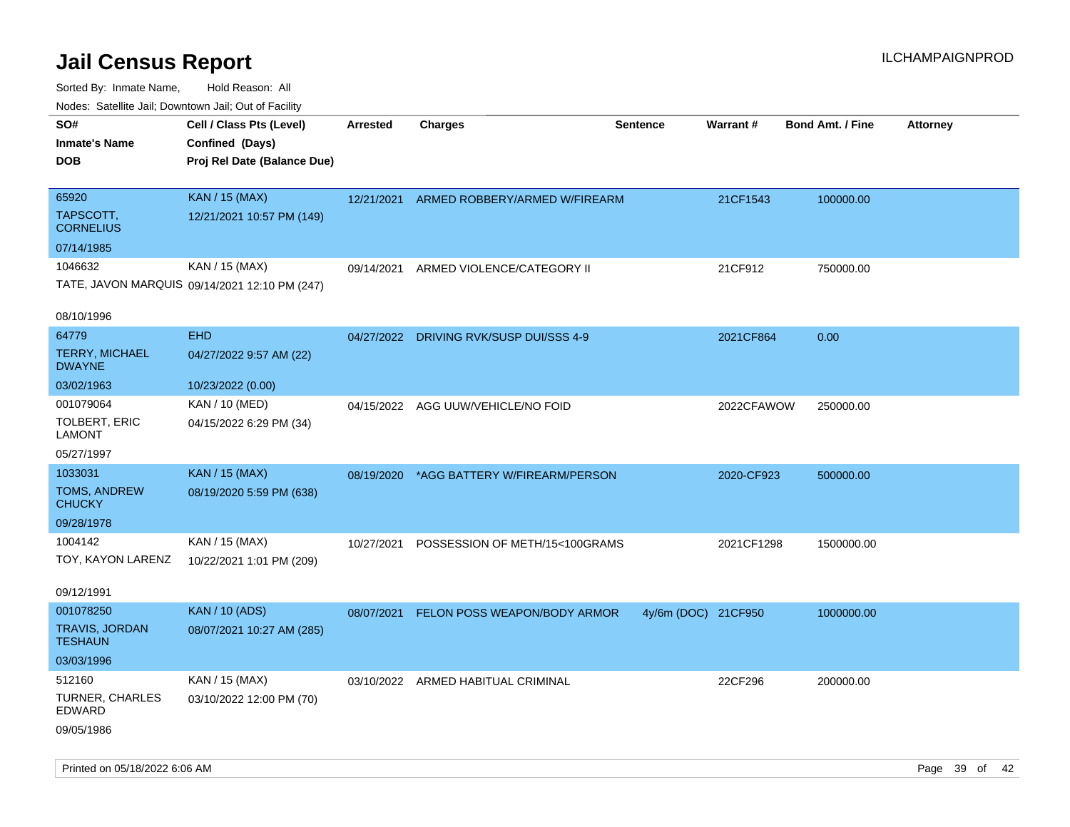| roacs. Calcinic Jan, Downtown Jan, Out of Facility       |                                                                            |                 |                                          |                     |            |                         |          |
|----------------------------------------------------------|----------------------------------------------------------------------------|-----------------|------------------------------------------|---------------------|------------|-------------------------|----------|
| SO#<br><b>Inmate's Name</b><br><b>DOB</b>                | Cell / Class Pts (Level)<br>Confined (Days)<br>Proj Rel Date (Balance Due) | <b>Arrested</b> | <b>Charges</b>                           | <b>Sentence</b>     | Warrant#   | <b>Bond Amt. / Fine</b> | Attorney |
| 65920<br>TAPSCOTT,<br><b>CORNELIUS</b>                   | <b>KAN / 15 (MAX)</b><br>12/21/2021 10:57 PM (149)                         |                 | 12/21/2021 ARMED ROBBERY/ARMED W/FIREARM |                     | 21CF1543   | 100000.00               |          |
| 07/14/1985                                               |                                                                            |                 |                                          |                     |            |                         |          |
| 1046632                                                  | KAN / 15 (MAX)<br>TATE, JAVON MARQUIS 09/14/2021 12:10 PM (247)            | 09/14/2021      | ARMED VIOLENCE/CATEGORY II               |                     | 21CF912    | 750000.00               |          |
| 08/10/1996                                               |                                                                            |                 |                                          |                     |            |                         |          |
| 64779<br><b>TERRY, MICHAEL</b><br><b>DWAYNE</b>          | <b>EHD</b><br>04/27/2022 9:57 AM (22)                                      |                 | 04/27/2022 DRIVING RVK/SUSP DUI/SSS 4-9  |                     | 2021CF864  | 0.00                    |          |
| 03/02/1963                                               | 10/23/2022 (0.00)                                                          |                 |                                          |                     |            |                         |          |
| 001079064<br>TOLBERT, ERIC<br><b>LAMONT</b>              | KAN / 10 (MED)<br>04/15/2022 6:29 PM (34)                                  | 04/15/2022      | AGG UUW/VEHICLE/NO FOID                  |                     | 2022CFAWOW | 250000.00               |          |
| 05/27/1997                                               |                                                                            |                 |                                          |                     |            |                         |          |
| 1033031                                                  | <b>KAN / 15 (MAX)</b>                                                      | 08/19/2020      | *AGG BATTERY W/FIREARM/PERSON            |                     | 2020-CF923 | 500000.00               |          |
| <b>TOMS, ANDREW</b><br><b>CHUCKY</b>                     | 08/19/2020 5:59 PM (638)                                                   |                 |                                          |                     |            |                         |          |
| 09/28/1978                                               |                                                                            |                 |                                          |                     |            |                         |          |
| 1004142                                                  | KAN / 15 (MAX)                                                             | 10/27/2021      | POSSESSION OF METH/15<100GRAMS           |                     | 2021CF1298 | 1500000.00              |          |
| TOY, KAYON LARENZ<br>09/12/1991                          | 10/22/2021 1:01 PM (209)                                                   |                 |                                          |                     |            |                         |          |
| 001078250                                                | <b>KAN / 10 (ADS)</b>                                                      | 08/07/2021      |                                          |                     |            |                         |          |
| <b>TRAVIS, JORDAN</b><br><b>TESHAUN</b>                  | 08/07/2021 10:27 AM (285)                                                  |                 | FELON POSS WEAPON/BODY ARMOR             | 4y/6m (DOC) 21CF950 |            | 1000000.00              |          |
| 03/03/1996                                               |                                                                            |                 |                                          |                     |            |                         |          |
| 512160<br><b>TURNER, CHARLES</b><br>EDWARD<br>09/05/1986 | KAN / 15 (MAX)<br>03/10/2022 12:00 PM (70)                                 |                 | 03/10/2022 ARMED HABITUAL CRIMINAL       |                     | 22CF296    | 200000.00               |          |
|                                                          |                                                                            |                 |                                          |                     |            |                         |          |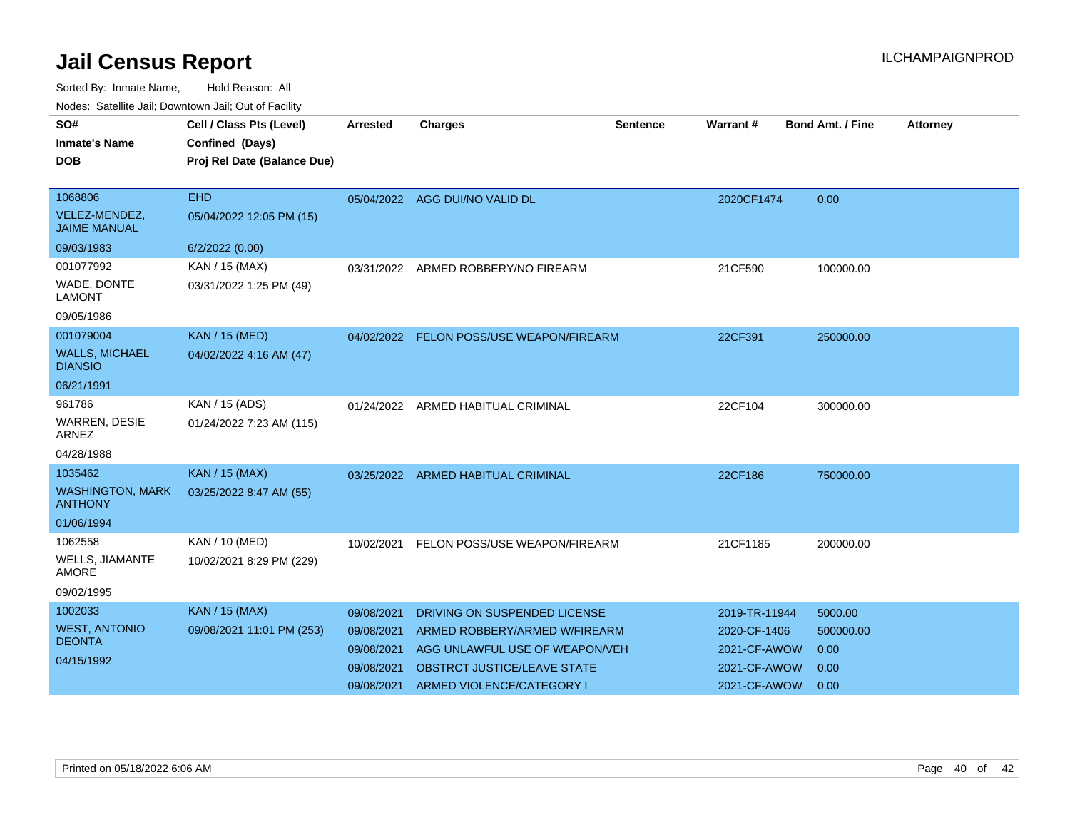| SO#<br><b>Inmate's Name</b><br><b>DOB</b>                          | Cell / Class Pts (Level)<br>Confined (Days)<br>Proj Rel Date (Balance Due) | <b>Arrested</b>                                                    | <b>Charges</b>                                                                                                                                              | Sentence | Warrant #                                                                     | <b>Bond Amt. / Fine</b>                      | <b>Attorney</b> |
|--------------------------------------------------------------------|----------------------------------------------------------------------------|--------------------------------------------------------------------|-------------------------------------------------------------------------------------------------------------------------------------------------------------|----------|-------------------------------------------------------------------------------|----------------------------------------------|-----------------|
| 1068806<br>VELEZ-MENDEZ,<br><b>JAIME MANUAL</b><br>09/03/1983      | <b>EHD</b><br>05/04/2022 12:05 PM (15)<br>6/2/2022 (0.00)                  |                                                                    | 05/04/2022 AGG DUI/NO VALID DL                                                                                                                              |          | 2020CF1474                                                                    | 0.00                                         |                 |
| 001077992<br>WADE, DONTE<br><b>LAMONT</b><br>09/05/1986            | KAN / 15 (MAX)<br>03/31/2022 1:25 PM (49)                                  | 03/31/2022                                                         | ARMED ROBBERY/NO FIREARM                                                                                                                                    |          | 21CF590                                                                       | 100000.00                                    |                 |
| 001079004<br><b>WALLS, MICHAEL</b><br><b>DIANSIO</b><br>06/21/1991 | <b>KAN / 15 (MED)</b><br>04/02/2022 4:16 AM (47)                           |                                                                    | 04/02/2022 FELON POSS/USE WEAPON/FIREARM                                                                                                                    |          | 22CF391                                                                       | 250000.00                                    |                 |
| 961786<br>WARREN, DESIE<br><b>ARNEZ</b><br>04/28/1988              | KAN / 15 (ADS)<br>01/24/2022 7:23 AM (115)                                 |                                                                    | 01/24/2022 ARMED HABITUAL CRIMINAL                                                                                                                          |          | 22CF104                                                                       | 300000.00                                    |                 |
| 1035462<br><b>WASHINGTON, MARK</b><br><b>ANTHONY</b><br>01/06/1994 | <b>KAN / 15 (MAX)</b><br>03/25/2022 8:47 AM (55)                           | 03/25/2022                                                         | <b>ARMED HABITUAL CRIMINAL</b>                                                                                                                              |          | 22CF186                                                                       | 750000.00                                    |                 |
| 1062558<br>WELLS, JIAMANTE<br><b>AMORE</b><br>09/02/1995           | KAN / 10 (MED)<br>10/02/2021 8:29 PM (229)                                 | 10/02/2021                                                         | FELON POSS/USE WEAPON/FIREARM                                                                                                                               |          | 21CF1185                                                                      | 200000.00                                    |                 |
| 1002033<br><b>WEST, ANTONIO</b><br><b>DEONTA</b><br>04/15/1992     | <b>KAN / 15 (MAX)</b><br>09/08/2021 11:01 PM (253)                         | 09/08/2021<br>09/08/2021<br>09/08/2021<br>09/08/2021<br>09/08/2021 | DRIVING ON SUSPENDED LICENSE<br>ARMED ROBBERY/ARMED W/FIREARM<br>AGG UNLAWFUL USE OF WEAPON/VEH<br>OBSTRCT JUSTICE/LEAVE STATE<br>ARMED VIOLENCE/CATEGORY I |          | 2019-TR-11944<br>2020-CF-1406<br>2021-CF-AWOW<br>2021-CF-AWOW<br>2021-CF-AWOW | 5000.00<br>500000.00<br>0.00<br>0.00<br>0.00 |                 |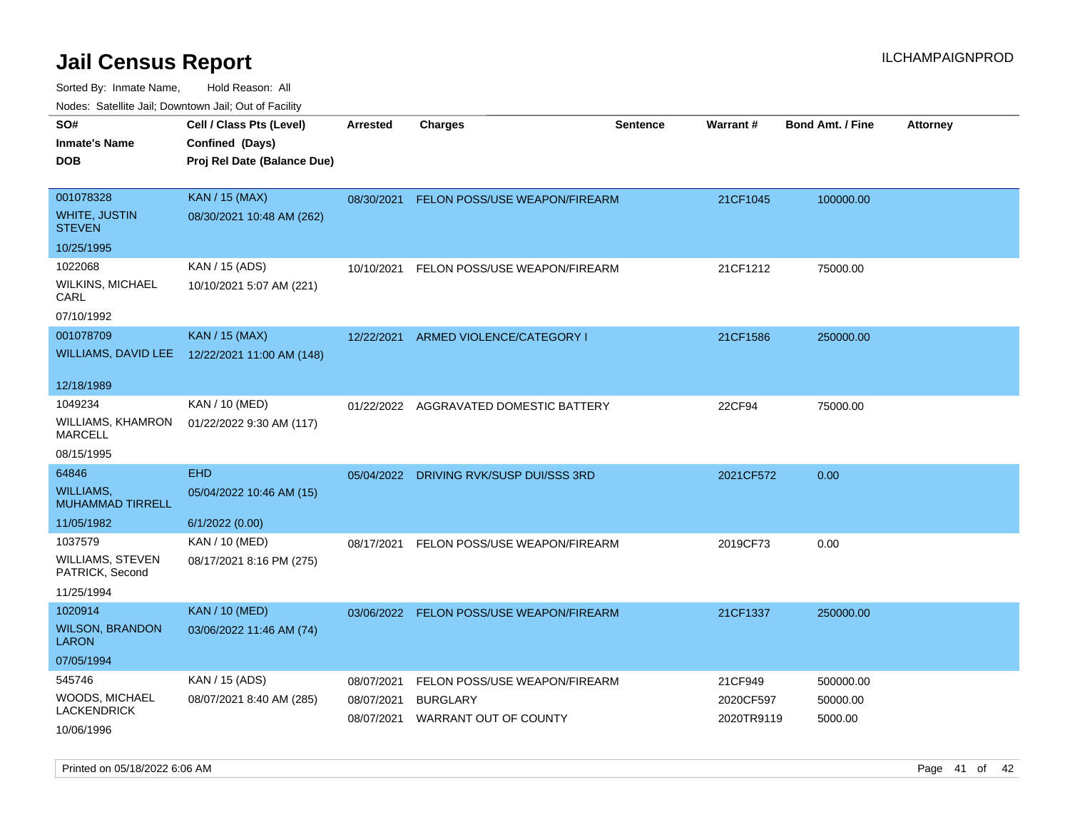| Todoo. Catolino can, Bomnomi can, Cat of Faoint |                                                                            |                          |                                          |                 |                         |                         |                 |
|-------------------------------------------------|----------------------------------------------------------------------------|--------------------------|------------------------------------------|-----------------|-------------------------|-------------------------|-----------------|
| SO#<br><b>Inmate's Name</b><br>DOB              | Cell / Class Pts (Level)<br>Confined (Days)<br>Proj Rel Date (Balance Due) | <b>Arrested</b>          | <b>Charges</b>                           | <b>Sentence</b> | <b>Warrant#</b>         | <b>Bond Amt. / Fine</b> | <b>Attorney</b> |
| 001078328<br>WHITE, JUSTIN<br><b>STEVEN</b>     | <b>KAN / 15 (MAX)</b><br>08/30/2021 10:48 AM (262)                         |                          | 08/30/2021 FELON POSS/USE WEAPON/FIREARM |                 | 21CF1045                | 100000.00               |                 |
| 10/25/1995                                      |                                                                            |                          |                                          |                 |                         |                         |                 |
| 1022068<br>WILKINS, MICHAEL<br>CARL             | KAN / 15 (ADS)<br>10/10/2021 5:07 AM (221)                                 | 10/10/2021               | FELON POSS/USE WEAPON/FIREARM            |                 | 21CF1212                | 75000.00                |                 |
| 07/10/1992                                      |                                                                            |                          |                                          |                 |                         |                         |                 |
| 001078709                                       | <b>KAN / 15 (MAX)</b><br>WILLIAMS, DAVID LEE 12/22/2021 11:00 AM (148)     | 12/22/2021               | ARMED VIOLENCE/CATEGORY I                |                 | 21CF1586                | 250000.00               |                 |
| 12/18/1989                                      |                                                                            |                          |                                          |                 |                         |                         |                 |
| 1049234<br>WILLIAMS, KHAMRON<br>MARCELL         | KAN / 10 (MED)<br>01/22/2022 9:30 AM (117)                                 | 01/22/2022               | AGGRAVATED DOMESTIC BATTERY              |                 | 22CF94                  | 75000.00                |                 |
| 08/15/1995                                      |                                                                            |                          |                                          |                 |                         |                         |                 |
| 64846                                           | <b>EHD</b>                                                                 | 05/04/2022               | DRIVING RVK/SUSP DUI/SSS 3RD             |                 | 2021CF572               | 0.00                    |                 |
| WILLIAMS.<br><b>MUHAMMAD TIRRELL</b>            | 05/04/2022 10:46 AM (15)                                                   |                          |                                          |                 |                         |                         |                 |
| 11/05/1982                                      | 6/1/2022 (0.00)                                                            |                          |                                          |                 |                         |                         |                 |
| 1037579                                         | KAN / 10 (MED)                                                             | 08/17/2021               | FELON POSS/USE WEAPON/FIREARM            |                 | 2019CF73                | 0.00                    |                 |
| WILLIAMS, STEVEN<br>PATRICK, Second             | 08/17/2021 8:16 PM (275)                                                   |                          |                                          |                 |                         |                         |                 |
| 11/25/1994                                      |                                                                            |                          |                                          |                 |                         |                         |                 |
| 1020914                                         | <b>KAN / 10 (MED)</b>                                                      |                          | 03/06/2022 FELON POSS/USE WEAPON/FIREARM |                 | 21CF1337                | 250000.00               |                 |
| <b>WILSON, BRANDON</b><br>LARON                 | 03/06/2022 11:46 AM (74)                                                   |                          |                                          |                 |                         |                         |                 |
| 07/05/1994                                      |                                                                            |                          |                                          |                 |                         |                         |                 |
| 545746                                          | KAN / 15 (ADS)                                                             | 08/07/2021               | FELON POSS/USE WEAPON/FIREARM            |                 | 21CF949                 | 500000.00               |                 |
| WOODS, MICHAEL<br>LACKENDRICK                   | 08/07/2021 8:40 AM (285)                                                   | 08/07/2021<br>08/07/2021 | <b>BURGLARY</b><br>WARRANT OUT OF COUNTY |                 | 2020CF597<br>2020TR9119 | 50000.00<br>5000.00     |                 |
| 10/06/1996                                      |                                                                            |                          |                                          |                 |                         |                         |                 |